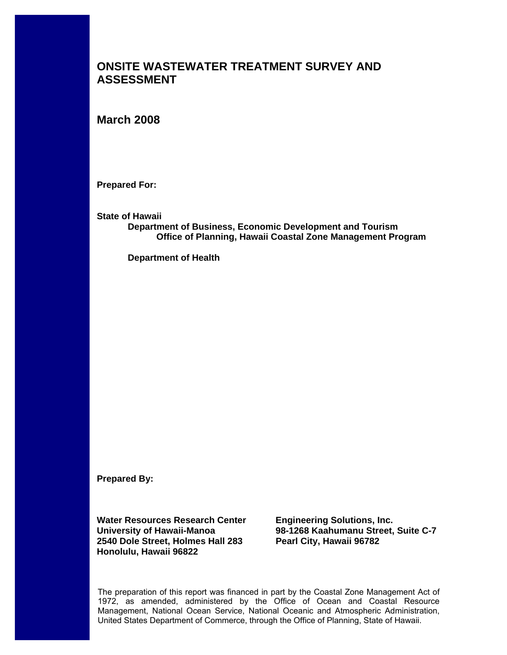## **ONSITE WASTEWATER TREATMENT SURVEY AND ASSESSMENT**

**March 2008** 

**Prepared For:** 

**State of Hawaii** 

 **Department of Business, Economic Development and Tourism Office of Planning, Hawaii Coastal Zone Management Program** 

 **Department of Health** 

**Prepared By:** 

**Water Resources Research Center Engineering Solutions, Inc. 2540 Dole Street, Holmes Hall 283 Pearl City, Hawaii 96782 Honolulu, Hawaii 96822**

**University of Hawaii-Manoa 98-1268 Kaahumanu Street, Suite C-7** 

The preparation of this report was financed in part by the Coastal Zone Management Act of 1972, as amended, administered by the Office of Ocean and Coastal Resource Management, National Ocean Service, National Oceanic and Atmospheric Administration, United States Department of Commerce, through the Office of Planning, State of Hawaii.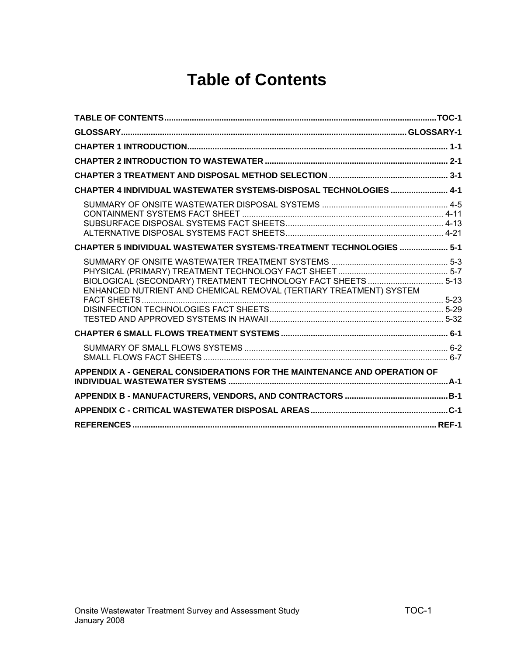# **Table of Contents**

| CHAPTER 4 INDIVIDUAL WASTEWATER SYSTEMS-DISPOSAL TECHNOLOGIES  4-1                                                                  |  |
|-------------------------------------------------------------------------------------------------------------------------------------|--|
|                                                                                                                                     |  |
| CHAPTER 5 INDIVIDUAL WASTEWATER SYSTEMS-TREATMENT TECHNOLOGIES  5-1                                                                 |  |
| BIOLOGICAL (SECONDARY) TREATMENT TECHNOLOGY FACT SHEETS  5-13<br>ENHANCED NUTRIENT AND CHEMICAL REMOVAL (TERTIARY TREATMENT) SYSTEM |  |
|                                                                                                                                     |  |
|                                                                                                                                     |  |
|                                                                                                                                     |  |
| APPENDIX A - GENERAL CONSIDERATIONS FOR THE MAINTENANCE AND OPERATION OF                                                            |  |
|                                                                                                                                     |  |
|                                                                                                                                     |  |
|                                                                                                                                     |  |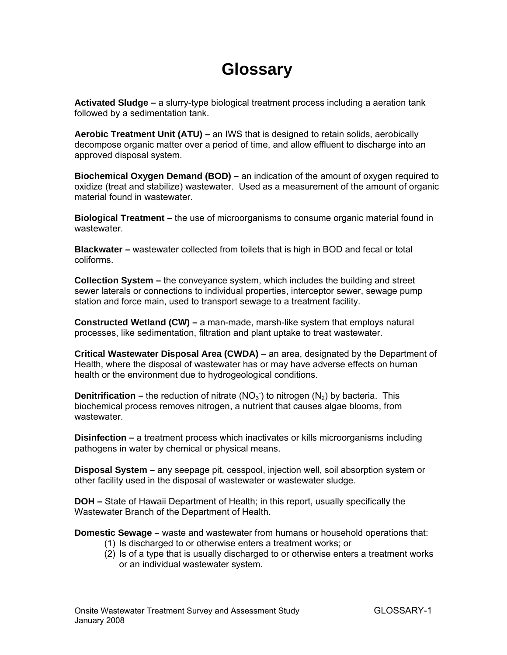# **Glossary**

**Activated Sludge –** a slurry-type biological treatment process including a aeration tank followed by a sedimentation tank.

**Aerobic Treatment Unit (ATU) –** an IWS that is designed to retain solids, aerobically decompose organic matter over a period of time, and allow effluent to discharge into an approved disposal system.

**Biochemical Oxygen Demand (BOD) –** an indication of the amount of oxygen required to oxidize (treat and stabilize) wastewater. Used as a measurement of the amount of organic material found in wastewater.

**Biological Treatment –** the use of microorganisms to consume organic material found in wastewater

**Blackwater –** wastewater collected from toilets that is high in BOD and fecal or total coliforms.

**Collection System –** the conveyance system, which includes the building and street sewer laterals or connections to individual properties, interceptor sewer, sewage pump station and force main, used to transport sewage to a treatment facility.

**Constructed Wetland (CW) –** a man-made, marsh-like system that employs natural processes, like sedimentation, filtration and plant uptake to treat wastewater.

**Critical Wastewater Disposal Area (CWDA) –** an area, designated by the Department of Health, where the disposal of wastewater has or may have adverse effects on human health or the environment due to hydrogeological conditions.

**Denitrification** – the reduction of nitrate ( $NO<sub>3</sub>$ ) to nitrogen ( $N<sub>2</sub>$ ) by bacteria. This biochemical process removes nitrogen, a nutrient that causes algae blooms, from wastewater.

**Disinfection –** a treatment process which inactivates or kills microorganisms including pathogens in water by chemical or physical means.

**Disposal System –** any seepage pit, cesspool, injection well, soil absorption system or other facility used in the disposal of wastewater or wastewater sludge.

**DOH –** State of Hawaii Department of Health; in this report, usually specifically the Wastewater Branch of the Department of Health.

**Domestic Sewage –** waste and wastewater from humans or household operations that:

- (1) Is discharged to or otherwise enters a treatment works; or
- (2) Is of a type that is usually discharged to or otherwise enters a treatment works or an individual wastewater system.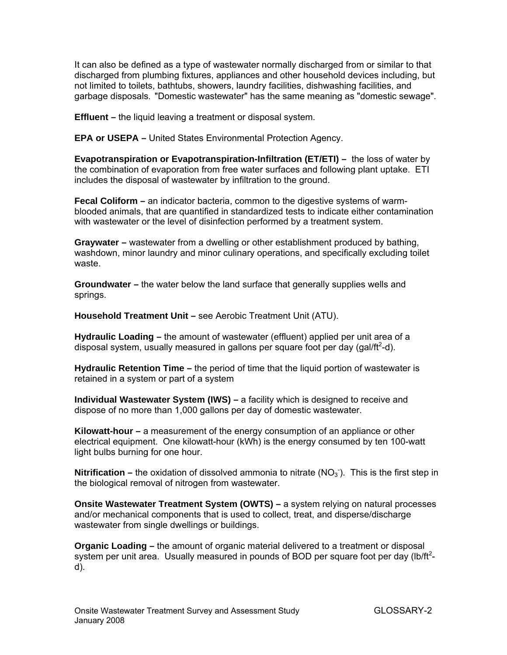It can also be defined as a type of wastewater normally discharged from or similar to that discharged from plumbing fixtures, appliances and other household devices including, but not limited to toilets, bathtubs, showers, laundry facilities, dishwashing facilities, and garbage disposals. "Domestic wastewater" has the same meaning as "domestic sewage".

**Effluent –** the liquid leaving a treatment or disposal system.

**EPA or USEPA –** United States Environmental Protection Agency.

**Evapotranspiration or Evapotranspiration-Infiltration (ET/ETI) –** the loss of water by the combination of evaporation from free water surfaces and following plant uptake. ETI includes the disposal of wastewater by infiltration to the ground.

**Fecal Coliform –** an indicator bacteria, common to the digestive systems of warmblooded animals, that are quantified in standardized tests to indicate either contamination with wastewater or the level of disinfection performed by a treatment system.

**Graywater –** wastewater from a dwelling or other establishment produced by bathing, washdown, minor laundry and minor culinary operations, and specifically excluding toilet waste.

**Groundwater –** the water below the land surface that generally supplies wells and springs.

**Household Treatment Unit –** see Aerobic Treatment Unit (ATU).

**Hydraulic Loading –** the amount of wastewater (effluent) applied per unit area of a disposal system, usually measured in gallons per square foot per day (gal/ft<sup>2</sup>-d).

**Hydraulic Retention Time –** the period of time that the liquid portion of wastewater is retained in a system or part of a system

**Individual Wastewater System (IWS) –** a facility which is designed to receive and dispose of no more than 1,000 gallons per day of domestic wastewater.

**Kilowatt-hour –** a measurement of the energy consumption of an appliance or other electrical equipment. One kilowatt-hour (kWh) is the energy consumed by ten 100-watt light bulbs burning for one hour.

**Nitrification** – the oxidation of dissolved ammonia to nitrate  $(NO<sub>3</sub>)$ . This is the first step in the biological removal of nitrogen from wastewater.

**Onsite Wastewater Treatment System (OWTS) –** a system relying on natural processes and/or mechanical components that is used to collect, treat, and disperse/discharge wastewater from single dwellings or buildings.

**Organic Loading –** the amount of organic material delivered to a treatment or disposal system per unit area. Usually measured in pounds of BOD per square foot per day (lb/ft<sup>2</sup>d).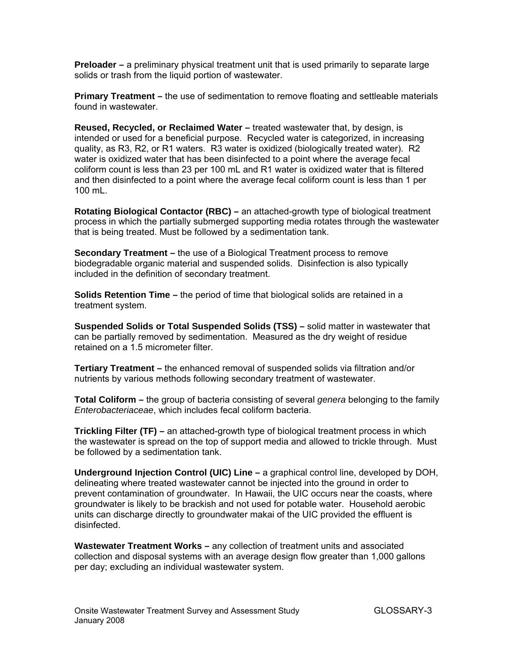**Preloader –** a preliminary physical treatment unit that is used primarily to separate large solids or trash from the liquid portion of wastewater.

**Primary Treatment –** the use of sedimentation to remove floating and settleable materials found in wastewater.

**Reused, Recycled, or Reclaimed Water –** treated wastewater that, by design, is intended or used for a beneficial purpose. Recycled water is categorized, in increasing quality, as R3, R2, or R1 waters. R3 water is oxidized (biologically treated water). R2 water is oxidized water that has been disinfected to a point where the average fecal coliform count is less than 23 per 100 mL and R1 water is oxidized water that is filtered and then disinfected to a point where the average fecal coliform count is less than 1 per 100 mL.

**Rotating Biological Contactor (RBC) –** an attached-growth type of biological treatment process in which the partially submerged supporting media rotates through the wastewater that is being treated. Must be followed by a sedimentation tank.

**Secondary Treatment –** the use of a Biological Treatment process to remove biodegradable organic material and suspended solids. Disinfection is also typically included in the definition of secondary treatment.

**Solids Retention Time –** the period of time that biological solids are retained in a treatment system.

**Suspended Solids or Total Suspended Solids (TSS) –** solid matter in wastewater that can be partially removed by sedimentation. Measured as the dry weight of residue retained on a 1.5 micrometer filter.

**Tertiary Treatment –** the enhanced removal of suspended solids via filtration and/or nutrients by various methods following secondary treatment of wastewater.

**Total Coliform –** the group of bacteria consisting of several *genera* belonging to the family *Enterobacteriaceae*, which includes fecal coliform bacteria.

**Trickling Filter (TF) –** an attached-growth type of biological treatment process in which the wastewater is spread on the top of support media and allowed to trickle through. Must be followed by a sedimentation tank.

**Underground Injection Control (UIC) Line –** a graphical control line, developed by DOH, delineating where treated wastewater cannot be injected into the ground in order to prevent contamination of groundwater. In Hawaii, the UIC occurs near the coasts, where groundwater is likely to be brackish and not used for potable water. Household aerobic units can discharge directly to groundwater makai of the UIC provided the effluent is disinfected.

**Wastewater Treatment Works –** any collection of treatment units and associated collection and disposal systems with an average design flow greater than 1,000 gallons per day; excluding an individual wastewater system.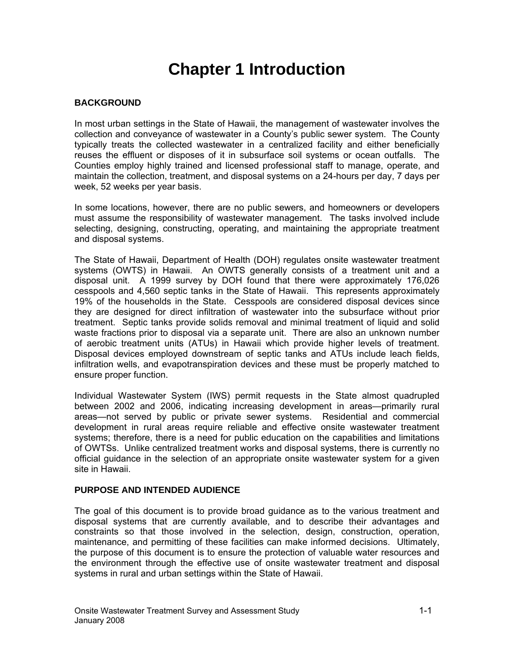# **Chapter 1 Introduction**

#### **BACKGROUND**

In most urban settings in the State of Hawaii, the management of wastewater involves the collection and conveyance of wastewater in a County's public sewer system. The County typically treats the collected wastewater in a centralized facility and either beneficially reuses the effluent or disposes of it in subsurface soil systems or ocean outfalls. The Counties employ highly trained and licensed professional staff to manage, operate, and maintain the collection, treatment, and disposal systems on a 24-hours per day, 7 days per week, 52 weeks per year basis.

In some locations, however, there are no public sewers, and homeowners or developers must assume the responsibility of wastewater management. The tasks involved include selecting, designing, constructing, operating, and maintaining the appropriate treatment and disposal systems.

The State of Hawaii, Department of Health (DOH) regulates onsite wastewater treatment systems (OWTS) in Hawaii. An OWTS generally consists of a treatment unit and a disposal unit. A 1999 survey by DOH found that there were approximately 176,026 cesspools and 4,560 septic tanks in the State of Hawaii. This represents approximately 19% of the households in the State. Cesspools are considered disposal devices since they are designed for direct infiltration of wastewater into the subsurface without prior treatment. Septic tanks provide solids removal and minimal treatment of liquid and solid waste fractions prior to disposal via a separate unit. There are also an unknown number of aerobic treatment units (ATUs) in Hawaii which provide higher levels of treatment. Disposal devices employed downstream of septic tanks and ATUs include leach fields, infiltration wells, and evapotranspiration devices and these must be properly matched to ensure proper function.

Individual Wastewater System (IWS) permit requests in the State almost quadrupled between 2002 and 2006, indicating increasing development in areas—primarily rural areas—not served by public or private sewer systems. Residential and commercial development in rural areas require reliable and effective onsite wastewater treatment systems; therefore, there is a need for public education on the capabilities and limitations of OWTSs. Unlike centralized treatment works and disposal systems, there is currently no official guidance in the selection of an appropriate onsite wastewater system for a given site in Hawaii.

#### **PURPOSE AND INTENDED AUDIENCE**

The goal of this document is to provide broad guidance as to the various treatment and disposal systems that are currently available, and to describe their advantages and constraints so that those involved in the selection, design, construction, operation, maintenance, and permitting of these facilities can make informed decisions. Ultimately, the purpose of this document is to ensure the protection of valuable water resources and the environment through the effective use of onsite wastewater treatment and disposal systems in rural and urban settings within the State of Hawaii.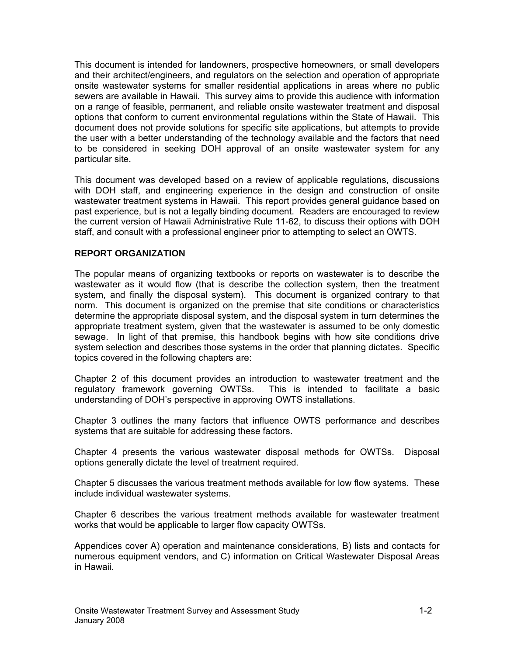This document is intended for landowners, prospective homeowners, or small developers and their architect/engineers, and regulators on the selection and operation of appropriate onsite wastewater systems for smaller residential applications in areas where no public sewers are available in Hawaii. This survey aims to provide this audience with information on a range of feasible, permanent, and reliable onsite wastewater treatment and disposal options that conform to current environmental regulations within the State of Hawaii. This document does not provide solutions for specific site applications, but attempts to provide the user with a better understanding of the technology available and the factors that need to be considered in seeking DOH approval of an onsite wastewater system for any particular site.

This document was developed based on a review of applicable regulations, discussions with DOH staff, and engineering experience in the design and construction of onsite wastewater treatment systems in Hawaii. This report provides general guidance based on past experience, but is not a legally binding document. Readers are encouraged to review the current version of Hawaii Administrative Rule 11-62, to discuss their options with DOH staff, and consult with a professional engineer prior to attempting to select an OWTS.

#### **REPORT ORGANIZATION**

The popular means of organizing textbooks or reports on wastewater is to describe the wastewater as it would flow (that is describe the collection system, then the treatment system, and finally the disposal system). This document is organized contrary to that norm. This document is organized on the premise that site conditions or characteristics determine the appropriate disposal system, and the disposal system in turn determines the appropriate treatment system, given that the wastewater is assumed to be only domestic sewage. In light of that premise, this handbook begins with how site conditions drive system selection and describes those systems in the order that planning dictates. Specific topics covered in the following chapters are:

Chapter 2 of this document provides an introduction to wastewater treatment and the regulatory framework governing OWTSs. This is intended to facilitate a basic understanding of DOH's perspective in approving OWTS installations.

Chapter 3 outlines the many factors that influence OWTS performance and describes systems that are suitable for addressing these factors.

Chapter 4 presents the various wastewater disposal methods for OWTSs. Disposal options generally dictate the level of treatment required.

Chapter 5 discusses the various treatment methods available for low flow systems. These include individual wastewater systems.

Chapter 6 describes the various treatment methods available for wastewater treatment works that would be applicable to larger flow capacity OWTSs.

Appendices cover A) operation and maintenance considerations, B) lists and contacts for numerous equipment vendors, and C) information on Critical Wastewater Disposal Areas in Hawaii.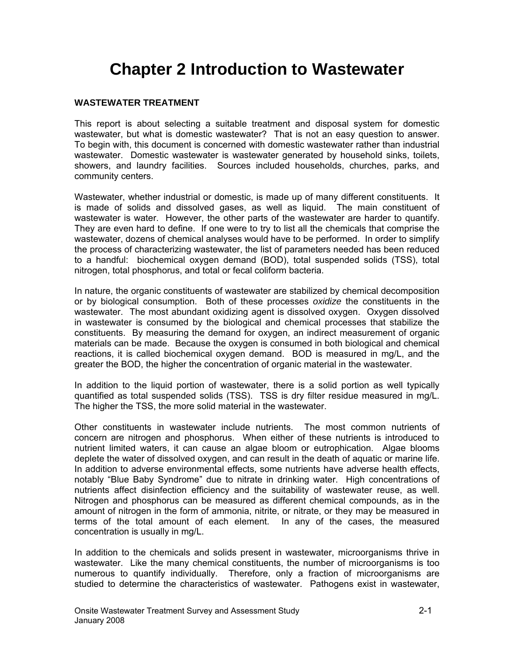## **Chapter 2 Introduction to Wastewater**

#### **WASTEWATER TREATMENT**

This report is about selecting a suitable treatment and disposal system for domestic wastewater, but what is domestic wastewater? That is not an easy question to answer. To begin with, this document is concerned with domestic wastewater rather than industrial wastewater. Domestic wastewater is wastewater generated by household sinks, toilets, showers, and laundry facilities. Sources included households, churches, parks, and community centers.

Wastewater, whether industrial or domestic, is made up of many different constituents. It is made of solids and dissolved gases, as well as liquid. The main constituent of wastewater is water. However, the other parts of the wastewater are harder to quantify. They are even hard to define. If one were to try to list all the chemicals that comprise the wastewater, dozens of chemical analyses would have to be performed. In order to simplify the process of characterizing wastewater, the list of parameters needed has been reduced to a handful: biochemical oxygen demand (BOD), total suspended solids (TSS), total nitrogen, total phosphorus, and total or fecal coliform bacteria.

In nature, the organic constituents of wastewater are stabilized by chemical decomposition or by biological consumption. Both of these processes *oxidize* the constituents in the wastewater. The most abundant oxidizing agent is dissolved oxygen. Oxygen dissolved in wastewater is consumed by the biological and chemical processes that stabilize the constituents. By measuring the demand for oxygen, an indirect measurement of organic materials can be made. Because the oxygen is consumed in both biological and chemical reactions, it is called biochemical oxygen demand. BOD is measured in mg/L, and the greater the BOD, the higher the concentration of organic material in the wastewater.

In addition to the liquid portion of wastewater, there is a solid portion as well typically quantified as total suspended solids (TSS). TSS is dry filter residue measured in mg/L. The higher the TSS, the more solid material in the wastewater.

Other constituents in wastewater include nutrients. The most common nutrients of concern are nitrogen and phosphorus. When either of these nutrients is introduced to nutrient limited waters, it can cause an algae bloom or eutrophication. Algae blooms deplete the water of dissolved oxygen, and can result in the death of aquatic or marine life. In addition to adverse environmental effects, some nutrients have adverse health effects, notably "Blue Baby Syndrome" due to nitrate in drinking water. High concentrations of nutrients affect disinfection efficiency and the suitability of wastewater reuse, as well. Nitrogen and phosphorus can be measured as different chemical compounds, as in the amount of nitrogen in the form of ammonia, nitrite, or nitrate, or they may be measured in terms of the total amount of each element. In any of the cases, the measured concentration is usually in mg/L.

In addition to the chemicals and solids present in wastewater, microorganisms thrive in wastewater. Like the many chemical constituents, the number of microorganisms is too numerous to quantify individually. Therefore, only a fraction of microorganisms are studied to determine the characteristics of wastewater. Pathogens exist in wastewater,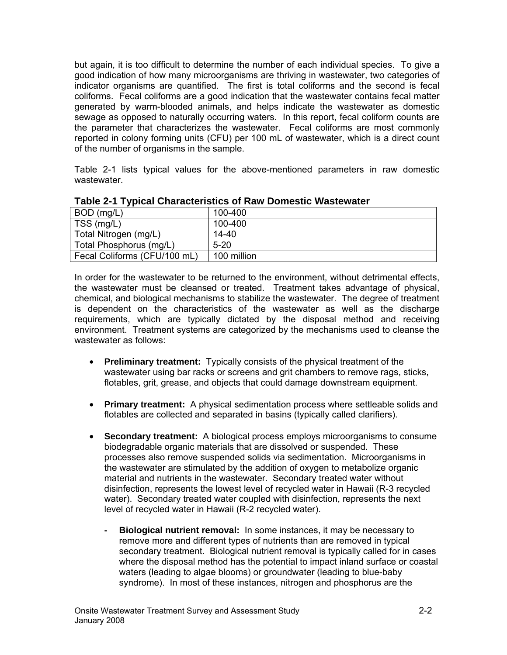but again, it is too difficult to determine the number of each individual species. To give a good indication of how many microorganisms are thriving in wastewater, two categories of indicator organisms are quantified. The first is total coliforms and the second is fecal coliforms. Fecal coliforms are a good indication that the wastewater contains fecal matter generated by warm-blooded animals, and helps indicate the wastewater as domestic sewage as opposed to naturally occurring waters. In this report, fecal coliform counts are the parameter that characterizes the wastewater. Fecal coliforms are most commonly reported in colony forming units (CFU) per 100 mL of wastewater, which is a direct count of the number of organisms in the sample.

Table 2-1 lists typical values for the above-mentioned parameters in raw domestic wastewater.

| BOD (mg/L)                   | 100-400     |
|------------------------------|-------------|
| TSS (mg/L)                   | 100-400     |
| Total Nitrogen (mg/L)        | $14 - 40$   |
| Total Phosphorus (mg/L)      | $5-20$      |
| Fecal Coliforms (CFU/100 mL) | 100 million |

**Table 2-1 Typical Characteristics of Raw Domestic Wastewater** 

In order for the wastewater to be returned to the environment, without detrimental effects, the wastewater must be cleansed or treated. Treatment takes advantage of physical, chemical, and biological mechanisms to stabilize the wastewater. The degree of treatment is dependent on the characteristics of the wastewater as well as the discharge requirements, which are typically dictated by the disposal method and receiving environment. Treatment systems are categorized by the mechanisms used to cleanse the wastewater as follows:

- **Preliminary treatment:** Typically consists of the physical treatment of the wastewater using bar racks or screens and grit chambers to remove rags, sticks, flotables, grit, grease, and objects that could damage downstream equipment.
- **Primary treatment:** A physical sedimentation process where settleable solids and flotables are collected and separated in basins (typically called clarifiers).
- **Secondary treatment:** A biological process employs microorganisms to consume biodegradable organic materials that are dissolved or suspended. These processes also remove suspended solids via sedimentation. Microorganisms in the wastewater are stimulated by the addition of oxygen to metabolize organic material and nutrients in the wastewater. Secondary treated water without disinfection, represents the lowest level of recycled water in Hawaii (R-3 recycled water). Secondary treated water coupled with disinfection, represents the next level of recycled water in Hawaii (R-2 recycled water).
	- **Biological nutrient removal:** In some instances, it may be necessary to remove more and different types of nutrients than are removed in typical secondary treatment. Biological nutrient removal is typically called for in cases where the disposal method has the potential to impact inland surface or coastal waters (leading to algae blooms) or groundwater (leading to blue-baby syndrome). In most of these instances, nitrogen and phosphorus are the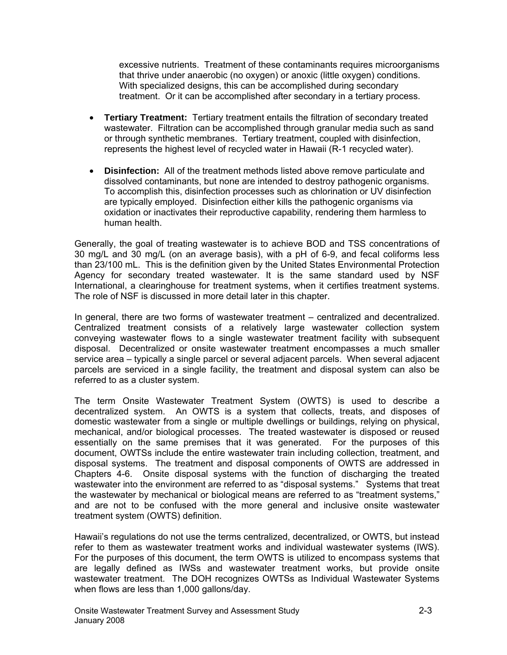excessive nutrients. Treatment of these contaminants requires microorganisms that thrive under anaerobic (no oxygen) or anoxic (little oxygen) conditions. With specialized designs, this can be accomplished during secondary treatment. Or it can be accomplished after secondary in a tertiary process.

- **Tertiary Treatment:** Tertiary treatment entails the filtration of secondary treated wastewater. Filtration can be accomplished through granular media such as sand or through synthetic membranes. Tertiary treatment, coupled with disinfection, represents the highest level of recycled water in Hawaii (R-1 recycled water).
- **Disinfection:** All of the treatment methods listed above remove particulate and dissolved contaminants, but none are intended to destroy pathogenic organisms. To accomplish this, disinfection processes such as chlorination or UV disinfection are typically employed. Disinfection either kills the pathogenic organisms via oxidation or inactivates their reproductive capability, rendering them harmless to human health.

Generally, the goal of treating wastewater is to achieve BOD and TSS concentrations of 30 mg/L and 30 mg/L (on an average basis), with a pH of 6-9, and fecal coliforms less than 23/100 mL. This is the definition given by the United States Environmental Protection Agency for secondary treated wastewater. It is the same standard used by NSF International, a clearinghouse for treatment systems, when it certifies treatment systems. The role of NSF is discussed in more detail later in this chapter.

In general, there are two forms of wastewater treatment – centralized and decentralized. Centralized treatment consists of a relatively large wastewater collection system conveying wastewater flows to a single wastewater treatment facility with subsequent disposal. Decentralized or onsite wastewater treatment encompasses a much smaller service area – typically a single parcel or several adjacent parcels. When several adjacent parcels are serviced in a single facility, the treatment and disposal system can also be referred to as a cluster system.

The term Onsite Wastewater Treatment System (OWTS) is used to describe a decentralized system. An OWTS is a system that collects, treats, and disposes of domestic wastewater from a single or multiple dwellings or buildings, relying on physical, mechanical, and/or biological processes. The treated wastewater is disposed or reused essentially on the same premises that it was generated. For the purposes of this document, OWTSs include the entire wastewater train including collection, treatment, and disposal systems. The treatment and disposal components of OWTS are addressed in Chapters 4-6. Onsite disposal systems with the function of discharging the treated wastewater into the environment are referred to as "disposal systems." Systems that treat the wastewater by mechanical or biological means are referred to as "treatment systems," and are not to be confused with the more general and inclusive onsite wastewater treatment system (OWTS) definition.

Hawaii's regulations do not use the terms centralized, decentralized, or OWTS, but instead refer to them as wastewater treatment works and individual wastewater systems (IWS). For the purposes of this document, the term OWTS is utilized to encompass systems that are legally defined as IWSs and wastewater treatment works, but provide onsite wastewater treatment. The DOH recognizes OWTSs as Individual Wastewater Systems when flows are less than 1,000 gallons/day.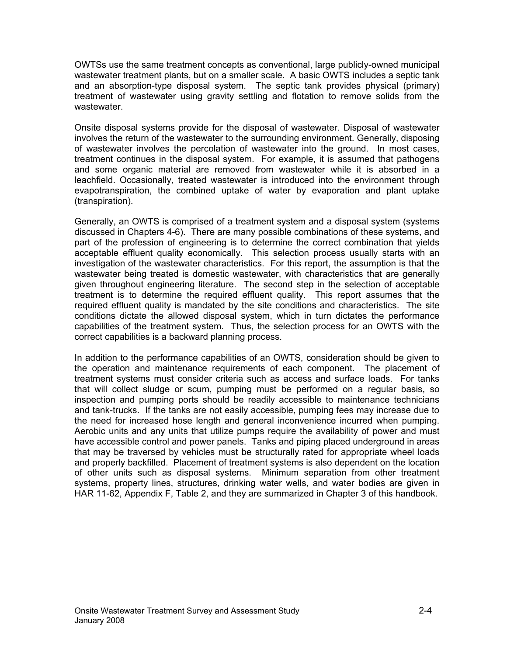OWTSs use the same treatment concepts as conventional, large publicly-owned municipal wastewater treatment plants, but on a smaller scale. A basic OWTS includes a septic tank and an absorption-type disposal system. The septic tank provides physical (primary) treatment of wastewater using gravity settling and flotation to remove solids from the wastewater.

Onsite disposal systems provide for the disposal of wastewater. Disposal of wastewater involves the return of the wastewater to the surrounding environment. Generally, disposing of wastewater involves the percolation of wastewater into the ground. In most cases, treatment continues in the disposal system. For example, it is assumed that pathogens and some organic material are removed from wastewater while it is absorbed in a leachfield. Occasionally, treated wastewater is introduced into the environment through evapotranspiration, the combined uptake of water by evaporation and plant uptake (transpiration).

Generally, an OWTS is comprised of a treatment system and a disposal system (systems discussed in Chapters 4-6). There are many possible combinations of these systems, and part of the profession of engineering is to determine the correct combination that yields acceptable effluent quality economically. This selection process usually starts with an investigation of the wastewater characteristics. For this report, the assumption is that the wastewater being treated is domestic wastewater, with characteristics that are generally given throughout engineering literature. The second step in the selection of acceptable treatment is to determine the required effluent quality. This report assumes that the required effluent quality is mandated by the site conditions and characteristics. The site conditions dictate the allowed disposal system, which in turn dictates the performance capabilities of the treatment system. Thus, the selection process for an OWTS with the correct capabilities is a backward planning process.

In addition to the performance capabilities of an OWTS, consideration should be given to the operation and maintenance requirements of each component. The placement of treatment systems must consider criteria such as access and surface loads. For tanks that will collect sludge or scum, pumping must be performed on a regular basis, so inspection and pumping ports should be readily accessible to maintenance technicians and tank-trucks. If the tanks are not easily accessible, pumping fees may increase due to the need for increased hose length and general inconvenience incurred when pumping. Aerobic units and any units that utilize pumps require the availability of power and must have accessible control and power panels. Tanks and piping placed underground in areas that may be traversed by vehicles must be structurally rated for appropriate wheel loads and properly backfilled. Placement of treatment systems is also dependent on the location of other units such as disposal systems. Minimum separation from other treatment systems, property lines, structures, drinking water wells, and water bodies are given in HAR 11-62, Appendix F, Table 2, and they are summarized in Chapter 3 of this handbook.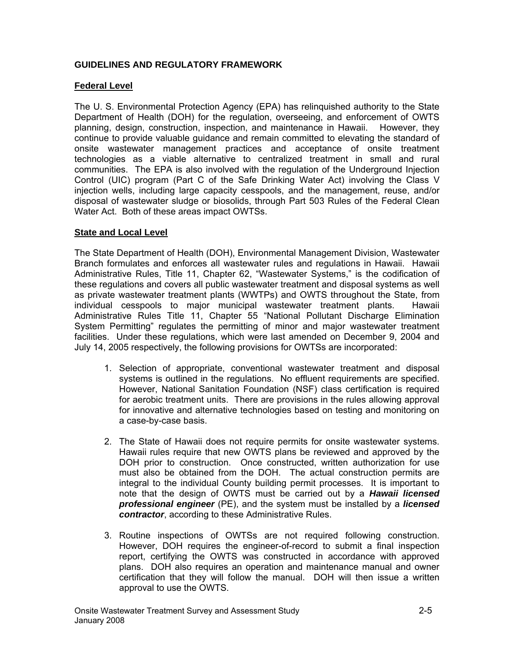## **GUIDELINES AND REGULATORY FRAMEWORK**

#### **Federal Level**

The U. S. Environmental Protection Agency (EPA) has relinquished authority to the State Department of Health (DOH) for the regulation, overseeing, and enforcement of OWTS planning, design, construction, inspection, and maintenance in Hawaii. However, they continue to provide valuable guidance and remain committed to elevating the standard of onsite wastewater management practices and acceptance of onsite treatment technologies as a viable alternative to centralized treatment in small and rural communities. The EPA is also involved with the regulation of the Underground Injection Control (UIC) program (Part C of the Safe Drinking Water Act) involving the Class V injection wells, including large capacity cesspools, and the management, reuse, and/or disposal of wastewater sludge or biosolids, through Part 503 Rules of the Federal Clean Water Act. Both of these areas impact OWTSs.

#### **State and Local Level**

The State Department of Health (DOH), Environmental Management Division, Wastewater Branch formulates and enforces all wastewater rules and regulations in Hawaii. Hawaii Administrative Rules, Title 11, Chapter 62, "Wastewater Systems," is the codification of these regulations and covers all public wastewater treatment and disposal systems as well as private wastewater treatment plants (WWTPs) and OWTS throughout the State, from individual cesspools to major municipal wastewater treatment plants. Hawaii Administrative Rules Title 11, Chapter 55 "National Pollutant Discharge Elimination System Permitting" regulates the permitting of minor and major wastewater treatment facilities. Under these regulations, which were last amended on December 9, 2004 and July 14, 2005 respectively, the following provisions for OWTSs are incorporated:

- 1. Selection of appropriate, conventional wastewater treatment and disposal systems is outlined in the regulations. No effluent requirements are specified. However, National Sanitation Foundation (NSF) class certification is required for aerobic treatment units. There are provisions in the rules allowing approval for innovative and alternative technologies based on testing and monitoring on a case-by-case basis.
- 2. The State of Hawaii does not require permits for onsite wastewater systems. Hawaii rules require that new OWTS plans be reviewed and approved by the DOH prior to construction. Once constructed, written authorization for use must also be obtained from the DOH. The actual construction permits are integral to the individual County building permit processes. It is important to note that the design of OWTS must be carried out by a *Hawaii licensed professional engineer* (PE), and the system must be installed by a *licensed contractor*, according to these Administrative Rules.
- 3. Routine inspections of OWTSs are not required following construction. However, DOH requires the engineer-of-record to submit a final inspection report, certifying the OWTS was constructed in accordance with approved plans. DOH also requires an operation and maintenance manual and owner certification that they will follow the manual. DOH will then issue a written approval to use the OWTS.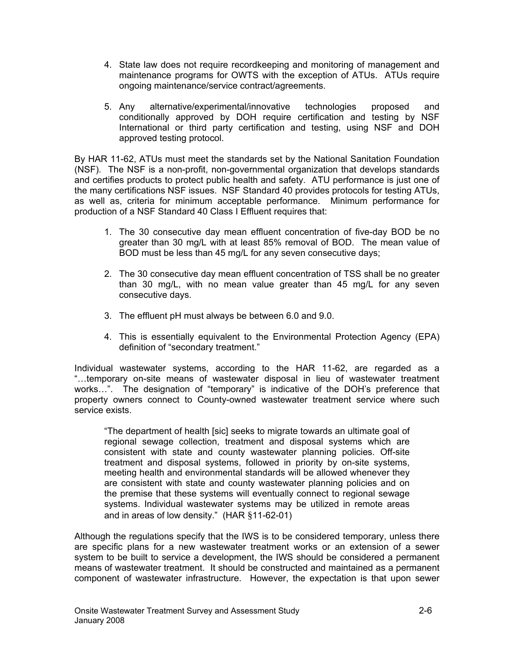- 4. State law does not require recordkeeping and monitoring of management and maintenance programs for OWTS with the exception of ATUs. ATUs require ongoing maintenance/service contract/agreements.
- 5. Any alternative/experimental/innovative technologies proposed and conditionally approved by DOH require certification and testing by NSF International or third party certification and testing, using NSF and DOH approved testing protocol.

By HAR 11-62, ATUs must meet the standards set by the National Sanitation Foundation (NSF). The NSF is a non-profit, non-governmental organization that develops standards and certifies products to protect public health and safety. ATU performance is just one of the many certifications NSF issues. NSF Standard 40 provides protocols for testing ATUs, as well as, criteria for minimum acceptable performance. Minimum performance for production of a NSF Standard 40 Class I Effluent requires that:

- 1. The 30 consecutive day mean effluent concentration of five-day BOD be no greater than 30 mg/L with at least 85% removal of BOD. The mean value of BOD must be less than 45 mg/L for any seven consecutive days;
- 2. The 30 consecutive day mean effluent concentration of TSS shall be no greater than 30 mg/L, with no mean value greater than 45 mg/L for any seven consecutive days.
- 3. The effluent pH must always be between 6.0 and 9.0.
- 4. This is essentially equivalent to the Environmental Protection Agency (EPA) definition of "secondary treatment."

Individual wastewater systems, according to the HAR 11-62, are regarded as a "…temporary on-site means of wastewater disposal in lieu of wastewater treatment works…". The designation of "temporary" is indicative of the DOH's preference that property owners connect to County-owned wastewater treatment service where such service exists.

"The department of health [sic] seeks to migrate towards an ultimate goal of regional sewage collection, treatment and disposal systems which are consistent with state and county wastewater planning policies. Off-site treatment and disposal systems, followed in priority by on-site systems, meeting health and environmental standards will be allowed whenever they are consistent with state and county wastewater planning policies and on the premise that these systems will eventually connect to regional sewage systems. Individual wastewater systems may be utilized in remote areas and in areas of low density." (HAR §11-62-01)

Although the regulations specify that the IWS is to be considered temporary, unless there are specific plans for a new wastewater treatment works or an extension of a sewer system to be built to service a development, the IWS should be considered a permanent means of wastewater treatment. It should be constructed and maintained as a permanent component of wastewater infrastructure. However, the expectation is that upon sewer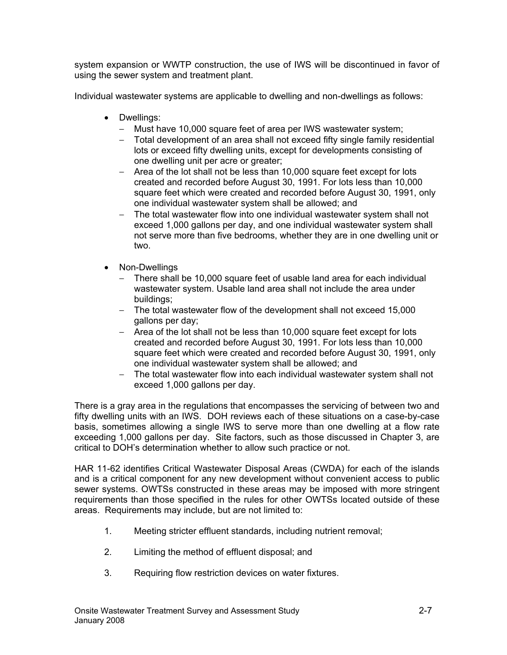system expansion or WWTP construction, the use of IWS will be discontinued in favor of using the sewer system and treatment plant.

Individual wastewater systems are applicable to dwelling and non-dwellings as follows:

- Dwellings:
	- − Must have 10,000 square feet of area per IWS wastewater system;
	- − Total development of an area shall not exceed fifty single family residential lots or exceed fifty dwelling units, except for developments consisting of one dwelling unit per acre or greater;
	- − Area of the lot shall not be less than 10,000 square feet except for lots created and recorded before August 30, 1991. For lots less than 10,000 square feet which were created and recorded before August 30, 1991, only one individual wastewater system shall be allowed; and
	- The total wastewater flow into one individual wastewater system shall not exceed 1,000 gallons per day, and one individual wastewater system shall not serve more than five bedrooms, whether they are in one dwelling unit or two.
- Non-Dwellings
	- − There shall be 10,000 square feet of usable land area for each individual wastewater system. Usable land area shall not include the area under buildings;
	- − The total wastewater flow of the development shall not exceed 15,000 gallons per day;
	- − Area of the lot shall not be less than 10,000 square feet except for lots created and recorded before August 30, 1991. For lots less than 10,000 square feet which were created and recorded before August 30, 1991, only one individual wastewater system shall be allowed; and
	- − The total wastewater flow into each individual wastewater system shall not exceed 1,000 gallons per day.

There is a gray area in the regulations that encompasses the servicing of between two and fifty dwelling units with an IWS. DOH reviews each of these situations on a case-by-case basis, sometimes allowing a single IWS to serve more than one dwelling at a flow rate exceeding 1,000 gallons per day. Site factors, such as those discussed in Chapter 3, are critical to DOH's determination whether to allow such practice or not.

HAR 11-62 identifies Critical Wastewater Disposal Areas (CWDA) for each of the islands and is a critical component for any new development without convenient access to public sewer systems. OWTSs constructed in these areas may be imposed with more stringent requirements than those specified in the rules for other OWTSs located outside of these areas. Requirements may include, but are not limited to:

- 1. Meeting stricter effluent standards, including nutrient removal;
- 2. Limiting the method of effluent disposal; and
- 3. Requiring flow restriction devices on water fixtures.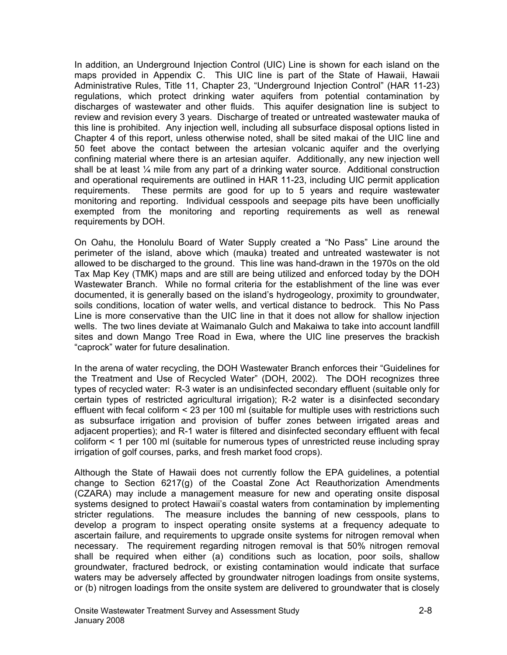In addition, an Underground Injection Control (UIC) Line is shown for each island on the maps provided in Appendix C. This UIC line is part of the State of Hawaii, Hawaii Administrative Rules, Title 11, Chapter 23, "Underground Injection Control" (HAR 11-23) regulations, which protect drinking water aquifers from potential contamination by discharges of wastewater and other fluids. This aquifer designation line is subject to review and revision every 3 years. Discharge of treated or untreated wastewater mauka of this line is prohibited. Any injection well, including all subsurface disposal options listed in Chapter 4 of this report, unless otherwise noted, shall be sited makai of the UIC line and 50 feet above the contact between the artesian volcanic aquifer and the overlying confining material where there is an artesian aquifer. Additionally, any new injection well shall be at least  $\frac{1}{4}$  mile from any part of a drinking water source. Additional construction and operational requirements are outlined in HAR 11-23, including UIC permit application requirements. These permits are good for up to 5 years and require wastewater monitoring and reporting. Individual cesspools and seepage pits have been unofficially exempted from the monitoring and reporting requirements as well as renewal requirements by DOH.

On Oahu, the Honolulu Board of Water Supply created a "No Pass" Line around the perimeter of the island, above which (mauka) treated and untreated wastewater is not allowed to be discharged to the ground. This line was hand-drawn in the 1970s on the old Tax Map Key (TMK) maps and are still are being utilized and enforced today by the DOH Wastewater Branch. While no formal criteria for the establishment of the line was ever documented, it is generally based on the island's hydrogeology, proximity to groundwater, soils conditions, location of water wells, and vertical distance to bedrock. This No Pass Line is more conservative than the UIC line in that it does not allow for shallow injection wells. The two lines deviate at Waimanalo Gulch and Makaiwa to take into account landfill sites and down Mango Tree Road in Ewa, where the UIC line preserves the brackish "caprock" water for future desalination.

In the arena of water recycling, the DOH Wastewater Branch enforces their "Guidelines for the Treatment and Use of Recycled Water" (DOH, 2002). The DOH recognizes three types of recycled water: R-3 water is an undisinfected secondary effluent (suitable only for certain types of restricted agricultural irrigation); R-2 water is a disinfected secondary effluent with fecal coliform < 23 per 100 ml (suitable for multiple uses with restrictions such as subsurface irrigation and provision of buffer zones between irrigated areas and adjacent properties); and R-1 water is filtered and disinfected secondary effluent with fecal coliform < 1 per 100 ml (suitable for numerous types of unrestricted reuse including spray irrigation of golf courses, parks, and fresh market food crops).

Although the State of Hawaii does not currently follow the EPA guidelines, a potential change to Section 6217(g) of the Coastal Zone Act Reauthorization Amendments (CZARA) may include a management measure for new and operating onsite disposal systems designed to protect Hawaii's coastal waters from contamination by implementing stricter regulations. The measure includes the banning of new cesspools, plans to develop a program to inspect operating onsite systems at a frequency adequate to ascertain failure, and requirements to upgrade onsite systems for nitrogen removal when necessary. The requirement regarding nitrogen removal is that 50% nitrogen removal shall be required when either (a) conditions such as location, poor soils, shallow groundwater, fractured bedrock, or existing contamination would indicate that surface waters may be adversely affected by groundwater nitrogen loadings from onsite systems, or (b) nitrogen loadings from the onsite system are delivered to groundwater that is closely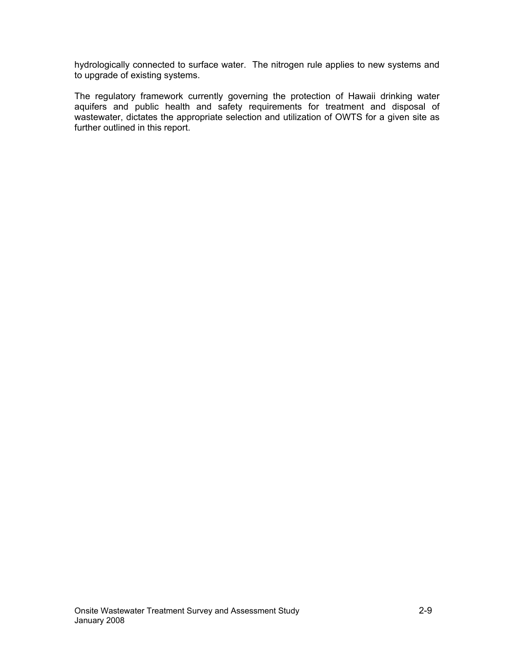hydrologically connected to surface water. The nitrogen rule applies to new systems and to upgrade of existing systems.

The regulatory framework currently governing the protection of Hawaii drinking water aquifers and public health and safety requirements for treatment and disposal of wastewater, dictates the appropriate selection and utilization of OWTS for a given site as further outlined in this report.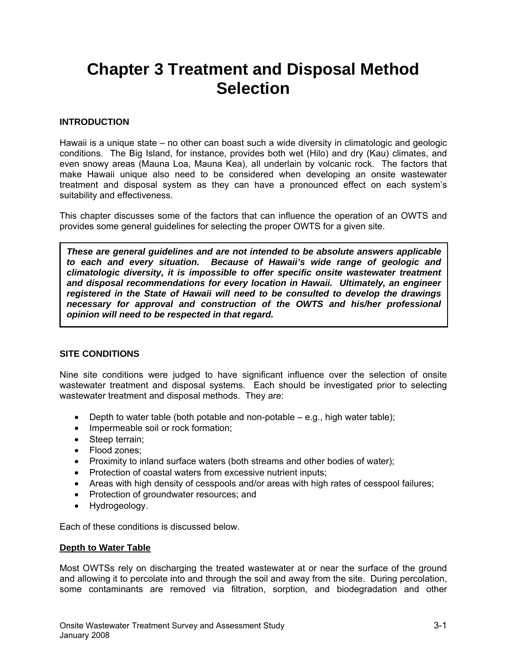# **Chapter 3 Treatment and Disposal Method Selection**

### **INTRODUCTION**

Hawaii is a unique state – no other can boast such a wide diversity in climatologic and geologic conditions. The Big Island, for instance, provides both wet (Hilo) and dry (Kau) climates, and even snowy areas (Mauna Loa, Mauna Kea), all underlain by volcanic rock. The factors that make Hawaii unique also need to be considered when developing an onsite wastewater treatment and disposal system as they can have a pronounced effect on each system's suitability and effectiveness.

This chapter discusses some of the factors that can influence the operation of an OWTS and provides some general guidelines for selecting the proper OWTS for a given site.

*These are general guidelines and are not intended to be absolute answers applicable to each and every situation. Because of Hawaii's wide range of geologic and climatologic diversity, it is impossible to offer specific onsite wastewater treatment and disposal recommendations for every location in Hawaii. Ultimately, an engineer registered in the State of Hawaii will need to be consulted to develop the drawings necessary for approval and construction of the OWTS and his/her professional opinion will need to be respected in that regard.* 

#### **SITE CONDITIONS**

Nine site conditions were judged to have significant influence over the selection of onsite wastewater treatment and disposal systems. Each should be investigated prior to selecting wastewater treatment and disposal methods. They are:

- Depth to water table (both potable and non-potable e.g., high water table);
- Impermeable soil or rock formation;
- Steep terrain:
- Flood zones;
- Proximity to inland surface waters (both streams and other bodies of water);
- Protection of coastal waters from excessive nutrient inputs;
- Areas with high density of cesspools and/or areas with high rates of cesspool failures;
- Protection of groundwater resources; and
- Hydrogeology.

Each of these conditions is discussed below.

#### **Depth to Water Table**

Most OWTSs rely on discharging the treated wastewater at or near the surface of the ground and allowing it to percolate into and through the soil and away from the site. During percolation, some contaminants are removed via filtration, sorption, and biodegradation and other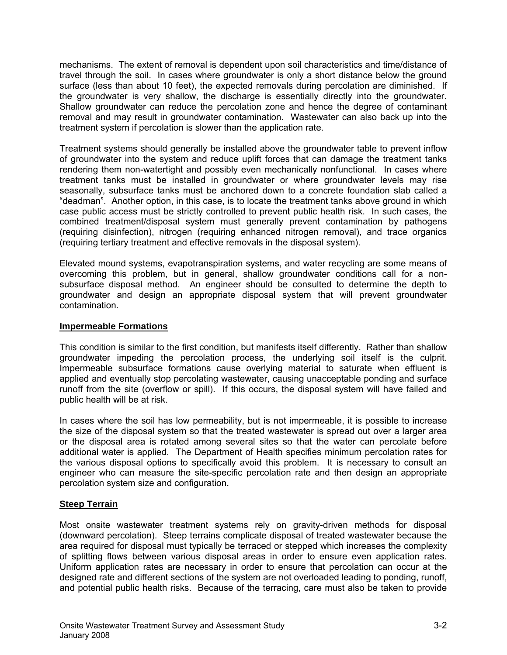mechanisms. The extent of removal is dependent upon soil characteristics and time/distance of travel through the soil. In cases where groundwater is only a short distance below the ground surface (less than about 10 feet), the expected removals during percolation are diminished. If the groundwater is very shallow, the discharge is essentially directly into the groundwater. Shallow groundwater can reduce the percolation zone and hence the degree of contaminant removal and may result in groundwater contamination. Wastewater can also back up into the treatment system if percolation is slower than the application rate.

Treatment systems should generally be installed above the groundwater table to prevent inflow of groundwater into the system and reduce uplift forces that can damage the treatment tanks rendering them non-watertight and possibly even mechanically nonfunctional. In cases where treatment tanks must be installed in groundwater or where groundwater levels may rise seasonally, subsurface tanks must be anchored down to a concrete foundation slab called a "deadman". Another option, in this case, is to locate the treatment tanks above ground in which case public access must be strictly controlled to prevent public health risk. In such cases, the combined treatment/disposal system must generally prevent contamination by pathogens (requiring disinfection), nitrogen (requiring enhanced nitrogen removal), and trace organics (requiring tertiary treatment and effective removals in the disposal system).

Elevated mound systems, evapotranspiration systems, and water recycling are some means of overcoming this problem, but in general, shallow groundwater conditions call for a nonsubsurface disposal method. An engineer should be consulted to determine the depth to groundwater and design an appropriate disposal system that will prevent groundwater contamination.

#### **Impermeable Formations**

This condition is similar to the first condition, but manifests itself differently. Rather than shallow groundwater impeding the percolation process, the underlying soil itself is the culprit. Impermeable subsurface formations cause overlying material to saturate when effluent is applied and eventually stop percolating wastewater, causing unacceptable ponding and surface runoff from the site (overflow or spill). If this occurs, the disposal system will have failed and public health will be at risk.

In cases where the soil has low permeability, but is not impermeable, it is possible to increase the size of the disposal system so that the treated wastewater is spread out over a larger area or the disposal area is rotated among several sites so that the water can percolate before additional water is applied. The Department of Health specifies minimum percolation rates for the various disposal options to specifically avoid this problem. It is necessary to consult an engineer who can measure the site-specific percolation rate and then design an appropriate percolation system size and configuration.

#### **Steep Terrain**

Most onsite wastewater treatment systems rely on gravity-driven methods for disposal (downward percolation). Steep terrains complicate disposal of treated wastewater because the area required for disposal must typically be terraced or stepped which increases the complexity of splitting flows between various disposal areas in order to ensure even application rates. Uniform application rates are necessary in order to ensure that percolation can occur at the designed rate and different sections of the system are not overloaded leading to ponding, runoff, and potential public health risks. Because of the terracing, care must also be taken to provide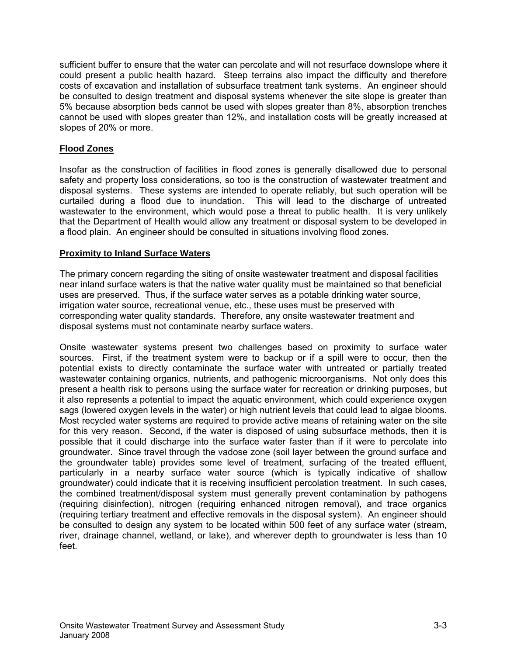sufficient buffer to ensure that the water can percolate and will not resurface downslope where it could present a public health hazard. Steep terrains also impact the difficulty and therefore costs of excavation and installation of subsurface treatment tank systems. An engineer should be consulted to design treatment and disposal systems whenever the site slope is greater than 5% because absorption beds cannot be used with slopes greater than 8%, absorption trenches cannot be used with slopes greater than 12%, and installation costs will be greatly increased at slopes of 20% or more.

### **Flood Zones**

Insofar as the construction of facilities in flood zones is generally disallowed due to personal safety and property loss considerations, so too is the construction of wastewater treatment and disposal systems. These systems are intended to operate reliably, but such operation will be curtailed during a flood due to inundation. This will lead to the discharge of untreated wastewater to the environment, which would pose a threat to public health. It is very unlikely that the Department of Health would allow any treatment or disposal system to be developed in a flood plain. An engineer should be consulted in situations involving flood zones.

#### **Proximity to Inland Surface Waters**

The primary concern regarding the siting of onsite wastewater treatment and disposal facilities near inland surface waters is that the native water quality must be maintained so that beneficial uses are preserved. Thus, if the surface water serves as a potable drinking water source, irrigation water source, recreational venue, etc., these uses must be preserved with corresponding water quality standards. Therefore, any onsite wastewater treatment and disposal systems must not contaminate nearby surface waters.

Onsite wastewater systems present two challenges based on proximity to surface water sources. First, if the treatment system were to backup or if a spill were to occur, then the potential exists to directly contaminate the surface water with untreated or partially treated wastewater containing organics, nutrients, and pathogenic microorganisms. Not only does this present a health risk to persons using the surface water for recreation or drinking purposes, but it also represents a potential to impact the aquatic environment, which could experience oxygen sags (lowered oxygen levels in the water) or high nutrient levels that could lead to algae blooms. Most recycled water systems are required to provide active means of retaining water on the site for this very reason. Second, if the water is disposed of using subsurface methods, then it is possible that it could discharge into the surface water faster than if it were to percolate into groundwater. Since travel through the vadose zone (soil layer between the ground surface and the groundwater table) provides some level of treatment, surfacing of the treated effluent, particularly in a nearby surface water source (which is typically indicative of shallow groundwater) could indicate that it is receiving insufficient percolation treatment. In such cases, the combined treatment/disposal system must generally prevent contamination by pathogens (requiring disinfection), nitrogen (requiring enhanced nitrogen removal), and trace organics (requiring tertiary treatment and effective removals in the disposal system). An engineer should be consulted to design any system to be located within 500 feet of any surface water (stream, river, drainage channel, wetland, or lake), and wherever depth to groundwater is less than 10 feet.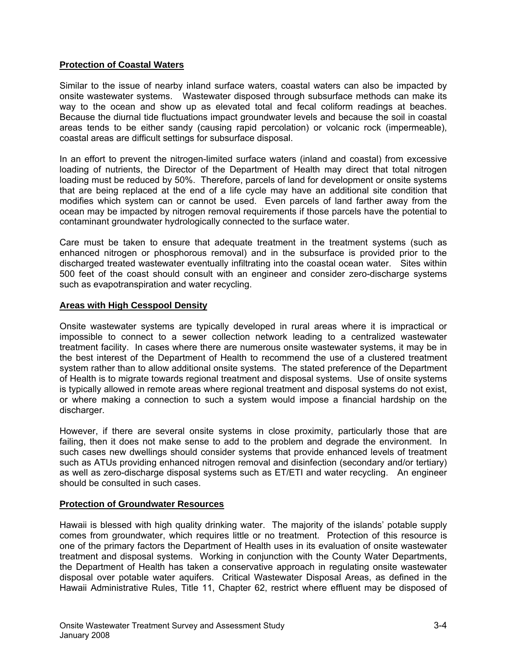#### **Protection of Coastal Waters**

Similar to the issue of nearby inland surface waters, coastal waters can also be impacted by onsite wastewater systems. Wastewater disposed through subsurface methods can make its way to the ocean and show up as elevated total and fecal coliform readings at beaches. Because the diurnal tide fluctuations impact groundwater levels and because the soil in coastal areas tends to be either sandy (causing rapid percolation) or volcanic rock (impermeable), coastal areas are difficult settings for subsurface disposal.

In an effort to prevent the nitrogen-limited surface waters (inland and coastal) from excessive loading of nutrients, the Director of the Department of Health may direct that total nitrogen loading must be reduced by 50%. Therefore, parcels of land for development or onsite systems that are being replaced at the end of a life cycle may have an additional site condition that modifies which system can or cannot be used. Even parcels of land farther away from the ocean may be impacted by nitrogen removal requirements if those parcels have the potential to contaminant groundwater hydrologically connected to the surface water.

Care must be taken to ensure that adequate treatment in the treatment systems (such as enhanced nitrogen or phosphorous removal) and in the subsurface is provided prior to the discharged treated wastewater eventually infiltrating into the coastal ocean water. Sites within 500 feet of the coast should consult with an engineer and consider zero-discharge systems such as evapotranspiration and water recycling.

#### **Areas with High Cesspool Density**

Onsite wastewater systems are typically developed in rural areas where it is impractical or impossible to connect to a sewer collection network leading to a centralized wastewater treatment facility. In cases where there are numerous onsite wastewater systems, it may be in the best interest of the Department of Health to recommend the use of a clustered treatment system rather than to allow additional onsite systems. The stated preference of the Department of Health is to migrate towards regional treatment and disposal systems. Use of onsite systems is typically allowed in remote areas where regional treatment and disposal systems do not exist, or where making a connection to such a system would impose a financial hardship on the discharger.

However, if there are several onsite systems in close proximity, particularly those that are failing, then it does not make sense to add to the problem and degrade the environment. In such cases new dwellings should consider systems that provide enhanced levels of treatment such as ATUs providing enhanced nitrogen removal and disinfection (secondary and/or tertiary) as well as zero-discharge disposal systems such as ET/ETI and water recycling. An engineer should be consulted in such cases.

#### **Protection of Groundwater Resources**

Hawaii is blessed with high quality drinking water. The majority of the islands' potable supply comes from groundwater, which requires little or no treatment. Protection of this resource is one of the primary factors the Department of Health uses in its evaluation of onsite wastewater treatment and disposal systems. Working in conjunction with the County Water Departments, the Department of Health has taken a conservative approach in regulating onsite wastewater disposal over potable water aquifers. Critical Wastewater Disposal Areas, as defined in the Hawaii Administrative Rules, Title 11, Chapter 62, restrict where effluent may be disposed of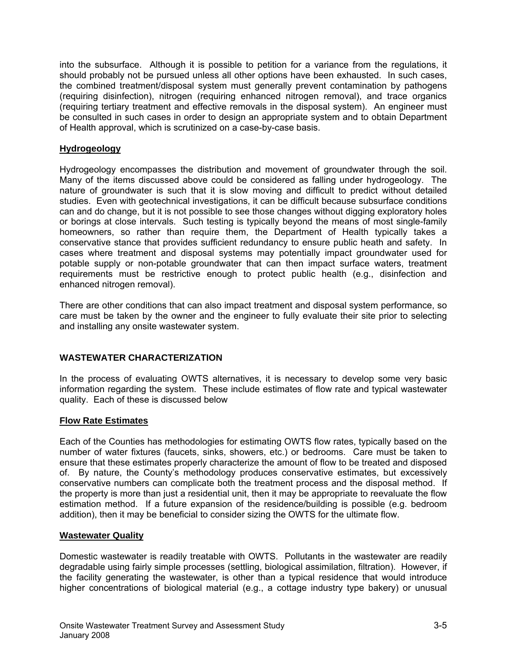into the subsurface. Although it is possible to petition for a variance from the regulations, it should probably not be pursued unless all other options have been exhausted. In such cases, the combined treatment/disposal system must generally prevent contamination by pathogens (requiring disinfection), nitrogen (requiring enhanced nitrogen removal), and trace organics (requiring tertiary treatment and effective removals in the disposal system). An engineer must be consulted in such cases in order to design an appropriate system and to obtain Department of Health approval, which is scrutinized on a case-by-case basis.

#### **Hydrogeology**

Hydrogeology encompasses the distribution and movement of groundwater through the soil. Many of the items discussed above could be considered as falling under hydrogeology. The nature of groundwater is such that it is slow moving and difficult to predict without detailed studies. Even with geotechnical investigations, it can be difficult because subsurface conditions can and do change, but it is not possible to see those changes without digging exploratory holes or borings at close intervals. Such testing is typically beyond the means of most single-family homeowners, so rather than require them, the Department of Health typically takes a conservative stance that provides sufficient redundancy to ensure public heath and safety. In cases where treatment and disposal systems may potentially impact groundwater used for potable supply or non-potable groundwater that can then impact surface waters, treatment requirements must be restrictive enough to protect public health (e.g., disinfection and enhanced nitrogen removal).

There are other conditions that can also impact treatment and disposal system performance, so care must be taken by the owner and the engineer to fully evaluate their site prior to selecting and installing any onsite wastewater system.

## **WASTEWATER CHARACTERIZATION**

In the process of evaluating OWTS alternatives, it is necessary to develop some very basic information regarding the system. These include estimates of flow rate and typical wastewater quality. Each of these is discussed below

#### **Flow Rate Estimates**

Each of the Counties has methodologies for estimating OWTS flow rates, typically based on the number of water fixtures (faucets, sinks, showers, etc.) or bedrooms. Care must be taken to ensure that these estimates properly characterize the amount of flow to be treated and disposed of. By nature, the County's methodology produces conservative estimates, but excessively conservative numbers can complicate both the treatment process and the disposal method. If the property is more than just a residential unit, then it may be appropriate to reevaluate the flow estimation method. If a future expansion of the residence/building is possible (e.g. bedroom addition), then it may be beneficial to consider sizing the OWTS for the ultimate flow.

#### **Wastewater Quality**

Domestic wastewater is readily treatable with OWTS. Pollutants in the wastewater are readily degradable using fairly simple processes (settling, biological assimilation, filtration). However, if the facility generating the wastewater, is other than a typical residence that would introduce higher concentrations of biological material (e.g., a cottage industry type bakery) or unusual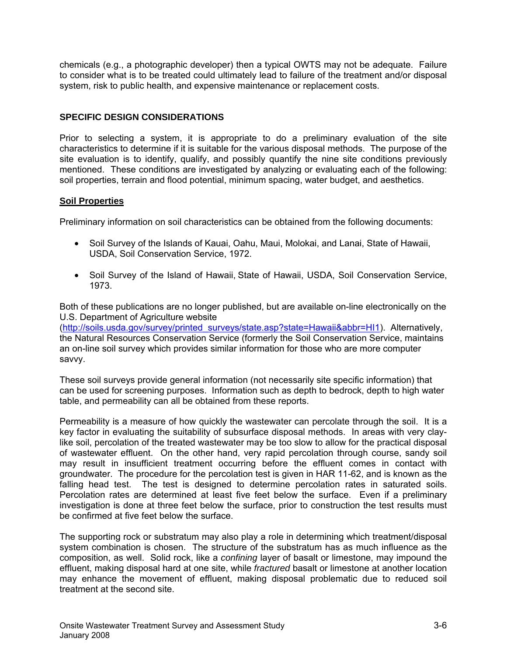chemicals (e.g., a photographic developer) then a typical OWTS may not be adequate. Failure to consider what is to be treated could ultimately lead to failure of the treatment and/or disposal system, risk to public health, and expensive maintenance or replacement costs.

### **SPECIFIC DESIGN CONSIDERATIONS**

Prior to selecting a system, it is appropriate to do a preliminary evaluation of the site characteristics to determine if it is suitable for the various disposal methods. The purpose of the site evaluation is to identify, qualify, and possibly quantify the nine site conditions previously mentioned. These conditions are investigated by analyzing or evaluating each of the following: soil properties, terrain and flood potential, minimum spacing, water budget, and aesthetics.

#### **Soil Properties**

Preliminary information on soil characteristics can be obtained from the following documents:

- Soil Survey of the Islands of Kauai, Oahu, Maui, Molokai, and Lanai, State of Hawaii, USDA, Soil Conservation Service, 1972.
- Soil Survey of the Island of Hawaii, State of Hawaii, USDA, Soil Conservation Service, 1973.

Both of these publications are no longer published, but are available on-line electronically on the U.S. Department of Agriculture website (http://soils.usda.gov/survey/printed\_surveys/state.asp?state=Hawaii&abbr=HI1). Alternatively, the Natural Resources Conservation Service (formerly the Soil Conservation Service, maintains an on-line soil survey which provides similar information for those who are more computer savvy.

These soil surveys provide general information (not necessarily site specific information) that can be used for screening purposes. Information such as depth to bedrock, depth to high water table, and permeability can all be obtained from these reports.

Permeability is a measure of how quickly the wastewater can percolate through the soil. It is a key factor in evaluating the suitability of subsurface disposal methods. In areas with very claylike soil, percolation of the treated wastewater may be too slow to allow for the practical disposal of wastewater effluent. On the other hand, very rapid percolation through course, sandy soil may result in insufficient treatment occurring before the effluent comes in contact with groundwater. The procedure for the percolation test is given in HAR 11-62, and is known as the falling head test. The test is designed to determine percolation rates in saturated soils. Percolation rates are determined at least five feet below the surface. Even if a preliminary investigation is done at three feet below the surface, prior to construction the test results must be confirmed at five feet below the surface.

The supporting rock or substratum may also play a role in determining which treatment/disposal system combination is chosen. The structure of the substratum has as much influence as the composition, as well. Solid rock, like a *confining* layer of basalt or limestone, may impound the effluent, making disposal hard at one site, while *fractured* basalt or limestone at another location may enhance the movement of effluent, making disposal problematic due to reduced soil treatment at the second site.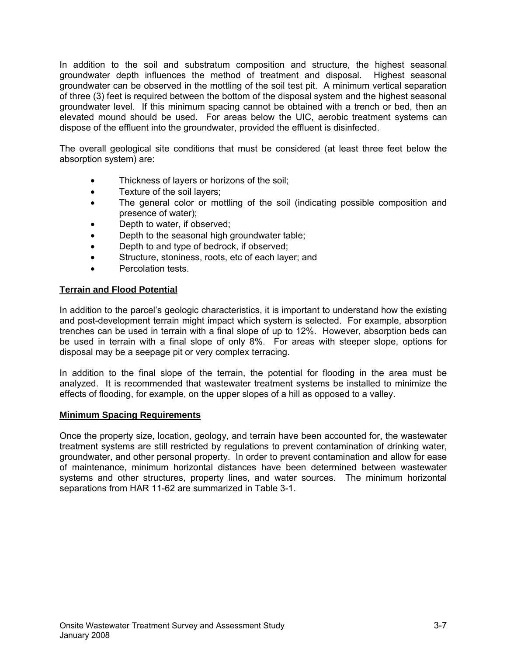In addition to the soil and substratum composition and structure, the highest seasonal groundwater depth influences the method of treatment and disposal. Highest seasonal groundwater can be observed in the mottling of the soil test pit. A minimum vertical separation of three (3) feet is required between the bottom of the disposal system and the highest seasonal groundwater level. If this minimum spacing cannot be obtained with a trench or bed, then an elevated mound should be used. For areas below the UIC, aerobic treatment systems can dispose of the effluent into the groundwater, provided the effluent is disinfected.

The overall geological site conditions that must be considered (at least three feet below the absorption system) are:

- Thickness of layers or horizons of the soil;
- Texture of the soil layers;
- The general color or mottling of the soil (indicating possible composition and presence of water);
- Depth to water, if observed;
- Depth to the seasonal high groundwater table;
- Depth to and type of bedrock, if observed;
- Structure, stoniness, roots, etc of each layer; and
- Percolation tests.

#### **Terrain and Flood Potential**

In addition to the parcel's geologic characteristics, it is important to understand how the existing and post-development terrain might impact which system is selected. For example, absorption trenches can be used in terrain with a final slope of up to 12%. However, absorption beds can be used in terrain with a final slope of only 8%. For areas with steeper slope, options for disposal may be a seepage pit or very complex terracing.

In addition to the final slope of the terrain, the potential for flooding in the area must be analyzed. It is recommended that wastewater treatment systems be installed to minimize the effects of flooding, for example, on the upper slopes of a hill as opposed to a valley.

#### **Minimum Spacing Requirements**

Once the property size, location, geology, and terrain have been accounted for, the wastewater treatment systems are still restricted by regulations to prevent contamination of drinking water, groundwater, and other personal property. In order to prevent contamination and allow for ease of maintenance, minimum horizontal distances have been determined between wastewater systems and other structures, property lines, and water sources. The minimum horizontal separations from HAR 11-62 are summarized in Table 3-1.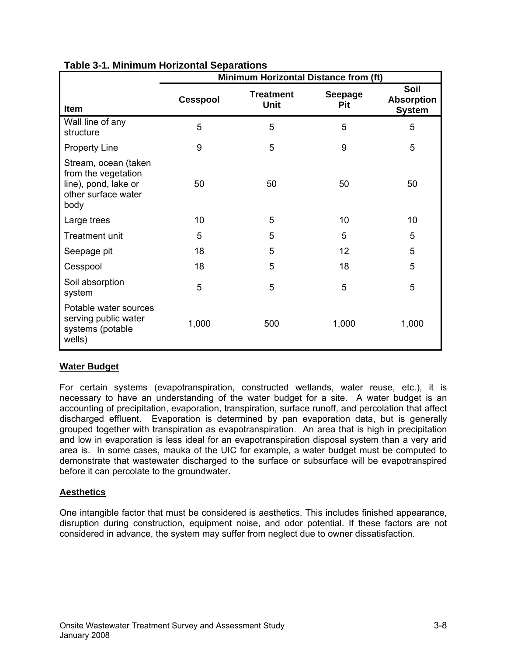|                                                                                                    | Minimum Horizontal Distance from (ft) |                          |                              |                                            |  |  |  |  |  |  |
|----------------------------------------------------------------------------------------------------|---------------------------------------|--------------------------|------------------------------|--------------------------------------------|--|--|--|--|--|--|
| <b>Item</b>                                                                                        | <b>Cesspool</b>                       | <b>Treatment</b><br>Unit | <b>Seepage</b><br><b>Pit</b> | Soil<br><b>Absorption</b><br><b>System</b> |  |  |  |  |  |  |
| Wall line of any<br>structure                                                                      | 5                                     | 5                        | 5                            | 5                                          |  |  |  |  |  |  |
| <b>Property Line</b>                                                                               | 9                                     | 5                        | 9                            | 5                                          |  |  |  |  |  |  |
| Stream, ocean (taken<br>from the vegetation<br>line), pond, lake or<br>other surface water<br>body | 50                                    | 50                       | 50                           | 50                                         |  |  |  |  |  |  |
| Large trees                                                                                        | 10                                    | 5                        | 10                           | 10                                         |  |  |  |  |  |  |
| <b>Treatment unit</b>                                                                              | 5                                     | 5                        | 5                            | 5                                          |  |  |  |  |  |  |
| Seepage pit                                                                                        | 18                                    | 5                        | 12                           | 5                                          |  |  |  |  |  |  |
| Cesspool                                                                                           | 18                                    | 5                        | 18                           | 5                                          |  |  |  |  |  |  |
| Soil absorption<br>system                                                                          | 5                                     | 5                        | 5                            | 5                                          |  |  |  |  |  |  |
| Potable water sources<br>serving public water<br>systems (potable<br>wells)                        | 1,000                                 | 500                      | 1,000                        | 1,000                                      |  |  |  |  |  |  |

## **Table 3-1. Minimum Horizontal Separations**

#### **Water Budget**

For certain systems (evapotranspiration, constructed wetlands, water reuse, etc.), it is necessary to have an understanding of the water budget for a site. A water budget is an accounting of precipitation, evaporation, transpiration, surface runoff, and percolation that affect discharged effluent. Evaporation is determined by pan evaporation data, but is generally grouped together with transpiration as evapotranspiration. An area that is high in precipitation and low in evaporation is less ideal for an evapotranspiration disposal system than a very arid area is. In some cases, mauka of the UIC for example, a water budget must be computed to demonstrate that wastewater discharged to the surface or subsurface will be evapotranspired before it can percolate to the groundwater.

#### **Aesthetics**

One intangible factor that must be considered is aesthetics. This includes finished appearance, disruption during construction, equipment noise, and odor potential. If these factors are not considered in advance, the system may suffer from neglect due to owner dissatisfaction.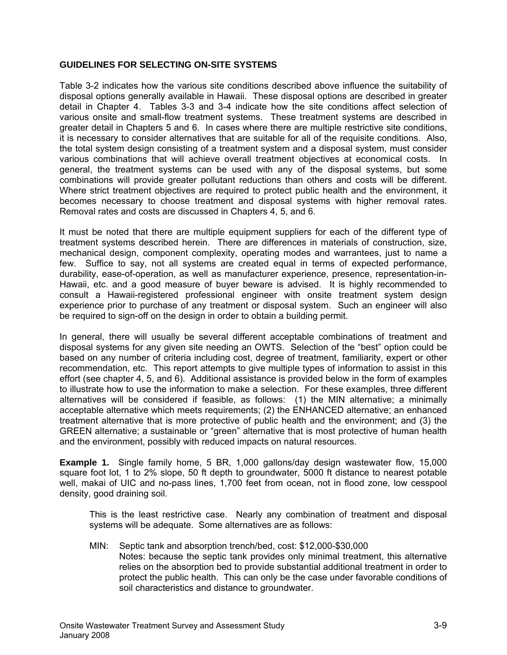#### **GUIDELINES FOR SELECTING ON-SITE SYSTEMS**

Table 3-2 indicates how the various site conditions described above influence the suitability of disposal options generally available in Hawaii. These disposal options are described in greater detail in Chapter 4. Tables 3-3 and 3-4 indicate how the site conditions affect selection of various onsite and small-flow treatment systems. These treatment systems are described in greater detail in Chapters 5 and 6. In cases where there are multiple restrictive site conditions, it is necessary to consider alternatives that are suitable for all of the requisite conditions. Also, the total system design consisting of a treatment system and a disposal system, must consider various combinations that will achieve overall treatment objectives at economical costs. In general, the treatment systems can be used with any of the disposal systems, but some combinations will provide greater pollutant reductions than others and costs will be different. Where strict treatment objectives are required to protect public health and the environment, it becomes necessary to choose treatment and disposal systems with higher removal rates. Removal rates and costs are discussed in Chapters 4, 5, and 6.

It must be noted that there are multiple equipment suppliers for each of the different type of treatment systems described herein. There are differences in materials of construction, size, mechanical design, component complexity, operating modes and warrantees, just to name a few. Suffice to say, not all systems are created equal in terms of expected performance, durability, ease-of-operation, as well as manufacturer experience, presence, representation-in-Hawaii, etc. and a good measure of buyer beware is advised. It is highly recommended to consult a Hawaii-registered professional engineer with onsite treatment system design experience prior to purchase of any treatment or disposal system. Such an engineer will also be required to sign-off on the design in order to obtain a building permit.

In general, there will usually be several different acceptable combinations of treatment and disposal systems for any given site needing an OWTS. Selection of the "best" option could be based on any number of criteria including cost, degree of treatment, familiarity, expert or other recommendation, etc. This report attempts to give multiple types of information to assist in this effort (see chapter 4, 5, and 6). Additional assistance is provided below in the form of examples to illustrate how to use the information to make a selection. For these examples, three different alternatives will be considered if feasible, as follows: (1) the MIN alternative; a minimally acceptable alternative which meets requirements; (2) the ENHANCED alternative; an enhanced treatment alternative that is more protective of public health and the environment; and (3) the GREEN alternative; a sustainable or "green" alternative that is most protective of human health and the environment, possibly with reduced impacts on natural resources.

**Example 1.** Single family home, 5 BR, 1,000 gallons/day design wastewater flow, 15,000 square foot lot, 1 to 2% slope, 50 ft depth to groundwater, 5000 ft distance to nearest potable well, makai of UIC and no-pass lines, 1,700 feet from ocean, not in flood zone, low cesspool density, good draining soil.

This is the least restrictive case. Nearly any combination of treatment and disposal systems will be adequate. Some alternatives are as follows:

MIN: Septic tank and absorption trench/bed, cost: \$12,000-\$30,000 Notes: because the septic tank provides only minimal treatment, this alternative relies on the absorption bed to provide substantial additional treatment in order to protect the public health. This can only be the case under favorable conditions of soil characteristics and distance to groundwater.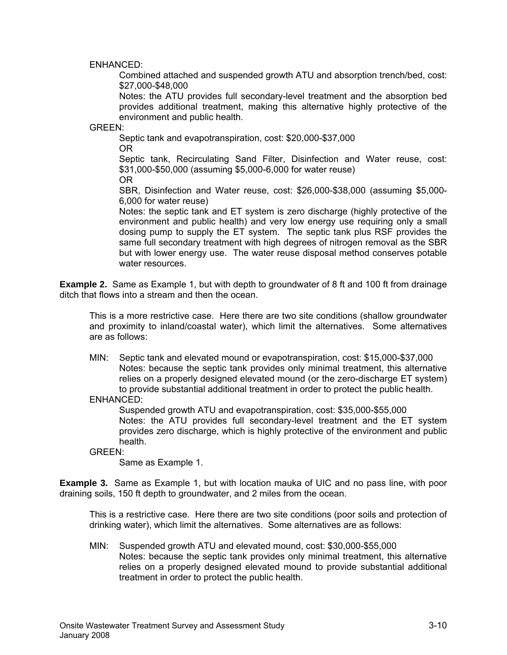ENHANCED:

Combined attached and suspended growth ATU and absorption trench/bed, cost: \$27,000-\$48,000

Notes: the ATU provides full secondary-level treatment and the absorption bed provides additional treatment, making this alternative highly protective of the environment and public health.

GREEN:

 Septic tank and evapotranspiration, cost: \$20,000-\$37,000 OR

Septic tank, Recirculating Sand Filter, Disinfection and Water reuse, cost: \$31,000-\$50,000 (assuming \$5,000-6,000 for water reuse) OR

SBR, Disinfection and Water reuse, cost: \$26,000-\$38,000 (assuming \$5,000- 6,000 for water reuse)

Notes: the septic tank and ET system is zero discharge (highly protective of the environment and public health) and very low energy use requiring only a small dosing pump to supply the ET system. The septic tank plus RSF provides the same full secondary treatment with high degrees of nitrogen removal as the SBR but with lower energy use. The water reuse disposal method conserves potable water resources.

**Example 2.** Same as Example 1, but with depth to groundwater of 8 ft and 100 ft from drainage ditch that flows into a stream and then the ocean.

This is a more restrictive case. Here there are two site conditions (shallow groundwater and proximity to inland/coastal water), which limit the alternatives. Some alternatives are as follows:

MIN: Septic tank and elevated mound or evapotranspiration, cost: \$15,000-\$37,000 Notes: because the septic tank provides only minimal treatment, this alternative relies on a properly designed elevated mound (or the zero-discharge ET system) to provide substantial additional treatment in order to protect the public health.

#### ENHANCED:

Suspended growth ATU and evapotranspiration, cost: \$35,000-\$55,000 Notes: the ATU provides full secondary-level treatment and the ET system provides zero discharge, which is highly protective of the environment and public health.

GREEN:

Same as Example 1.

**Example 3.** Same as Example 1, but with location mauka of UIC and no pass line, with poor draining soils, 150 ft depth to groundwater, and 2 miles from the ocean.

This is a restrictive case. Here there are two site conditions (poor soils and protection of drinking water), which limit the alternatives. Some alternatives are as follows:

MIN: Suspended growth ATU and elevated mound, cost: \$30,000-\$55,000 Notes: because the septic tank provides only minimal treatment, this alternative relies on a properly designed elevated mound to provide substantial additional treatment in order to protect the public health.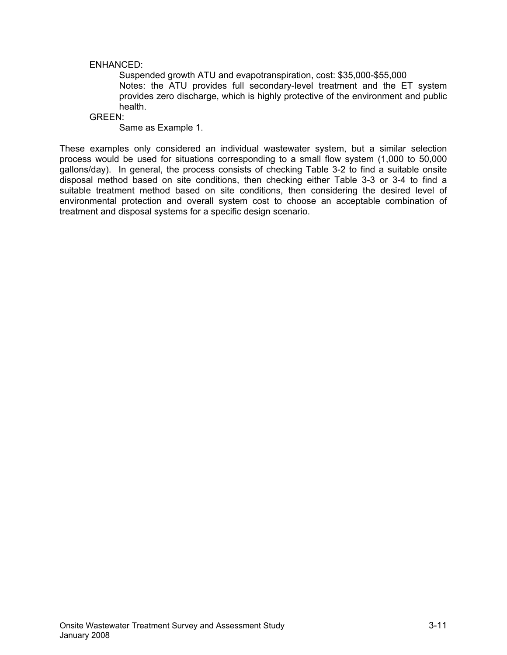#### ENHANCED:

Suspended growth ATU and evapotranspiration, cost: \$35,000-\$55,000 Notes: the ATU provides full secondary-level treatment and the ET system provides zero discharge, which is highly protective of the environment and public health.

#### GREEN:

Same as Example 1.

These examples only considered an individual wastewater system, but a similar selection process would be used for situations corresponding to a small flow system (1,000 to 50,000 gallons/day). In general, the process consists of checking Table 3-2 to find a suitable onsite disposal method based on site conditions, then checking either Table 3-3 or 3-4 to find a suitable treatment method based on site conditions, then considering the desired level of environmental protection and overall system cost to choose an acceptable combination of treatment and disposal systems for a specific design scenario.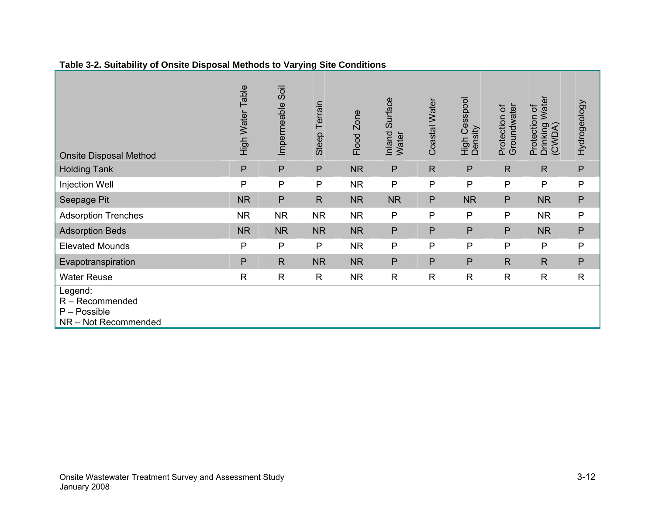| <b>Onsite Disposal Method</b>                                        | High Water Table | Soil<br>Impermeable | Steep Terrain | Flood Zone | Surface<br>Inland<br>Water | Coastal Water | High Cesspool<br>Density | Groundwater<br>Protection of | Water<br>ð<br>Protection<br>Drinking<br>(CWDA) | Hydrogeology |
|----------------------------------------------------------------------|------------------|---------------------|---------------|------------|----------------------------|---------------|--------------------------|------------------------------|------------------------------------------------|--------------|
| <b>Holding Tank</b>                                                  | P                | $\mathsf{P}$        | ${\sf P}$     | <b>NR</b>  | P                          | $\mathsf{R}$  | $\mathsf{P}$             | $\mathsf{R}$                 | $\mathsf{R}$                                   | ${\sf P}$    |
| <b>Injection Well</b>                                                | P                | P                   | $\mathsf{P}$  | <b>NR</b>  | $\mathsf{P}$               | $\mathsf{P}$  | P                        | P                            | P                                              | ${\sf P}$    |
| Seepage Pit                                                          | <b>NR</b>        | ${\sf P}$           | $\mathsf{R}$  | <b>NR</b>  | <b>NR</b>                  | $\mathsf{P}$  | <b>NR</b>                | P                            | <b>NR</b>                                      | P            |
| <b>Adsorption Trenches</b>                                           | <b>NR</b>        | <b>NR</b>           | <b>NR</b>     | <b>NR</b>  | P                          | $\mathsf{P}$  | $\mathsf{P}$             | P                            | <b>NR</b>                                      | $\mathsf{P}$ |
| <b>Adsorption Beds</b>                                               | <b>NR</b>        | <b>NR</b>           | <b>NR</b>     | <b>NR</b>  | P                          | P             | $\mathsf{P}$             | P                            | <b>NR</b>                                      | P            |
| <b>Elevated Mounds</b>                                               | P                | P                   | $\mathsf{P}$  | <b>NR</b>  | P                          | $\mathsf{P}$  | $\mathsf{P}$             | P                            | $\mathsf{P}$                                   | $\mathsf{P}$ |
| Evapotranspiration                                                   | P                | $\mathsf{R}$        | <b>NR</b>     | <b>NR</b>  | P                          | $\mathsf{P}$  | $\mathsf{P}$             | $\mathsf{R}$                 | $\mathsf{R}$                                   | P            |
| <b>Water Reuse</b>                                                   | R                | R                   | $\mathsf{R}$  | <b>NR</b>  | R                          | R             | R                        | $\mathsf{R}$                 | $\mathsf{R}$                                   | R            |
| Legend:<br>$R - Recommended$<br>P - Possible<br>NR - Not Recommended |                  |                     |               |            |                            |               |                          |                              |                                                |              |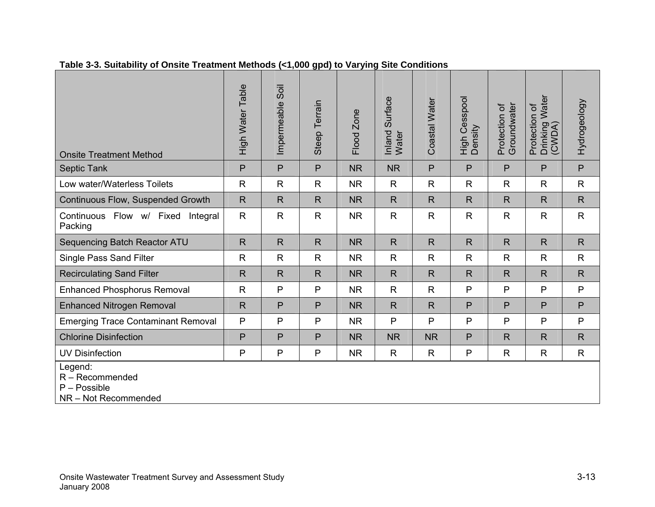| <b>Onsite Treatment Method</b>                                       | High Water Table | Soil<br>Impermeable | Steep Terrain | Flood Zone     | Surface<br>Inland<br>Water | Coastal Water | High Cesspool<br>Density | Protection of<br>Groundwater | Drinking Water<br>(CWDA)<br>Protection of | Hydrogeology |
|----------------------------------------------------------------------|------------------|---------------------|---------------|----------------|----------------------------|---------------|--------------------------|------------------------------|-------------------------------------------|--------------|
| <b>Septic Tank</b>                                                   | P                | P                   | P             | N <sub>R</sub> | <b>NR</b>                  | P             | P                        | $\mathsf{P}$                 | P                                         | P            |
| Low water/Waterless Toilets                                          | $\mathsf{R}$     | $\mathsf{R}$        | $\mathsf{R}$  | <b>NR</b>      | R                          | $\mathsf{R}$  | $\mathsf{R}$             | $\mathsf{R}$                 | R                                         | $\mathsf{R}$ |
| Continuous Flow, Suspended Growth                                    | $\mathsf{R}$     | $\mathsf{R}$        | $\mathsf{R}$  | N <sub>R</sub> | $\mathsf{R}$               | $\mathsf{R}$  | $\mathsf{R}$             | $\mathsf{R}$                 | $\mathsf{R}$                              | $\mathsf{R}$ |
| Flow w/ Fixed<br>Continuous<br>Integral<br>Packing                   | $\mathsf{R}$     | $\mathsf{R}$        | $\mathsf{R}$  | <b>NR</b>      | $\mathsf{R}$               | $\mathsf{R}$  | $\mathsf{R}$             | $\mathsf{R}$                 | $\mathsf{R}$                              | $\mathsf{R}$ |
| Sequencing Batch Reactor ATU                                         | $\mathsf{R}$     | $\mathsf{R}$        | $\mathsf{R}$  | <b>NR</b>      | $\mathsf{R}$               | $\mathsf{R}$  | $\mathsf{R}$             | $\mathsf{R}$                 | $\mathsf{R}$                              | $\mathsf{R}$ |
| Single Pass Sand Filter                                              | $\mathsf{R}$     | $\mathsf{R}$        | $\mathsf{R}$  | <b>NR</b>      | $\mathsf{R}$               | $\mathsf{R}$  | $\mathsf{R}$             | $\mathsf{R}$                 | $\mathsf{R}$                              | $\mathsf{R}$ |
| <b>Recirculating Sand Filter</b>                                     | $\mathsf{R}$     | $\mathsf{R}$        | $\mathsf{R}$  | <b>NR</b>      | $\mathsf{R}$               | $\mathsf{R}$  | $\mathsf{R}$             | $\mathsf{R}$                 | $\mathsf{R}$                              | $\mathsf{R}$ |
| <b>Enhanced Phosphorus Removal</b>                                   | R                | $\mathsf{P}$        | P             | <b>NR</b>      | R                          | R             | P                        | P                            | P                                         | P            |
| <b>Enhanced Nitrogen Removal</b>                                     | $\mathsf{R}$     | P                   | P             | N <sub>R</sub> | $\mathsf{R}$               | $\mathsf{R}$  | P                        | P                            | P                                         | P            |
| <b>Emerging Trace Contaminant Removal</b>                            | $\mathsf{P}$     | P                   | P             | <b>NR</b>      | P                          | $\mathsf{P}$  | P                        | P                            | P                                         | $\mathsf{P}$ |
| <b>Chlorine Disinfection</b>                                         | P                | $\mathsf{P}$        | P             | N <sub>R</sub> | <b>NR</b>                  | <b>NR</b>     | $\mathsf{P}$             | R.                           | $\mathsf{R}$                              | $\mathsf{R}$ |
| <b>UV Disinfection</b>                                               | $\mathsf{P}$     | $\mathsf{P}$        | $\mathsf{P}$  | <b>NR</b>      | $\mathsf{R}$               | $\mathsf{R}$  | $\mathsf{P}$             | $\mathsf{R}$                 | $\mathsf{R}$                              | $\mathsf{R}$ |
| Legend:<br>R - Recommended<br>$P - Possible$<br>NR - Not Recommended |                  |                     |               |                |                            |               |                          |                              |                                           |              |

### **Table 3-3. Suitability of Onsite Treatment Methods (<1,000 gpd) to Varying Site Conditions**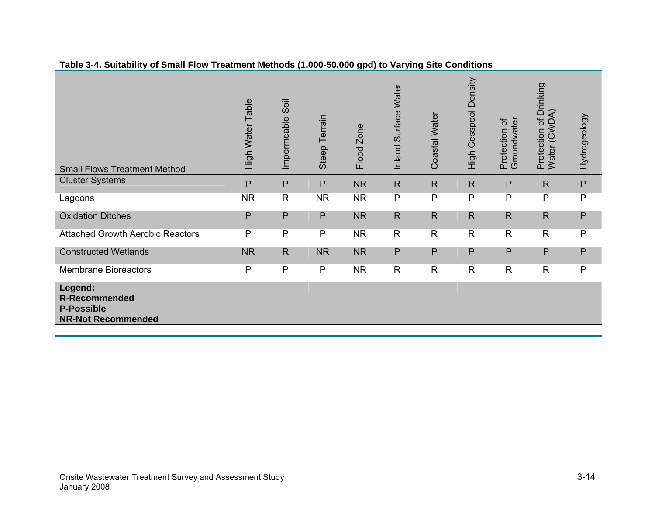| High Water Table | Soil<br>Impermeable | Steep Terrain | Flood Zone | Water<br>Surface<br>Inland | Coastal Water | <b>High Cesspool Density</b> | Protection of<br>Groundwater | Protection of Drinking<br>Water (CWDA) | Hydrogeology |
|------------------|---------------------|---------------|------------|----------------------------|---------------|------------------------------|------------------------------|----------------------------------------|--------------|
| $\mathsf{P}$     | $\mathsf{P}$        | $\mathsf{P}$  | <b>NR</b>  | $\mathsf{R}$               | $\mathsf{R}$  | $\mathsf{R}$                 | $\mathsf{P}$                 | $\mathsf{R}$                           | P            |
| <b>NR</b>        | $\mathsf{R}$        | <b>NR</b>     | <b>NR</b>  | P                          | $\mathsf{P}$  | P                            | $\mathsf{P}$                 | P                                      | $\mathsf{P}$ |
| $\mathsf{P}$     | $\mathsf{P}$        | $\mathsf{P}$  | <b>NR</b>  | $\mathsf{R}$               | $\mathsf{R}$  | $\mathsf{R}$                 | $\mathsf{R}$                 | $\mathsf{R}$                           | P            |
| $\mathsf{P}$     | P                   | $\mathsf{P}$  | <b>NR</b>  | $\mathsf{R}$               | $\mathsf{R}$  | $\mathsf{R}$                 | $\mathsf{R}$                 | $\mathsf{R}$                           | P            |
| <b>NR</b>        | $\mathsf{R}$        | <b>NR</b>     | <b>NR</b>  | $\mathsf{P}$               | P             | P                            | P                            | P                                      | ${\sf P}$    |
| P                | P                   | $\mathsf{P}$  | <b>NR</b>  | $\mathsf{R}$               | $\mathsf{R}$  | $\mathsf{R}$                 | $\mathsf{R}$                 | R                                      | $\mathsf{P}$ |
|                  |                     |               |            |                            |               |                              |                              |                                        |              |
|                  |                     |               |            |                            |               |                              |                              |                                        |              |

## **Table 3-4. Suitability of Small Flow Treatment Methods (1,000-50,000 gpd) to Varying Site Conditions**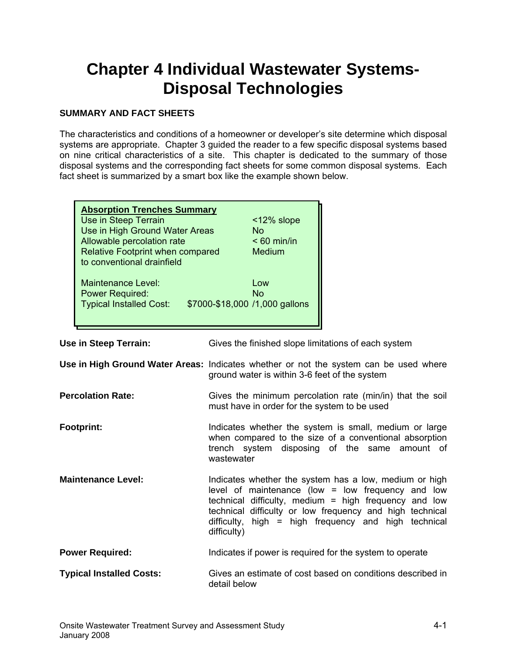# **Chapter 4 Individual Wastewater Systems-Disposal Technologies**

## **SUMMARY AND FACT SHEETS**

The characteristics and conditions of a homeowner or developer's site determine which disposal systems are appropriate. Chapter 3 guided the reader to a few specific disposal systems based on nine critical characteristics of a site. This chapter is dedicated to the summary of those disposal systems and the corresponding fact sheets for some common disposal systems. Each fact sheet is summarized by a smart box like the example shown below.

| <b>Absorption Trenches Summary</b>                                                                                      |               |
|-------------------------------------------------------------------------------------------------------------------------|---------------|
| <b>Use in Steep Terrain</b>                                                                                             | <12% slope    |
| Use in High Ground Water Areas                                                                                          | No            |
| Allowable percolation rate                                                                                              | $< 60$ min/in |
| <b>Relative Footprint when compared</b>                                                                                 | Medium        |
| to conventional drainfield                                                                                              |               |
| <b>Maintenance Level:</b><br><b>Power Required:</b><br><b>Typical Installed Cost:</b><br>\$7000-\$18,000 /1,000 gallons | Low<br>No     |

**Use in Steep Terrain:** Gives the finished slope limitations of each system **Use in High Ground Water Areas:** Indicates whether or not the system can be used where ground water is within 3-6 feet of the system **Percolation Rate: Gives the minimum percolation rate (min/in) that the soil** must have in order for the system to be used **Footprint: Indicates whether the system is small, medium or large** when compared to the size of a conventional absorption trench system disposing of the same amount of wastewater **Maintenance Level:** Indicates whether the system has a low, medium or high level of maintenance (low  $=$  low frequency and low technical difficulty, medium = high frequency and low technical difficulty or low frequency and high technical difficulty, high  $=$  high frequency and high technical difficulty) **Power Required:** Indicates if power is required for the system to operate **Typical Installed Costs:** Gives an estimate of cost based on conditions described in detail below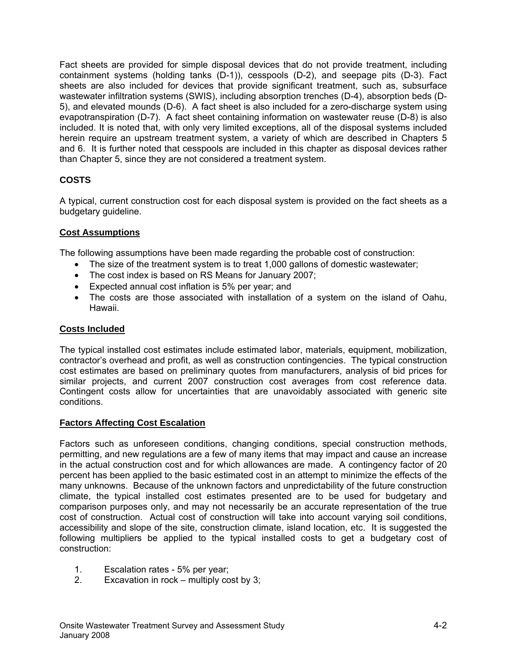Fact sheets are provided for simple disposal devices that do not provide treatment, including containment systems (holding tanks (D-1)), cesspools (D-2), and seepage pits (D-3). Fact sheets are also included for devices that provide significant treatment, such as, subsurface wastewater infiltration systems (SWIS), including absorption trenches (D-4), absorption beds (D-5), and elevated mounds (D-6). A fact sheet is also included for a zero-discharge system using evapotranspiration (D-7). A fact sheet containing information on wastewater reuse (D-8) is also included. It is noted that, with only very limited exceptions, all of the disposal systems included herein require an upstream treatment system, a variety of which are described in Chapters 5 and 6. It is further noted that cesspools are included in this chapter as disposal devices rather than Chapter 5, since they are not considered a treatment system.

## **COSTS**

A typical, current construction cost for each disposal system is provided on the fact sheets as a budgetary guideline.

### **Cost Assumptions**

The following assumptions have been made regarding the probable cost of construction:

- The size of the treatment system is to treat 1,000 gallons of domestic wastewater;
- The cost index is based on RS Means for January 2007;
- Expected annual cost inflation is 5% per year; and
- The costs are those associated with installation of a system on the island of Oahu, Hawaii.

#### **Costs Included**

The typical installed cost estimates include estimated labor, materials, equipment, mobilization, contractor's overhead and profit, as well as construction contingencies. The typical construction cost estimates are based on preliminary quotes from manufacturers, analysis of bid prices for similar projects, and current 2007 construction cost averages from cost reference data. Contingent costs allow for uncertainties that are unavoidably associated with generic site conditions.

## **Factors Affecting Cost Escalation**

Factors such as unforeseen conditions, changing conditions, special construction methods, permitting, and new regulations are a few of many items that may impact and cause an increase in the actual construction cost and for which allowances are made. A contingency factor of 20 percent has been applied to the basic estimated cost in an attempt to minimize the effects of the many unknowns. Because of the unknown factors and unpredictability of the future construction climate, the typical installed cost estimates presented are to be used for budgetary and comparison purposes only, and may not necessarily be an accurate representation of the true cost of construction. Actual cost of construction will take into account varying soil conditions, accessibility and slope of the site, construction climate, island location, etc. It is suggested the following multipliers be applied to the typical installed costs to get a budgetary cost of construction:

- 1. Escalation rates 5% per year;
- 2. Excavation in rock multiply cost by 3;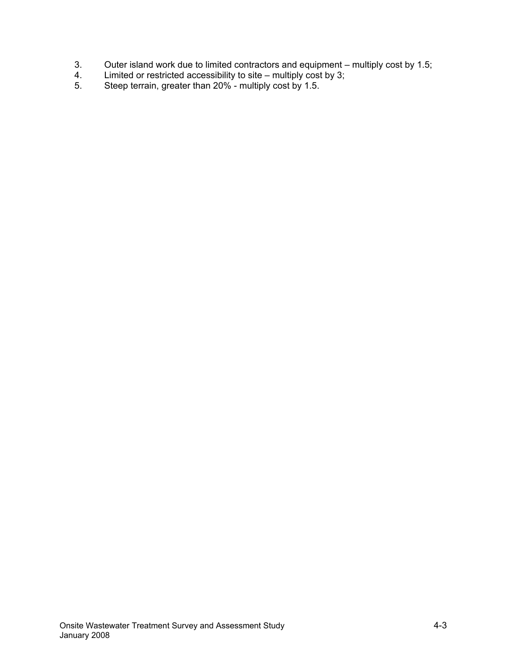- 3. Outer island work due to limited contractors and equipment multiply cost by 1.5;
- 4. Limited or restricted accessibility to site multiply cost by 3;
- 5. Steep terrain, greater than 20% multiply cost by 1.5.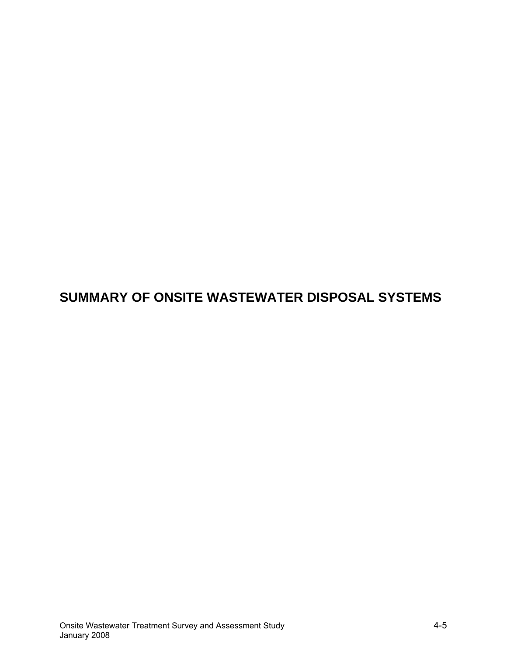**SUMMARY OF ONSITE WASTEWATER DISPOSAL SYSTEMS**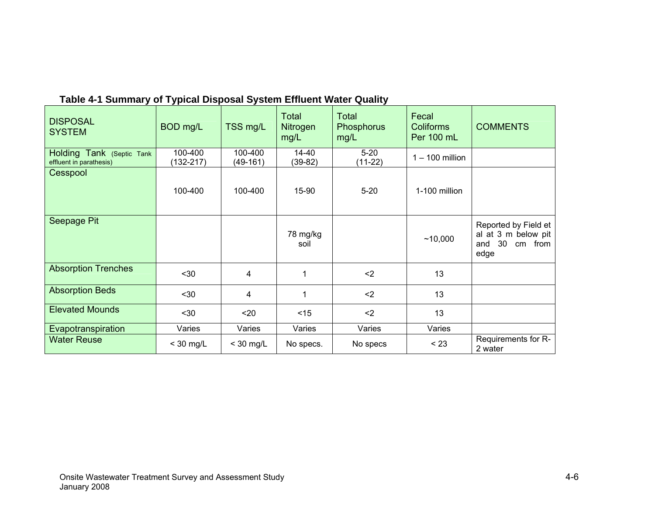| <b>DISPOSAL</b><br><b>SYSTEM</b>                     | BOD mg/L                 | TSS mg/L              | <b>Total</b><br>Nitrogen<br>mg/L | <b>Total</b><br>Phosphorus<br>mg/L | Fecal<br><b>Coliforms</b><br>Per 100 mL | <b>COMMENTS</b>                                                             |
|------------------------------------------------------|--------------------------|-----------------------|----------------------------------|------------------------------------|-----------------------------------------|-----------------------------------------------------------------------------|
| Holding Tank (Septic Tank<br>effluent in parathesis) | 100-400<br>$(132 - 217)$ | 100-400<br>$(49-161)$ | $14 - 40$<br>$(39-82)$           | $5 - 20$<br>$(11-22)$              | $1 - 100$ million                       |                                                                             |
| Cesspool                                             | 100-400                  | 100-400               | 15-90                            | $5 - 20$                           | 1-100 million                           |                                                                             |
| Seepage Pit                                          |                          |                       | 78 mg/kg<br>soil                 |                                    | ~10,000                                 | Reported by Field et<br>al at 3 m below pit<br>30<br>cm from<br>and<br>edge |
| <b>Absorption Trenches</b>                           | $30$                     | 4                     | 1                                | $2$                                | 13                                      |                                                                             |
| <b>Absorption Beds</b>                               | $30$                     | 4                     | 1                                | $2$                                | 13                                      |                                                                             |
| <b>Elevated Mounds</b>                               | $30$                     | $20$                  | $<$ 15                           | $2$                                | 13                                      |                                                                             |
| Evapotranspiration                                   | Varies                   | Varies                | Varies                           | Varies                             | Varies                                  |                                                                             |
| <b>Water Reuse</b>                                   | $<$ 30 mg/L              | $<$ 30 mg/L           | No specs.                        | No specs                           | < 23                                    | Requirements for R-<br>2 water                                              |

### **Table 4-1 Summary of Typical Disposal System Effluent Water Quality**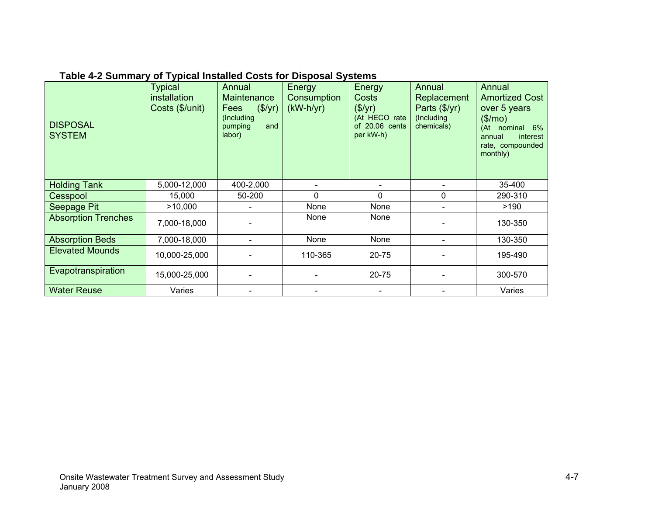#### **Table 4-2 Summary of Typical Installed Costs for Disposal Systems**

| <b>DISPOSAL</b><br><b>SYSTEM</b> | <b>Typical</b><br><i>installation</i><br>Costs (\$/unit) | Annual<br>Maintenance<br>(S/yr)<br><b>Fees</b><br>(Including<br>and<br>pumping<br>labor) | Energy<br>Consumption<br>$(kW-h/yr)$ | Energy<br>Costs<br>(\$/yr)<br>(At HECO rate<br>of 20.06 cents<br>per kW-h) | Annual<br>Replacement<br>Parts $(\frac{5}{yr})$<br>(Including)<br>chemicals) | Annual<br><b>Amortized Cost</b><br>over 5 years<br>(\$/mo)<br>(At nominal 6%<br>annual<br>interest<br>rate, compounded<br>monthly) |
|----------------------------------|----------------------------------------------------------|------------------------------------------------------------------------------------------|--------------------------------------|----------------------------------------------------------------------------|------------------------------------------------------------------------------|------------------------------------------------------------------------------------------------------------------------------------|
| <b>Holding Tank</b>              | 5,000-12,000                                             | 400-2,000                                                                                | $\qquad \qquad$                      |                                                                            |                                                                              | 35-400                                                                                                                             |
| Cesspool                         | 15,000                                                   | 50-200                                                                                   | 0                                    | $\mathbf{0}$                                                               | 0                                                                            | 290-310                                                                                                                            |
| Seepage Pit                      | >10,000                                                  |                                                                                          | None                                 | None                                                                       |                                                                              | >190                                                                                                                               |
| <b>Absorption Trenches</b>       | 7,000-18,000                                             |                                                                                          | None                                 | None                                                                       |                                                                              | 130-350                                                                                                                            |
| <b>Absorption Beds</b>           | 7,000-18,000                                             |                                                                                          | None                                 | None                                                                       |                                                                              | 130-350                                                                                                                            |
| <b>Elevated Mounds</b>           | 10,000-25,000                                            |                                                                                          | 110-365                              | 20-75                                                                      |                                                                              | 195-490                                                                                                                            |
| Evapotranspiration               | 15,000-25,000                                            |                                                                                          |                                      | 20-75                                                                      |                                                                              | 300-570                                                                                                                            |
| <b>Water Reuse</b>               | Varies                                                   |                                                                                          |                                      |                                                                            |                                                                              | Varies                                                                                                                             |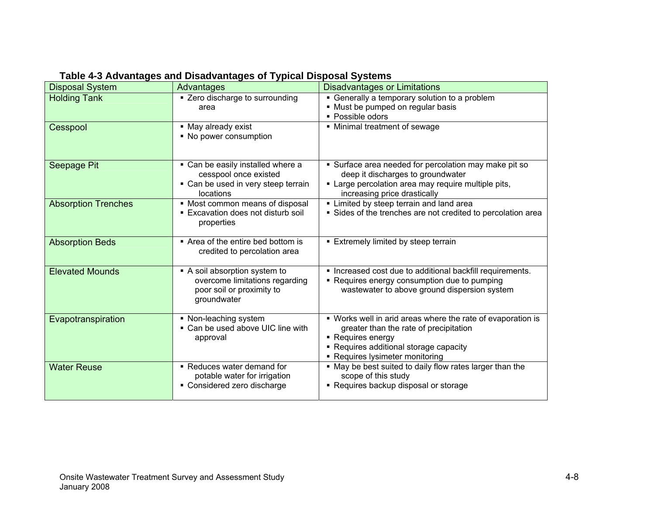| <b>Disposal System</b>     | Advantages                                                                                                     | <b>Disadvantages or Limitations</b>                                                                                                                                                                     |
|----------------------------|----------------------------------------------------------------------------------------------------------------|---------------------------------------------------------------------------------------------------------------------------------------------------------------------------------------------------------|
| <b>Holding Tank</b>        | • Zero discharge to surrounding<br>area                                                                        | • Generally a temporary solution to a problem<br>• Must be pumped on regular basis<br>• Possible odors                                                                                                  |
| Cesspool                   | • May already exist<br>• No power consumption                                                                  | • Minimal treatment of sewage                                                                                                                                                                           |
| Seepage Pit                | • Can be easily installed where a<br>cesspool once existed<br>• Can be used in very steep terrain<br>locations | • Surface area needed for percolation may make pit so<br>deep it discharges to groundwater<br>• Large percolation area may require multiple pits,<br>increasing price drastically                       |
| <b>Absorption Trenches</b> | • Most common means of disposal<br><b>Excavation does not disturb soil</b><br>properties                       | • Limited by steep terrain and land area<br>• Sides of the trenches are not credited to percolation area                                                                                                |
| <b>Absorption Beds</b>     | Area of the entire bed bottom is<br>credited to percolation area                                               | <b>Extremely limited by steep terrain</b>                                                                                                                                                               |
| <b>Elevated Mounds</b>     | A soil absorption system to<br>overcome limitations regarding<br>poor soil or proximity to<br>groundwater      | • Increased cost due to additional backfill requirements.<br>• Requires energy consumption due to pumping<br>wastewater to above ground dispersion system                                               |
| Evapotranspiration         | • Non-leaching system<br>• Can be used above UIC line with<br>approval                                         | • Works well in arid areas where the rate of evaporation is<br>greater than the rate of precipitation<br>• Requires energy<br>• Requires additional storage capacity<br>• Requires lysimeter monitoring |
| <b>Water Reuse</b>         | • Reduces water demand for<br>potable water for irrigation<br>• Considered zero discharge                      | • May be best suited to daily flow rates larger than the<br>scope of this study<br>• Requires backup disposal or storage                                                                                |

### **Table 4-3 Advantages and Disadvantages of Typical Disposal Systems**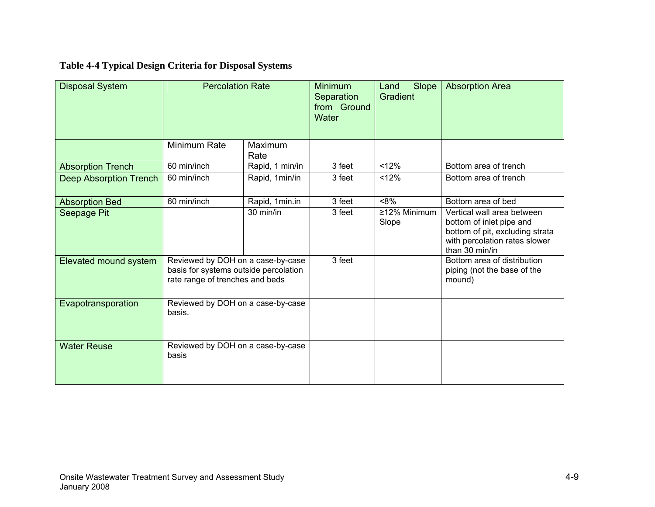### **Table 4-4 Typical Design Criteria for Disposal Systems**

| <b>Disposal System</b>        | <b>Percolation Rate</b>                                                                                       |                 | <b>Minimum</b><br>Separation<br>from Ground<br>Water | Slope<br>Land<br>Gradient | <b>Absorption Area</b>                                                                                                                       |
|-------------------------------|---------------------------------------------------------------------------------------------------------------|-----------------|------------------------------------------------------|---------------------------|----------------------------------------------------------------------------------------------------------------------------------------------|
|                               | Minimum Rate                                                                                                  | Maximum<br>Rate |                                                      |                           |                                                                                                                                              |
| <b>Absorption Trench</b>      | 60 min/inch                                                                                                   | Rapid, 1 min/in | 3 feet                                               | 12%                       | Bottom area of trench                                                                                                                        |
| <b>Deep Absorption Trench</b> | 60 min/inch                                                                                                   | Rapid, 1min/in  | 3 feet                                               | 12%                       | Bottom area of trench                                                                                                                        |
| <b>Absorption Bed</b>         | 60 min/inch                                                                                                   | Rapid, 1min.in  | 3 feet                                               | 8%                        | Bottom area of bed                                                                                                                           |
| Seepage Pit                   |                                                                                                               | 30 min/in       | 3 feet                                               | ≥12% Minimum<br>Slope     | Vertical wall area between<br>bottom of inlet pipe and<br>bottom of pit, excluding strata<br>with percolation rates slower<br>than 30 min/in |
| Elevated mound system         | Reviewed by DOH on a case-by-case<br>basis for systems outside percolation<br>rate range of trenches and beds |                 | 3 feet                                               |                           | Bottom area of distribution<br>piping (not the base of the<br>mound)                                                                         |
| Evapotransporation            | Reviewed by DOH on a case-by-case<br>basis.                                                                   |                 |                                                      |                           |                                                                                                                                              |
| <b>Water Reuse</b>            | Reviewed by DOH on a case-by-case<br>basis                                                                    |                 |                                                      |                           |                                                                                                                                              |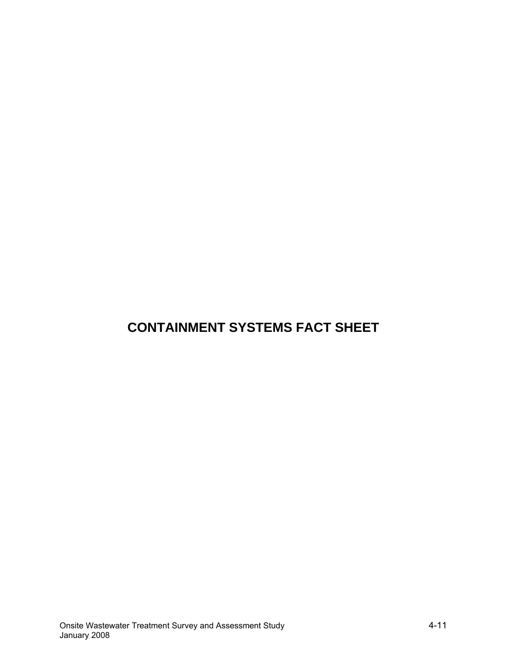## **CONTAINMENT SYSTEMS FACT SHEET**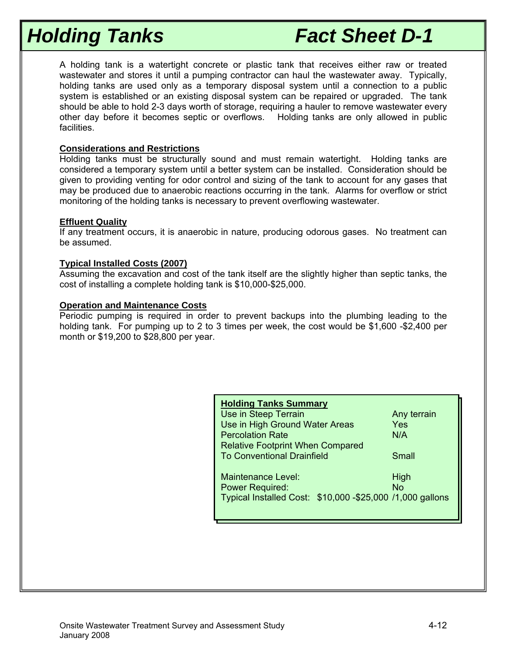# *Holding Tanks Fact Sheet D-1*

A holding tank is a watertight concrete or plastic tank that receives either raw or treated wastewater and stores it until a pumping contractor can haul the wastewater away. Typically, holding tanks are used only as a temporary disposal system until a connection to a public system is established or an existing disposal system can be repaired or upgraded. The tank should be able to hold 2-3 days worth of storage, requiring a hauler to remove wastewater every other day before it becomes septic or overflows. Holding tanks are only allowed in public facilities.

#### **Considerations and Restrictions**

Holding tanks must be structurally sound and must remain watertight. Holding tanks are considered a temporary system until a better system can be installed. Consideration should be given to providing venting for odor control and sizing of the tank to account for any gases that may be produced due to anaerobic reactions occurring in the tank. Alarms for overflow or strict monitoring of the holding tanks is necessary to prevent overflowing wastewater.

#### **Effluent Quality**

If any treatment occurs, it is anaerobic in nature, producing odorous gases. No treatment can be assumed.

#### **Typical Installed Costs (2007)**

Assuming the excavation and cost of the tank itself are the slightly higher than septic tanks, the cost of installing a complete holding tank is \$10,000-\$25,000.

#### **Operation and Maintenance Costs**

Periodic pumping is required in order to prevent backups into the plumbing leading to the holding tank. For pumping up to 2 to 3 times per week, the cost would be \$1,600 -\$2,400 per month or \$19,200 to \$28,800 per year.

| <b>Holding Tanks Summary</b>                              |             |
|-----------------------------------------------------------|-------------|
| Use in Steep Terrain                                      | Any terrain |
| Use in High Ground Water Areas                            | Yes         |
| <b>Percolation Rate</b>                                   | N/A         |
| <b>Relative Footprint When Compared</b>                   |             |
| <b>To Conventional Drainfield</b>                         | Small       |
|                                                           |             |
| Maintenance Level:                                        | High        |
| <b>Power Required:</b>                                    | <b>No</b>   |
| Typical Installed Cost: \$10,000 -\$25,000 /1,000 gallons |             |
|                                                           |             |
|                                                           |             |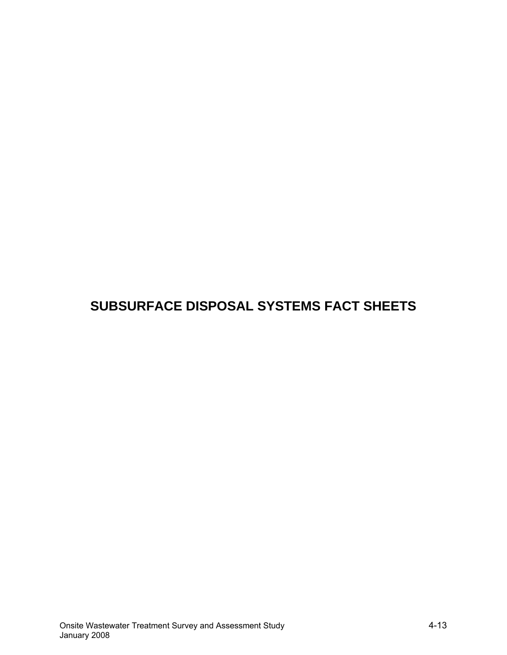### **SUBSURFACE DISPOSAL SYSTEMS FACT SHEETS**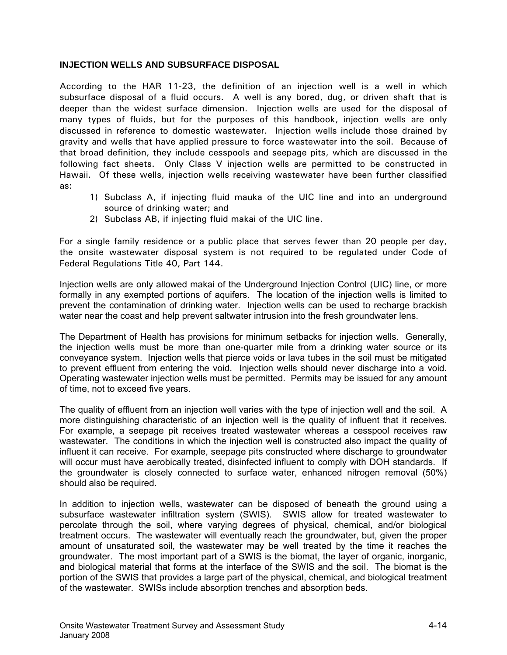#### **INJECTION WELLS AND SUBSURFACE DISPOSAL**

According to the HAR 11-23, the definition of an injection well is a well in which subsurface disposal of a fluid occurs. A well is any bored, dug, or driven shaft that is deeper than the widest surface dimension. Injection wells are used for the disposal of many types of fluids, but for the purposes of this handbook, injection wells are only discussed in reference to domestic wastewater. Injection wells include those drained by gravity and wells that have applied pressure to force wastewater into the soil. Because of that broad definition, they include cesspools and seepage pits, which are discussed in the following fact sheets. Only Class V injection wells are permitted to be constructed in Hawaii. Of these wells, injection wells receiving wastewater have been further classified as:

- 1) Subclass A, if injecting fluid mauka of the UIC line and into an underground source of drinking water; and
- 2) Subclass AB, if injecting fluid makai of the UIC line.

For a single family residence or a public place that serves fewer than 20 people per day, the onsite wastewater disposal system is not required to be regulated under Code of Federal Regulations Title 40, Part 144.

Injection wells are only allowed makai of the Underground Injection Control (UIC) line, or more formally in any exempted portions of aquifers. The location of the injection wells is limited to prevent the contamination of drinking water. Injection wells can be used to recharge brackish water near the coast and help prevent saltwater intrusion into the fresh groundwater lens.

The Department of Health has provisions for minimum setbacks for injection wells. Generally, the injection wells must be more than one-quarter mile from a drinking water source or its conveyance system. Injection wells that pierce voids or lava tubes in the soil must be mitigated to prevent effluent from entering the void. Injection wells should never discharge into a void. Operating wastewater injection wells must be permitted. Permits may be issued for any amount of time, not to exceed five years.

The quality of effluent from an injection well varies with the type of injection well and the soil. A more distinguishing characteristic of an injection well is the quality of influent that it receives. For example, a seepage pit receives treated wastewater whereas a cesspool receives raw wastewater. The conditions in which the injection well is constructed also impact the quality of influent it can receive. For example, seepage pits constructed where discharge to groundwater will occur must have aerobically treated, disinfected influent to comply with DOH standards. If the groundwater is closely connected to surface water, enhanced nitrogen removal (50%) should also be required.

In addition to injection wells, wastewater can be disposed of beneath the ground using a subsurface wastewater infiltration system (SWIS). SWIS allow for treated wastewater to percolate through the soil, where varying degrees of physical, chemical, and/or biological treatment occurs. The wastewater will eventually reach the groundwater, but, given the proper amount of unsaturated soil, the wastewater may be well treated by the time it reaches the groundwater. The most important part of a SWIS is the biomat, the layer of organic, inorganic, and biological material that forms at the interface of the SWIS and the soil. The biomat is the portion of the SWIS that provides a large part of the physical, chemical, and biological treatment of the wastewater. SWISs include absorption trenches and absorption beds.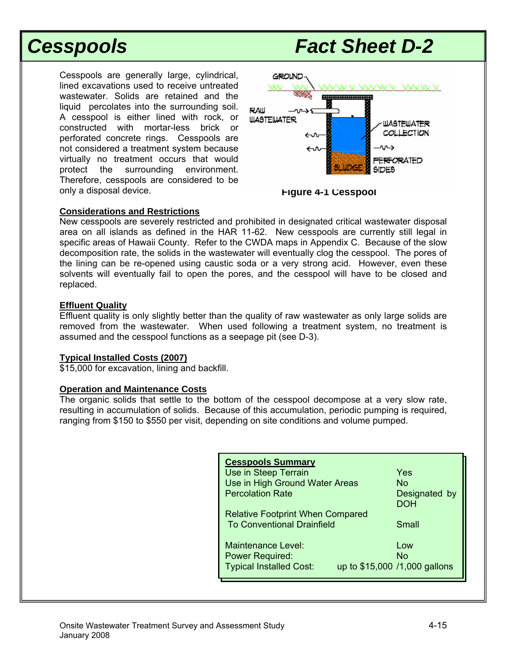# *Cesspools Fact Sheet D-2*

Cesspools are generally large, cylindrical, lined excavations used to receive untreated wastewater. Solids are retained and the liquid percolates into the surrounding soil. A cesspool is either lined with rock, or constructed with mortar-less brick or perforated concrete rings. Cesspools are not considered a treatment system because virtually no treatment occurs that would protect the surrounding environment. Therefore, cesspools are considered to be only a disposal device.



**Figure 4-1 Cesspool** 

#### **Considerations and Restrictions**

New cesspools are severely restricted and prohibited in designated critical wastewater disposal area on all islands as defined in the HAR 11-62. New cesspools are currently still legal in specific areas of Hawaii County. Refer to the CWDA maps in Appendix C. Because of the slow decomposition rate, the solids in the wastewater will eventually clog the cesspool. The pores of the lining can be re-opened using caustic soda or a very strong acid. However, even these solvents will eventually fail to open the pores, and the cesspool will have to be closed and replaced.

#### **Effluent Quality**

Effluent quality is only slightly better than the quality of raw wastewater as only large solids are removed from the wastewater. When used following a treatment system, no treatment is assumed and the cesspool functions as a seepage pit (see D-3).

#### **Typical Installed Costs (2007)**

\$15,000 for excavation, lining and backfill.

#### **Operation and Maintenance Costs**

The organic solids that settle to the bottom of the cesspool decompose at a very slow rate, resulting in accumulation of solids. Because of this accumulation, periodic pumping is required, ranging from \$150 to \$550 per visit, depending on site conditions and volume pumped.

| <b>Cesspools Summary</b>                                                     | Yes                           |
|------------------------------------------------------------------------------|-------------------------------|
| <b>Use in Steep Terrain</b>                                                  | No                            |
| Use in High Ground Water Areas                                               | Designated by                 |
| <b>Percolation Rate</b>                                                      | <b>DOH</b>                    |
| <b>Relative Footprint When Compared</b><br><b>To Conventional Drainfield</b> | Small                         |
| Maintenance Level:                                                           | Low                           |
| <b>Power Required:</b>                                                       | No                            |
| <b>Typical Installed Cost:</b>                                               | up to \$15,000 /1,000 gallons |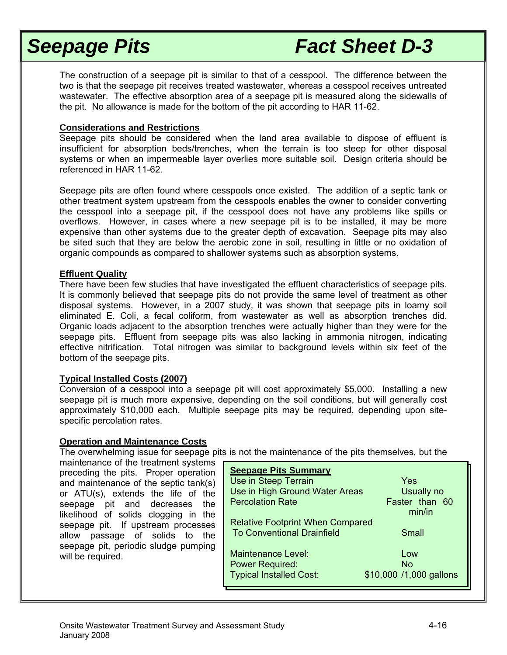# *Seepage Pits Fact Sheet D-3*

The construction of a seepage pit is similar to that of a cesspool. The difference between the two is that the seepage pit receives treated wastewater, whereas a cesspool receives untreated wastewater. The effective absorption area of a seepage pit is measured along the sidewalls of the pit. No allowance is made for the bottom of the pit according to HAR 11-62.

#### **Considerations and Restrictions**

Seepage pits should be considered when the land area available to dispose of effluent is insufficient for absorption beds/trenches, when the terrain is too steep for other disposal systems or when an impermeable layer overlies more suitable soil. Design criteria should be referenced in HAR 11-62.

Seepage pits are often found where cesspools once existed. The addition of a septic tank or other treatment system upstream from the cesspools enables the owner to consider converting the cesspool into a seepage pit, if the cesspool does not have any problems like spills or overflows. However, in cases where a new seepage pit is to be installed, it may be more expensive than other systems due to the greater depth of excavation. Seepage pits may also be sited such that they are below the aerobic zone in soil, resulting in little or no oxidation of organic compounds as compared to shallower systems such as absorption systems.

#### **Effluent Quality**

There have been few studies that have investigated the effluent characteristics of seepage pits. It is commonly believed that seepage pits do not provide the same level of treatment as other disposal systems. However, in a 2007 study, it was shown that seepage pits in loamy soil eliminated E. Coli, a fecal coliform, from wastewater as well as absorption trenches did. Organic loads adjacent to the absorption trenches were actually higher than they were for the seepage pits. Effluent from seepage pits was also lacking in ammonia nitrogen, indicating effective nitrification. Total nitrogen was similar to background levels within six feet of the bottom of the seepage pits.

#### **Typical Installed Costs (2007)**

Conversion of a cesspool into a seepage pit will cost approximately \$5,000. Installing a new seepage pit is much more expensive, depending on the soil conditions, but will generally cost approximately \$10,000 each. Multiple seepage pits may be required, depending upon sitespecific percolation rates.

#### **Operation and Maintenance Costs**

The overwhelming issue for seepage pits is not the maintenance of the pits themselves, but the

maintenance of the treatment systems preceding the pits. Proper operation and maintenance of the septic tank(s) or ATU(s), extends the life of the seepage pit and decreases the likelihood of solids clogging in the seepage pit. If upstream processes allow passage of solids to the seepage pit, periodic sludge pumping will be required.

| <b>Seepage Pits Summary</b>             |                          |
|-----------------------------------------|--------------------------|
| Use in Steep Terrain                    | Yes                      |
| Use in High Ground Water Areas          | Usually no               |
| <b>Percolation Rate</b>                 | Faster than 60<br>min/in |
| <b>Relative Footprint When Compared</b> |                          |
| <b>To Conventional Drainfield</b>       | Small                    |
| Maintenance Level:                      | Low                      |
| <b>Power Required:</b>                  | No                       |
| <b>Typical Installed Cost:</b>          | \$10,000 /1,000 gallons  |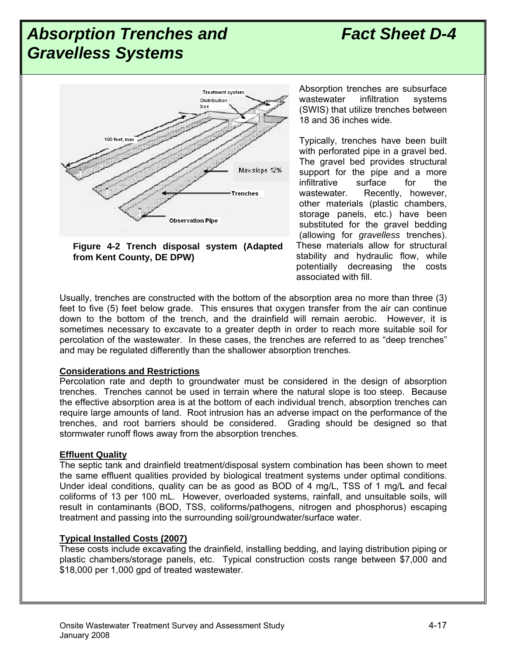## *Absorption Trenches and Fact Sheet D-4 Gravelless Systems*

# Treatment system **Distribution** box Maxslope 12% **Trenches Observation Pipe**

**Figure 4-2 Trench disposal system (Adapted from Kent County, DE DPW)** 

Absorption trenches are subsurface wastewater infiltration systems (SWIS) that utilize trenches between 18 and 36 inches wide.

Typically, trenches have been built with perforated pipe in a gravel bed. The gravel bed provides structural support for the pipe and a more infiltrative surface for the wastewater. Recently, however, other materials (plastic chambers, storage panels, etc.) have been substituted for the gravel bedding (allowing for *gravelless* trenches). These materials allow for structural stability and hydraulic flow, while potentially decreasing the costs associated with fill.

Usually, trenches are constructed with the bottom of the absorption area no more than three (3) feet to five (5) feet below grade. This ensures that oxygen transfer from the air can continue down to the bottom of the trench, and the drainfield will remain aerobic. However, it is sometimes necessary to excavate to a greater depth in order to reach more suitable soil for percolation of the wastewater. In these cases, the trenches are referred to as "deep trenches" and may be regulated differently than the shallower absorption trenches.

#### **Considerations and Restrictions**

Percolation rate and depth to groundwater must be considered in the design of absorption trenches. Trenches cannot be used in terrain where the natural slope is too steep. Because the effective absorption area is at the bottom of each individual trench, absorption trenches can require large amounts of land. Root intrusion has an adverse impact on the performance of the trenches, and root barriers should be considered. Grading should be designed so that stormwater runoff flows away from the absorption trenches.

#### **Effluent Quality**

The septic tank and drainfield treatment/disposal system combination has been shown to meet the same effluent qualities provided by biological treatment systems under optimal conditions. Under ideal conditions, quality can be as good as BOD of 4 mg/L, TSS of 1 mg/L and fecal coliforms of 13 per 100 mL. However, overloaded systems, rainfall, and unsuitable soils, will result in contaminants (BOD, TSS, coliforms/pathogens, nitrogen and phosphorus) escaping treatment and passing into the surrounding soil/groundwater/surface water.

#### **Typical Installed Costs (2007)**

These costs include excavating the drainfield, installing bedding, and laying distribution piping or plastic chambers/storage panels, etc. Typical construction costs range between \$7,000 and \$18,000 per 1,000 gpd of treated wastewater.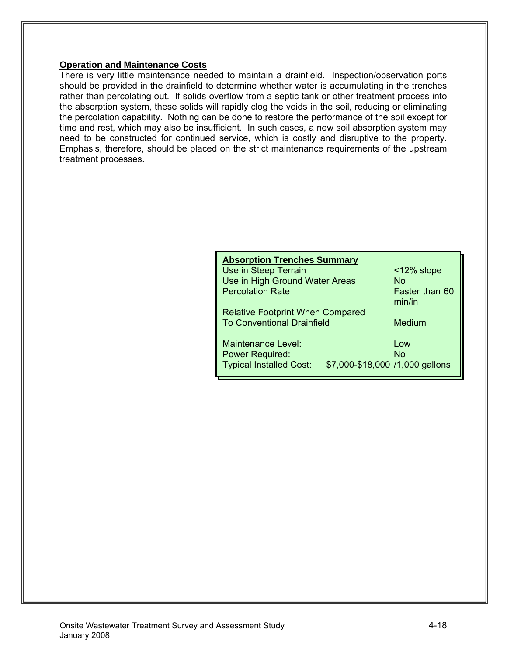#### **Operation and Maintenance Costs**

There is very little maintenance needed to maintain a drainfield. Inspection/observation ports should be provided in the drainfield to determine whether water is accumulating in the trenches rather than percolating out. If solids overflow from a septic tank or other treatment process into the absorption system, these solids will rapidly clog the voids in the soil, reducing or eliminating the percolation capability. Nothing can be done to restore the performance of the soil except for time and rest, which may also be insufficient. In such cases, a new soil absorption system may need to be constructed for continued service, which is costly and disruptive to the property. Emphasis, therefore, should be placed on the strict maintenance requirements of the upstream treatment processes.

| <b>Absorption Trenches Summary</b><br><b>Use in Steep Terrain</b><br>Use in High Ground Water Areas<br><b>Percolation Rate</b> | $<$ 12% slope<br>No.<br>Faster than 60<br>min/in |
|--------------------------------------------------------------------------------------------------------------------------------|--------------------------------------------------|
| <b>Relative Footprint When Compared</b><br><b>To Conventional Drainfield</b>                                                   | Medium                                           |
| Maintenance Level:<br><b>Power Required:</b><br><b>Typical Installed Cost:</b><br>\$7,000-\$18,000 /1,000 gallons              | Low<br>No.                                       |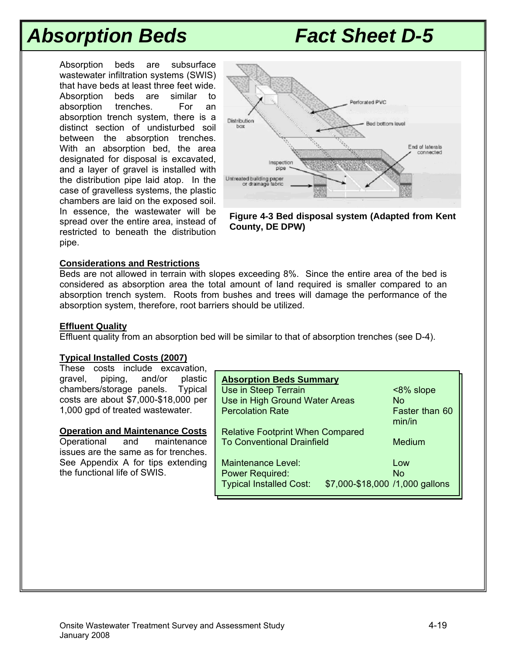# *Absorption Beds Fact Sheet D-5*

Absorption beds are subsurface wastewater infiltration systems (SWIS) that have beds at least three feet wide. Absorption beds are similar to absorption trenches. For an absorption trench system, there is a distinct section of undisturbed soil between the absorption trenches. With an absorption bed, the area designated for disposal is excavated, and a layer of gravel is installed with the distribution pipe laid atop. In the case of gravelless systems, the plastic chambers are laid on the exposed soil. In essence, the wastewater will be spread over the entire area, instead of restricted to beneath the distribution pipe.



**Figure 4-3 Bed disposal system (Adapted from Kent County, DE DPW)** 

#### **Considerations and Restrictions**

Beds are not allowed in terrain with slopes exceeding 8%. Since the entire area of the bed is considered as absorption area the total amount of land required is smaller compared to an absorption trench system. Roots from bushes and trees will damage the performance of the absorption system, therefore, root barriers should be utilized.

#### **Effluent Quality**

Effluent quality from an absorption bed will be similar to that of absorption trenches (see D-4).

#### **Typical Installed Costs (2007)**

| These costs include excavation,                                        |                                                                   |                |
|------------------------------------------------------------------------|-------------------------------------------------------------------|----------------|
| piping, and/or<br>plastic<br>gravel,                                   | <b>Absorption Beds Summary</b>                                    |                |
| chambers/storage panels. Typical                                       | Use in Steep Terrain                                              | $<8\%$ slope   |
| costs are about \$7,000-\$18,000 per                                   | Use in High Ground Water Areas                                    | No.            |
| 1,000 gpd of treated wastewater.                                       | <b>Percolation Rate</b>                                           | Faster than 60 |
|                                                                        |                                                                   | min/in         |
| <b>Operation and Maintenance Costs</b>                                 | <b>Relative Footprint When Compared</b>                           |                |
| Operational and<br>maintenance<br>issues are the same as for trenches. | <b>To Conventional Drainfield</b>                                 | <b>Medium</b>  |
| See Appendix A for tips extending                                      | Maintenance Level:                                                | Low            |
| the functional life of SWIS.                                           | <b>Power Required:</b>                                            | No.            |
|                                                                        | <b>Typical Installed Cost:</b><br>\$7,000-\$18,000 /1,000 gallons |                |
|                                                                        |                                                                   |                |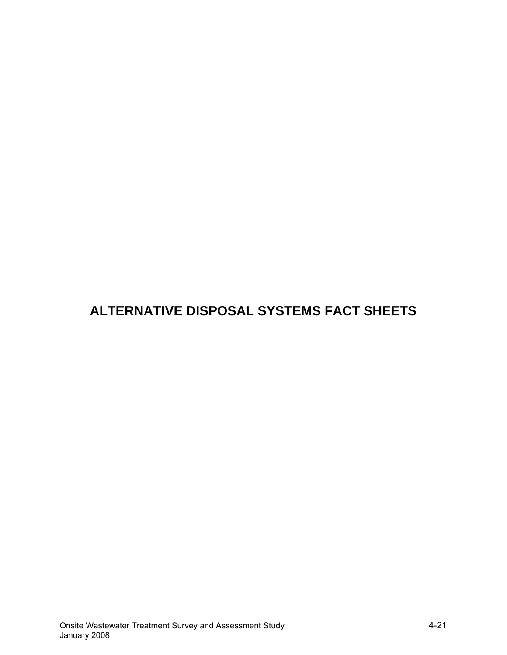## **ALTERNATIVE DISPOSAL SYSTEMS FACT SHEETS**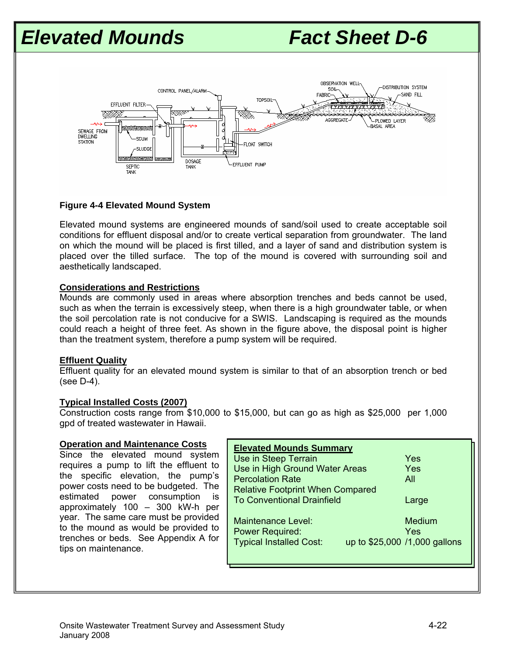# *Elevated Mounds Fact Sheet D-6*



#### **Figure 4-4 Elevated Mound System**

Elevated mound systems are engineered mounds of sand/soil used to create acceptable soil conditions for effluent disposal and/or to create vertical separation from groundwater. The land on which the mound will be placed is first tilled, and a layer of sand and distribution system is placed over the tilled surface. The top of the mound is covered with surrounding soil and aesthetically landscaped.

#### **Considerations and Restrictions**

Mounds are commonly used in areas where absorption trenches and beds cannot be used, such as when the terrain is excessively steep, when there is a high groundwater table, or when the soil percolation rate is not conducive for a SWIS. Landscaping is required as the mounds could reach a height of three feet. As shown in the figure above, the disposal point is higher than the treatment system, therefore a pump system will be required.

#### **Effluent Quality**

Effluent quality for an elevated mound system is similar to that of an absorption trench or bed (see D-4).

#### **Typical Installed Costs (2007)**

Construction costs range from \$10,000 to \$15,000, but can go as high as \$25,000 per 1,000 gpd of treated wastewater in Hawaii.

| <b>Operation and Maintenance Costs</b><br>Since the elevated mound system<br>requires a pump to lift the effluent to<br>the specific elevation, the pump's<br>power costs need to be budgeted. The<br>estimated<br>power consumption<br>is is<br>approximately $100 - 300$ kW-h per<br>year. The same care must be provided<br>to the mound as would be provided to<br>trenches or beds. See Appendix A for<br>tips on maintenance. | <b>Elevated Mounds Summary</b><br>Use in Steep Terrain<br>Use in High Ground Water Areas<br><b>Percolation Rate</b><br><b>Relative Footprint When Compared</b><br><b>To Conventional Drainfield</b><br><b>Maintenance Level:</b><br><b>Power Required:</b><br><b>Typical Installed Cost:</b> | Yes<br><b>Yes</b><br>All<br>Large<br><b>Medium</b><br><b>Yes</b><br>up to \$25,000 /1,000 gallons |
|-------------------------------------------------------------------------------------------------------------------------------------------------------------------------------------------------------------------------------------------------------------------------------------------------------------------------------------------------------------------------------------------------------------------------------------|----------------------------------------------------------------------------------------------------------------------------------------------------------------------------------------------------------------------------------------------------------------------------------------------|---------------------------------------------------------------------------------------------------|
|                                                                                                                                                                                                                                                                                                                                                                                                                                     |                                                                                                                                                                                                                                                                                              |                                                                                                   |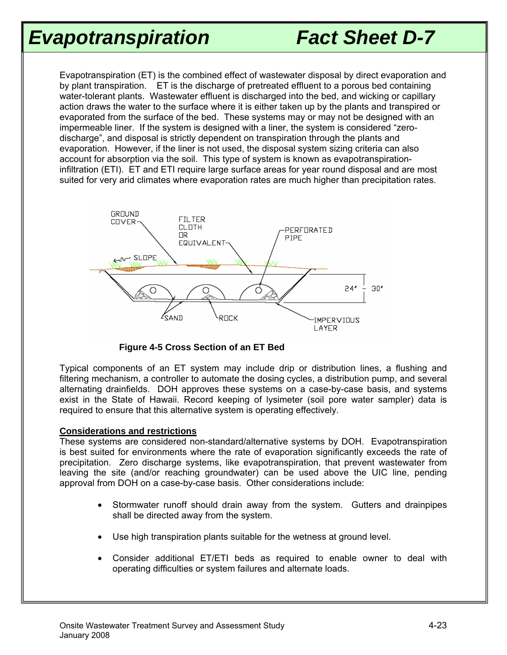# *Evapotranspiration Fact Sheet D-7*

Evapotranspiration (ET) is the combined effect of wastewater disposal by direct evaporation and by plant transpiration. ET is the discharge of pretreated effluent to a porous bed containing water-tolerant plants. Wastewater effluent is discharged into the bed, and wicking or capillary action draws the water to the surface where it is either taken up by the plants and transpired or evaporated from the surface of the bed. These systems may or may not be designed with an impermeable liner. If the system is designed with a liner, the system is considered "zerodischarge", and disposal is strictly dependent on transpiration through the plants and evaporation. However, if the liner is not used, the disposal system sizing criteria can also account for absorption via the soil. This type of system is known as evapotranspirationinfiltration (ETI). ET and ETI require large surface areas for year round disposal and are most suited for very arid climates where evaporation rates are much higher than precipitation rates.



**Figure 4-5 Cross Section of an ET Bed** 

Typical components of an ET system may include drip or distribution lines, a flushing and filtering mechanism, a controller to automate the dosing cycles, a distribution pump, and several alternating drainfields. DOH approves these systems on a case-by-case basis, and systems exist in the State of Hawaii. Record keeping of lysimeter (soil pore water sampler) data is required to ensure that this alternative system is operating effectively.

#### **Considerations and restrictions**

These systems are considered non-standard/alternative systems by DOH. Evapotranspiration is best suited for environments where the rate of evaporation significantly exceeds the rate of precipitation. Zero discharge systems, like evapotranspiration, that prevent wastewater from leaving the site (and/or reaching groundwater) can be used above the UIC line, pending approval from DOH on a case-by-case basis. Other considerations include:

- Stormwater runoff should drain away from the system. Gutters and drainpipes shall be directed away from the system.
- Use high transpiration plants suitable for the wetness at ground level.
- Consider additional ET/ETI beds as required to enable owner to deal with operating difficulties or system failures and alternate loads.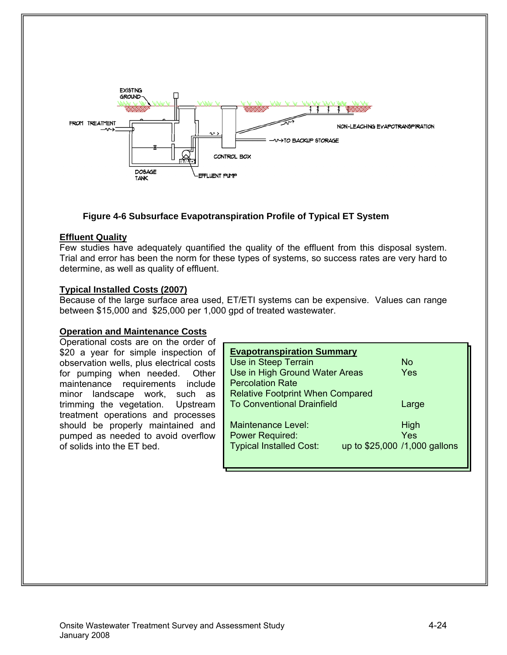

#### **Figure 4-6 Subsurface Evapotranspiration Profile of Typical ET System**

#### **Effluent Quality**

Few studies have adequately quantified the quality of the effluent from this disposal system. Trial and error has been the norm for these types of systems, so success rates are very hard to determine, as well as quality of effluent.

#### **Typical Installed Costs (2007)**

Because of the large surface area used, ET/ETI systems can be expensive. Values can range between \$15,000 and \$25,000 per 1,000 gpd of treated wastewater.

#### **Operation and Maintenance Costs**

Operational costs are on the order of \$20 a year for simple inspection of observation wells, plus electrical costs for pumping when needed. Other maintenance requirements include minor landscape work, such as trimming the vegetation. Upstream treatment operations and processes should be properly maintained and pumped as needed to avoid overflow of solids into the ET bed.

| <b>Evapotranspiration Summary</b>       |                               |  |  |
|-----------------------------------------|-------------------------------|--|--|
| Use in Steep Terrain                    | No.                           |  |  |
| Use in High Ground Water Areas          | Yes                           |  |  |
| <b>Percolation Rate</b>                 |                               |  |  |
| <b>Relative Footprint When Compared</b> |                               |  |  |
| <b>To Conventional Drainfield</b>       | Large                         |  |  |
| Maintenance Level:                      | High                          |  |  |
| <b>Power Required:</b>                  | Yes                           |  |  |
| <b>Typical Installed Cost:</b>          | up to \$25,000 /1,000 gallons |  |  |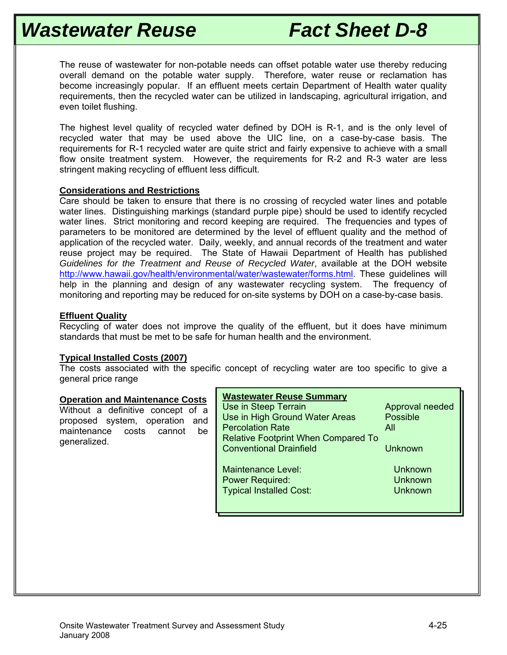# *Wastewater Reuse Fact Sheet D-8*

The reuse of wastewater for non-potable needs can offset potable water use thereby reducing overall demand on the potable water supply. Therefore, water reuse or reclamation has become increasingly popular. If an effluent meets certain Department of Health water quality requirements, then the recycled water can be utilized in landscaping, agricultural irrigation, and even toilet flushing.

The highest level quality of recycled water defined by DOH is R-1, and is the only level of recycled water that may be used above the UIC line, on a case-by-case basis. The requirements for R-1 recycled water are quite strict and fairly expensive to achieve with a small flow onsite treatment system. However, the requirements for R-2 and R-3 water are less stringent making recycling of effluent less difficult.

#### **Considerations and Restrictions**

Care should be taken to ensure that there is no crossing of recycled water lines and potable water lines. Distinguishing markings (standard purple pipe) should be used to identify recycled water lines. Strict monitoring and record keeping are required. The frequencies and types of parameters to be monitored are determined by the level of effluent quality and the method of application of the recycled water. Daily, weekly, and annual records of the treatment and water reuse project may be required. The State of Hawaii Department of Health has published *Guidelines for the Treatment and Reuse of Recycled Water*, available at the DOH website http://www.hawaii.gov/health/environmental/water/wastewater/forms.html. These guidelines will help in the planning and design of any wastewater recycling system. The frequency of monitoring and reporting may be reduced for on-site systems by DOH on a case-by-case basis.

#### **Effluent Quality**

Recycling of water does not improve the quality of the effluent, but it does have minimum standards that must be met to be safe for human health and the environment.

#### **Typical Installed Costs (2007)**

The costs associated with the specific concept of recycling water are too specific to give a general price range

#### **Operation and Maintenance Costs**

Without a definitive concept of a proposed system, operation and maintenance costs cannot be generalized.

| <b>Wastewater Reuse Summary</b>            |                 |
|--------------------------------------------|-----------------|
| Use in Steep Terrain                       | Approval needed |
| Use in High Ground Water Areas             | Possible        |
| <b>Percolation Rate</b>                    | All             |
| <b>Relative Footprint When Compared To</b> |                 |
| <b>Conventional Drainfield</b>             | Unknown         |
| <b>Maintenance Level:</b>                  | Unknown         |
| <b>Power Required:</b>                     | Unknown         |
| <b>Typical Installed Cost:</b>             | Unknown         |
|                                            |                 |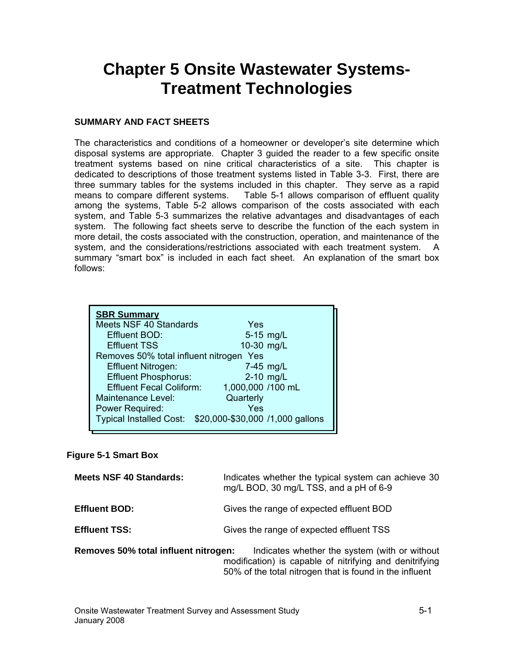## **Chapter 5 Onsite Wastewater Systems-Treatment Technologies**

#### **SUMMARY AND FACT SHEETS**

The characteristics and conditions of a homeowner or developer's site determine which disposal systems are appropriate. Chapter 3 guided the reader to a few specific onsite treatment systems based on nine critical characteristics of a site. This chapter is dedicated to descriptions of those treatment systems listed in Table 3-3. First, there are three summary tables for the systems included in this chapter. They serve as a rapid means to compare different systems. Table 5-1 allows comparison of effluent quality among the systems, Table 5-2 allows comparison of the costs associated with each system, and Table 5-3 summarizes the relative advantages and disadvantages of each system. The following fact sheets serve to describe the function of the each system in more detail, the costs associated with the construction, operation, and maintenance of the system, and the considerations/restrictions associated with each treatment system. A summary "smart box" is included in each fact sheet. An explanation of the smart box follows:

| <b>SBR Summary</b>                  |                                  |           |
|-------------------------------------|----------------------------------|-----------|
| Meets NSF 40 Standards              | <b>Yes</b>                       |           |
| <b>Effluent BOD:</b>                |                                  | 5-15 mg/L |
| <b>Effluent TSS</b>                 | 10-30 mg/L                       |           |
| Removes 50% total influent nitrogen | Yes                              |           |
| <b>Effluent Nitrogen:</b>           |                                  | 7-45 mg/L |
| <b>Effluent Phosphorus:</b>         |                                  | 2-10 mg/L |
| <b>Effluent Fecal Coliform:</b>     | 1,000,000 /100 mL                |           |
| Maintenance Level:                  | Quarterly                        |           |
| <b>Power Required:</b>              | Yes                              |           |
| <b>Typical Installed Cost:</b>      | \$20,000-\$30,000 /1,000 gallons |           |

#### **Figure 5-1 Smart Box**

| <b>Meets NSF 40 Standards:</b>                                                                                                                   | Indicates whether the typical system can achieve 30<br>mg/L BOD, 30 mg/L TSS, and a pH of 6-9 |  |  |  |
|--------------------------------------------------------------------------------------------------------------------------------------------------|-----------------------------------------------------------------------------------------------|--|--|--|
| <b>Effluent BOD:</b>                                                                                                                             | Gives the range of expected effluent BOD                                                      |  |  |  |
| <b>Effluent TSS:</b>                                                                                                                             | Gives the range of expected effluent TSS                                                      |  |  |  |
| Removes 50% total influent nitrogen:<br>Indicates whether the system (with or without<br>modification) is capable of nitrifying and denitrifying |                                                                                               |  |  |  |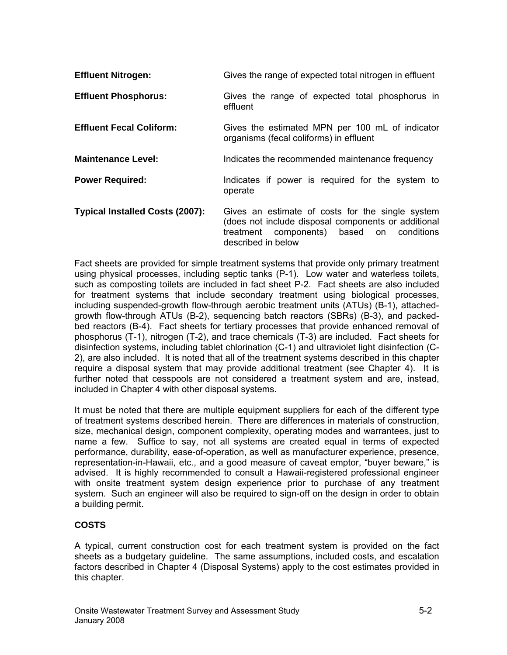| <b>Effluent Nitrogen:</b>              | Gives the range of expected total nitrogen in effluent                                                                                                                     |
|----------------------------------------|----------------------------------------------------------------------------------------------------------------------------------------------------------------------------|
| <b>Effluent Phosphorus:</b>            | Gives the range of expected total phosphorus in<br>effluent                                                                                                                |
| <b>Effluent Fecal Coliform:</b>        | Gives the estimated MPN per 100 mL of indicator<br>organisms (fecal coliforms) in effluent                                                                                 |
| <b>Maintenance Level:</b>              | Indicates the recommended maintenance frequency                                                                                                                            |
| <b>Power Required:</b>                 | Indicates if power is required for the system to<br>operate                                                                                                                |
| <b>Typical Installed Costs (2007):</b> | Gives an estimate of costs for the single system<br>(does not include disposal components or additional<br>treatment components) based on conditions<br>described in below |

Fact sheets are provided for simple treatment systems that provide only primary treatment using physical processes, including septic tanks (P-1). Low water and waterless toilets, such as composting toilets are included in fact sheet P-2. Fact sheets are also included for treatment systems that include secondary treatment using biological processes, including suspended-growth flow-through aerobic treatment units (ATUs) (B-1), attachedgrowth flow-through ATUs (B-2), sequencing batch reactors (SBRs) (B-3), and packedbed reactors (B-4). Fact sheets for tertiary processes that provide enhanced removal of phosphorus (T-1), nitrogen (T-2), and trace chemicals (T-3) are included. Fact sheets for disinfection systems, including tablet chlorination (C-1) and ultraviolet light disinfection (C-2), are also included. It is noted that all of the treatment systems described in this chapter require a disposal system that may provide additional treatment (see Chapter 4). It is further noted that cesspools are not considered a treatment system and are, instead, included in Chapter 4 with other disposal systems.

It must be noted that there are multiple equipment suppliers for each of the different type of treatment systems described herein. There are differences in materials of construction, size, mechanical design, component complexity, operating modes and warrantees, just to name a few. Suffice to say, not all systems are created equal in terms of expected performance, durability, ease-of-operation, as well as manufacturer experience, presence, representation-in-Hawaii, etc., and a good measure of caveat emptor, "buyer beware," is advised. It is highly recommended to consult a Hawaii-registered professional engineer with onsite treatment system design experience prior to purchase of any treatment system. Such an engineer will also be required to sign-off on the design in order to obtain a building permit.

#### **COSTS**

A typical, current construction cost for each treatment system is provided on the fact sheets as a budgetary guideline. The same assumptions, included costs, and escalation factors described in Chapter 4 (Disposal Systems) apply to the cost estimates provided in this chapter.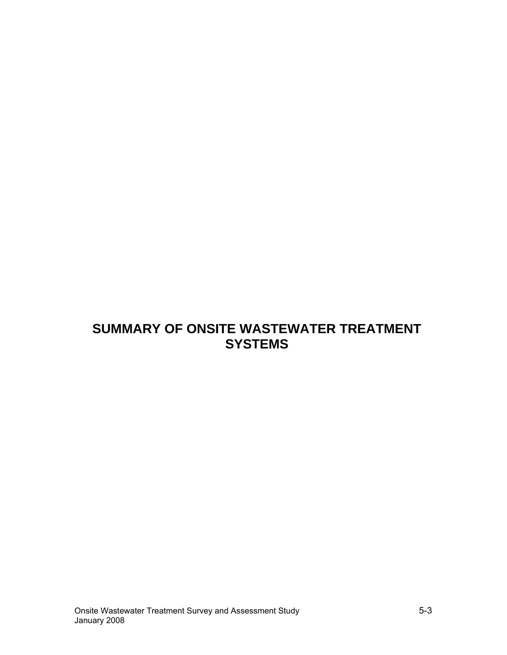### **SUMMARY OF ONSITE WASTEWATER TREATMENT SYSTEMS**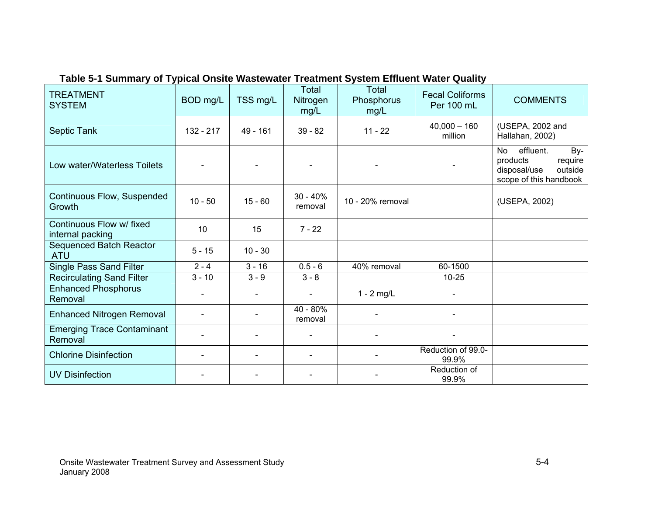| <b>TREATMENT</b><br><b>SYSTEM</b>            | BOD mg/L  | TSS mg/L   | Total<br>Nitrogen<br>mg/L    | Total<br>Phosphorus<br>mg/L | <b>Fecal Coliforms</b><br>Per 100 mL | <b>COMMENTS</b>                                                                                           |
|----------------------------------------------|-----------|------------|------------------------------|-----------------------------|--------------------------------------|-----------------------------------------------------------------------------------------------------------|
| Septic Tank                                  | 132 - 217 | $49 - 161$ | $39 - 82$                    | $11 - 22$                   | $40,000 - 160$<br>million            | (USEPA, 2002 and<br>Hallahan, 2002)                                                                       |
| Low water/Waterless Toilets                  |           |            |                              |                             |                                      | effluent.<br><b>No</b><br>By-<br>products<br>require<br>disposal/use<br>outside<br>scope of this handbook |
| Continuous Flow, Suspended<br>Growth         | $10 - 50$ | $15 - 60$  | $30 - 40%$<br>removal        | 10 - 20% removal            |                                      | (USEPA, 2002)                                                                                             |
| Continuous Flow w/ fixed<br>internal packing | 10        | 15         | $7 - 22$                     |                             |                                      |                                                                                                           |
| Sequenced Batch Reactor<br><b>ATU</b>        | $5 - 15$  | $10 - 30$  |                              |                             |                                      |                                                                                                           |
| <b>Single Pass Sand Filter</b>               | $2 - 4$   | $3 - 16$   | $0.5 - 6$                    | 40% removal                 | 60-1500                              |                                                                                                           |
| <b>Recirculating Sand Filter</b>             | $3 - 10$  | $3 - 9$    | $3 - 8$                      |                             | $10 - 25$                            |                                                                                                           |
| <b>Enhanced Phosphorus</b><br>Removal        |           |            |                              | $1 - 2$ mg/L                |                                      |                                                                                                           |
| <b>Enhanced Nitrogen Removal</b>             |           |            | $40 - 80%$<br>removal        |                             |                                      |                                                                                                           |
| <b>Emerging Trace Contaminant</b><br>Removal |           |            | $\qquad \qquad \blacksquare$ |                             |                                      |                                                                                                           |
| <b>Chlorine Disinfection</b>                 |           |            | $\qquad \qquad \blacksquare$ |                             | Reduction of 99.0-<br>99.9%          |                                                                                                           |
| <b>UV Disinfection</b>                       |           |            |                              |                             | Reduction of<br>99.9%                |                                                                                                           |

#### **Table 5-1 Summary of Typical Onsite Wastewater Treatment System Effluent Water Quality**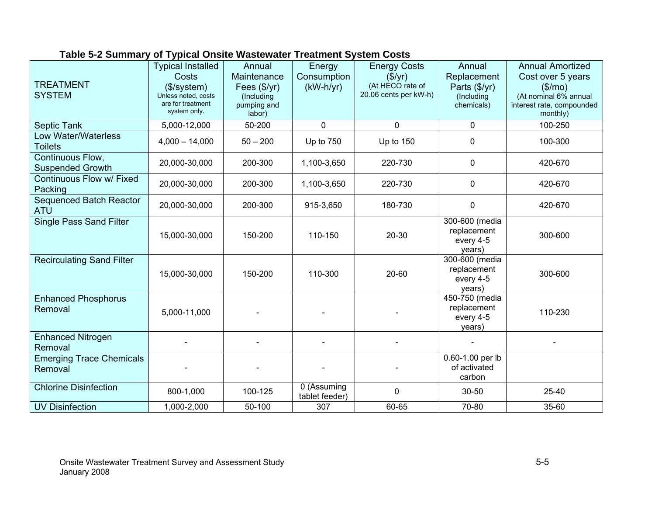### **Table 5-2 Summary of Typical Onsite Wastewater Treatment System Costs**

| <b>TREATMENT</b><br><b>SYSTEM</b>            | <b>Typical Installed</b><br>Costs<br>(\$/system)<br>Unless noted, costs<br>are for treatment<br>system only. | Annual<br>Maintenance<br>Fees $($/yr)$<br>(Including<br>pumping and<br>labor) | Energy<br>Consumption<br>$(kW-h/yr)$ | <b>Energy Costs</b><br>(\$/yr)<br>(At HECO rate of<br>20.06 cents per kW-h) | Annual<br>Replacement<br>Parts (\$/yr)<br>(Including<br>chemicals) | <b>Annual Amortized</b><br>Cost over 5 years<br>(\$/mo)<br>(At nominal 6% annual<br>interest rate, compounded<br>monthly) |
|----------------------------------------------|--------------------------------------------------------------------------------------------------------------|-------------------------------------------------------------------------------|--------------------------------------|-----------------------------------------------------------------------------|--------------------------------------------------------------------|---------------------------------------------------------------------------------------------------------------------------|
| <b>Septic Tank</b>                           | 5,000-12,000                                                                                                 | 50-200                                                                        | $\mathbf 0$                          | $\mathbf 0$                                                                 | $\mathbf 0$                                                        | 100-250                                                                                                                   |
| Low Water/Waterless<br><b>Toilets</b>        | $4,000 - 14,000$                                                                                             | $50 - 200$                                                                    | Up to 750                            | Up to 150                                                                   | 0                                                                  | 100-300                                                                                                                   |
| Continuous Flow,<br><b>Suspended Growth</b>  | 20,000-30,000                                                                                                | 200-300                                                                       | 1,100-3,650                          | 220-730                                                                     | $\mathbf 0$                                                        | 420-670                                                                                                                   |
| Continuous Flow w/ Fixed<br>Packing          | 20,000-30,000                                                                                                | 200-300                                                                       | 1,100-3,650                          | 220-730                                                                     | $\mathbf 0$                                                        | 420-670                                                                                                                   |
| <b>Sequenced Batch Reactor</b><br><b>ATU</b> | 20,000-30,000                                                                                                | 200-300                                                                       | 915-3,650                            | 180-730                                                                     | $\mathbf 0$                                                        | 420-670                                                                                                                   |
| <b>Single Pass Sand Filter</b>               | 15,000-30,000                                                                                                | 150-200                                                                       | 110-150                              | 20-30                                                                       | 300-600 (media<br>replacement<br>every 4-5<br>years)               | 300-600                                                                                                                   |
| <b>Recirculating Sand Filter</b>             | 15,000-30,000                                                                                                | 150-200                                                                       | 110-300                              | 20-60                                                                       | 300-600 (media<br>replacement<br>every 4-5<br>years)               | 300-600                                                                                                                   |
| <b>Enhanced Phosphorus</b><br>Removal        | 5,000-11,000                                                                                                 |                                                                               |                                      |                                                                             | 450-750 (media<br>replacement<br>every 4-5<br>years)               | 110-230                                                                                                                   |
| <b>Enhanced Nitrogen</b><br>Removal          |                                                                                                              |                                                                               |                                      |                                                                             |                                                                    |                                                                                                                           |
| <b>Emerging Trace Chemicals</b><br>Removal   |                                                                                                              |                                                                               |                                      |                                                                             | 0.60-1.00 per lb<br>of activated<br>carbon                         |                                                                                                                           |
| <b>Chlorine Disinfection</b>                 | 800-1,000                                                                                                    | 100-125                                                                       | 0 (Assuming<br>tablet feeder)        | 0                                                                           | $30 - 50$                                                          | 25-40                                                                                                                     |
| <b>UV Disinfection</b>                       | 1,000-2,000                                                                                                  | 50-100                                                                        | 307                                  | 60-65                                                                       | 70-80                                                              | 35-60                                                                                                                     |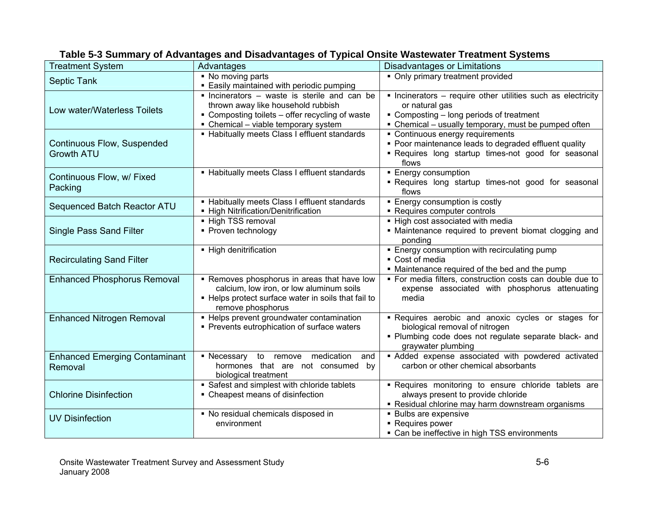| <b>Treatment System</b>                         | Advantages                                                                                                                                                                    | Disadvantages or Limitations                                                                                                                                                       |
|-------------------------------------------------|-------------------------------------------------------------------------------------------------------------------------------------------------------------------------------|------------------------------------------------------------------------------------------------------------------------------------------------------------------------------------|
| Septic Tank                                     | • No moving parts<br><b>Easily maintained with periodic pumping</b>                                                                                                           | • Only primary treatment provided                                                                                                                                                  |
| Low water/Waterless Toilets                     | · Incinerators - waste is sterile and can be<br>thrown away like household rubbish<br>• Composting toilets – offer recycling of waste<br>• Chemical - viable temporary system | · Incinerators - require other utilities such as electricity<br>or natural gas<br>• Composting - long periods of treatment<br>• Chemical - usually temporary, must be pumped often |
| Continuous Flow, Suspended<br><b>Growth ATU</b> | • Habitually meets Class I effluent standards                                                                                                                                 | • Continuous energy requirements<br>• Poor maintenance leads to degraded effluent quality<br>· Requires long startup times-not good for seasonal<br>flows                          |
| Continuous Flow, w/ Fixed<br>Packing            | - Habitually meets Class I effluent standards                                                                                                                                 | • Energy consumption<br>- Requires long startup times-not good for seasonal<br>flows                                                                                               |
| Sequenced Batch Reactor ATU                     | - Habitually meets Class I effluent standards<br>- High Nitrification/Denitrification                                                                                         | • Energy consumption is costly<br>- Requires computer controls                                                                                                                     |
| Single Pass Sand Filter                         | - High TSS removal<br>• Proven technology                                                                                                                                     | • High cost associated with media<br>• Maintenance required to prevent biomat clogging and<br>ponding                                                                              |
| <b>Recirculating Sand Filter</b>                | - High denitrification                                                                                                                                                        | • Energy consumption with recirculating pump<br>• Cost of media<br>• Maintenance required of the bed and the pump                                                                  |
| <b>Enhanced Phosphorus Removal</b>              | Removes phosphorus in areas that have low<br>calcium, low iron, or low aluminum soils<br>- Helps protect surface water in soils that fail to<br>remove phosphorus             | • For media filters, construction costs can double due to<br>expense associated with phosphorus attenuating<br>media                                                               |
| <b>Enhanced Nitrogen Removal</b>                | - Helps prevent groundwater contamination<br>• Prevents eutrophication of surface waters                                                                                      | - Requires aerobic and anoxic cycles or stages for<br>biological removal of nitrogen<br>· Plumbing code does not regulate separate black- and<br>graywater plumbing                |
| <b>Enhanced Emerging Contaminant</b><br>Removal | - Necessary to remove medication<br>and<br>hormones that are not consumed<br>by<br>biological treatment                                                                       | • Added expense associated with powdered activated<br>carbon or other chemical absorbants                                                                                          |
| <b>Chlorine Disinfection</b>                    | • Safest and simplest with chloride tablets<br>• Cheapest means of disinfection                                                                                               | - Requires monitoring to ensure chloride tablets are<br>always present to provide chloride<br>Residual chlorine may harm downstream organisms                                      |
| <b>UV Disinfection</b>                          | • No residual chemicals disposed in<br>environment                                                                                                                            | • Bulbs are expensive<br>- Requires power<br>• Can be ineffective in high TSS environments                                                                                         |

### **Table 5-3 Summary of Advantages and Disadvantages of Typical Onsite Wastewater Treatment Systems**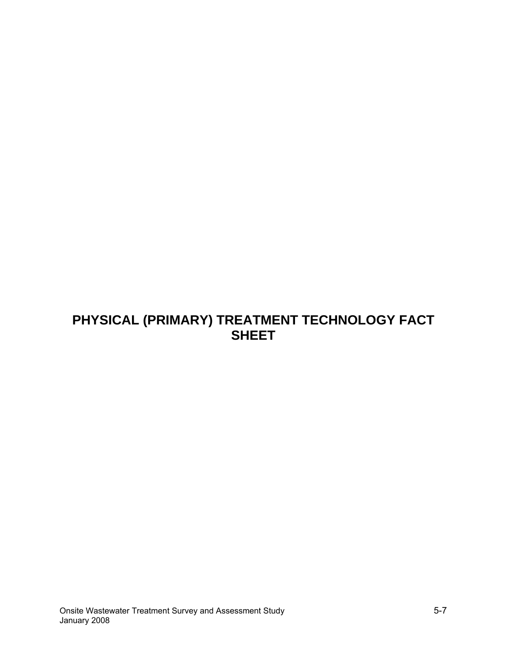### **PHYSICAL (PRIMARY) TREATMENT TECHNOLOGY FACT SHEET**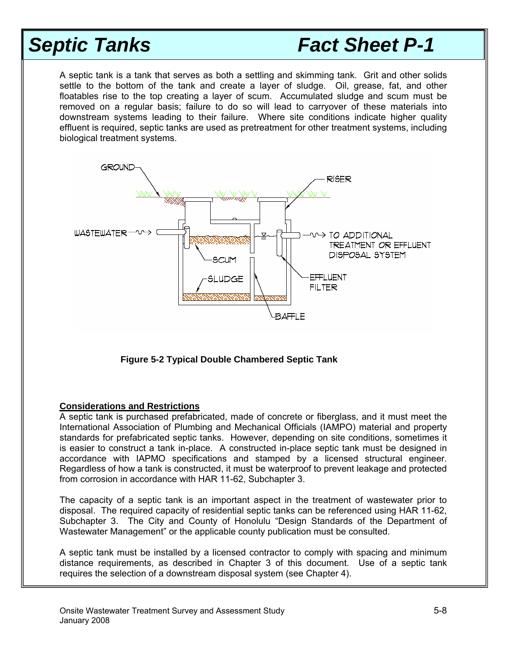## *Septic Tanks Fact Sheet P-1*

A septic tank is a tank that serves as both a settling and skimming tank. Grit and other solids settle to the bottom of the tank and create a layer of sludge. Oil, grease, fat, and other floatables rise to the top creating a layer of scum. Accumulated sludge and scum must be removed on a regular basis; failure to do so will lead to carryover of these materials into downstream systems leading to their failure. Where site conditions indicate higher quality effluent is required, septic tanks are used as pretreatment for other treatment systems, including biological treatment systems.



**Figure 5-2 Typical Double Chambered Septic Tank** 

#### **Considerations and Restrictions**

A septic tank is purchased prefabricated, made of concrete or fiberglass, and it must meet the International Association of Plumbing and Mechanical Officials (IAMPO) material and property standards for prefabricated septic tanks. However, depending on site conditions, sometimes it is easier to construct a tank in-place. A constructed in-place septic tank must be designed in accordance with IAPMO specifications and stamped by a licensed structural engineer. Regardless of how a tank is constructed, it must be waterproof to prevent leakage and protected from corrosion in accordance with HAR 11-62, Subchapter 3.

The capacity of a septic tank is an important aspect in the treatment of wastewater prior to disposal. The required capacity of residential septic tanks can be referenced using HAR 11-62, Subchapter 3. The City and County of Honolulu "Design Standards of the Department of Wastewater Management" or the applicable county publication must be consulted.

A septic tank must be installed by a licensed contractor to comply with spacing and minimum distance requirements, as described in Chapter 3 of this document. Use of a septic tank requires the selection of a downstream disposal system (see Chapter 4).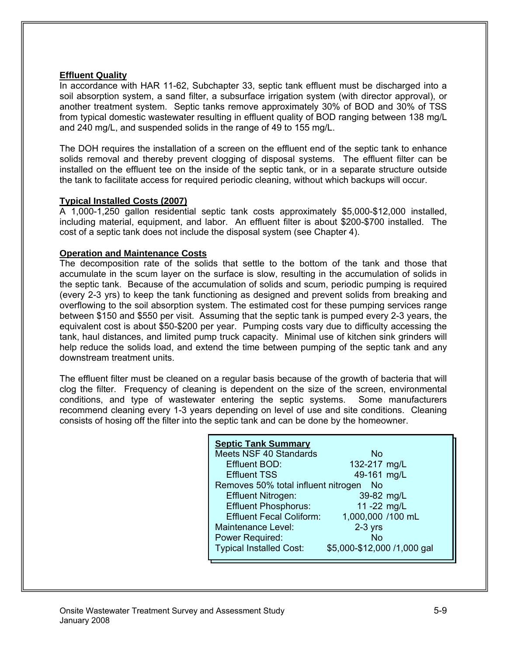#### **Effluent Quality**

In accordance with HAR 11-62, Subchapter 33, septic tank effluent must be discharged into a soil absorption system, a sand filter, a subsurface irrigation system (with director approval), or another treatment system. Septic tanks remove approximately 30% of BOD and 30% of TSS from typical domestic wastewater resulting in effluent quality of BOD ranging between 138 mg/L and 240 mg/L, and suspended solids in the range of 49 to 155 mg/L.

The DOH requires the installation of a screen on the effluent end of the septic tank to enhance solids removal and thereby prevent clogging of disposal systems. The effluent filter can be installed on the effluent tee on the inside of the septic tank, or in a separate structure outside the tank to facilitate access for required periodic cleaning, without which backups will occur.

#### **Typical Installed Costs (2007)**

A 1,000-1,250 gallon residential septic tank costs approximately \$5,000-\$12,000 installed, including material, equipment, and labor. An effluent filter is about \$200-\$700 installed. The cost of a septic tank does not include the disposal system (see Chapter 4).

#### **Operation and Maintenance Costs**

The decomposition rate of the solids that settle to the bottom of the tank and those that accumulate in the scum layer on the surface is slow, resulting in the accumulation of solids in the septic tank. Because of the accumulation of solids and scum, periodic pumping is required (every 2-3 yrs) to keep the tank functioning as designed and prevent solids from breaking and overflowing to the soil absorption system. The estimated cost for these pumping services range between \$150 and \$550 per visit. Assuming that the septic tank is pumped every 2-3 years, the equivalent cost is about \$50-\$200 per year. Pumping costs vary due to difficulty accessing the tank, haul distances, and limited pump truck capacity. Minimal use of kitchen sink grinders will help reduce the solids load, and extend the time between pumping of the septic tank and any downstream treatment units.

The effluent filter must be cleaned on a regular basis because of the growth of bacteria that will clog the filter. Frequency of cleaning is dependent on the size of the screen, environmental conditions, and type of wastewater entering the septic systems. Some manufacturers recommend cleaning every 1-3 years depending on level of use and site conditions. Cleaning consists of hosing off the filter into the septic tank and can be done by the homeowner.

| <b>Septic Tank Summary</b>          |                             |
|-------------------------------------|-----------------------------|
| Meets NSF 40 Standards              | No                          |
| <b>Effluent BOD:</b>                | 132-217 mg/L                |
| <b>Effluent TSS</b>                 | 49-161 mg/L                 |
| Removes 50% total influent nitrogen | - No                        |
| <b>Effluent Nitrogen:</b>           | 39-82 mg/L                  |
| <b>Effluent Phosphorus:</b>         | 11-22 mg/L                  |
| <b>Effluent Fecal Coliform:</b>     | 1,000,000 /100 mL           |
| Maintenance Level:                  | $2-3$ yrs                   |
| Power Required:                     | <b>No</b>                   |
| <b>Typical Installed Cost:</b>      | \$5,000-\$12,000 /1,000 gal |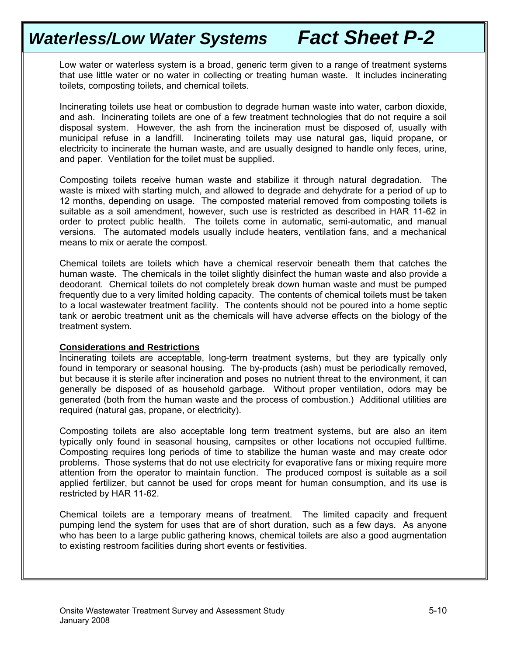Low water or waterless system is a broad, generic term given to a range of treatment systems that use little water or no water in collecting or treating human waste. It includes incinerating toilets, composting toilets, and chemical toilets.

Incinerating toilets use heat or combustion to degrade human waste into water, carbon dioxide, and ash. Incinerating toilets are one of a few treatment technologies that do not require a soil disposal system. However, the ash from the incineration must be disposed of, usually with municipal refuse in a landfill. Incinerating toilets may use natural gas, liquid propane, or electricity to incinerate the human waste, and are usually designed to handle only feces, urine, and paper. Ventilation for the toilet must be supplied.

Composting toilets receive human waste and stabilize it through natural degradation. The waste is mixed with starting mulch, and allowed to degrade and dehydrate for a period of up to 12 months, depending on usage. The composted material removed from composting toilets is suitable as a soil amendment, however, such use is restricted as described in HAR 11-62 in order to protect public health. The toilets come in automatic, semi-automatic, and manual versions. The automated models usually include heaters, ventilation fans, and a mechanical means to mix or aerate the compost.

Chemical toilets are toilets which have a chemical reservoir beneath them that catches the human waste. The chemicals in the toilet slightly disinfect the human waste and also provide a deodorant. Chemical toilets do not completely break down human waste and must be pumped frequently due to a very limited holding capacity. The contents of chemical toilets must be taken to a local wastewater treatment facility. The contents should not be poured into a home septic tank or aerobic treatment unit as the chemicals will have adverse effects on the biology of the treatment system.

#### **Considerations and Restrictions**

Incinerating toilets are acceptable, long-term treatment systems, but they are typically only found in temporary or seasonal housing. The by-products (ash) must be periodically removed, but because it is sterile after incineration and poses no nutrient threat to the environment, it can generally be disposed of as household garbage. Without proper ventilation, odors may be generated (both from the human waste and the process of combustion.) Additional utilities are required (natural gas, propane, or electricity).

Composting toilets are also acceptable long term treatment systems, but are also an item typically only found in seasonal housing, campsites or other locations not occupied fulltime. Composting requires long periods of time to stabilize the human waste and may create odor problems. Those systems that do not use electricity for evaporative fans or mixing require more attention from the operator to maintain function. The produced compost is suitable as a soil applied fertilizer, but cannot be used for crops meant for human consumption, and its use is restricted by HAR 11-62.

Chemical toilets are a temporary means of treatment. The limited capacity and frequent pumping lend the system for uses that are of short duration, such as a few days. As anyone who has been to a large public gathering knows, chemical toilets are also a good augmentation to existing restroom facilities during short events or festivities.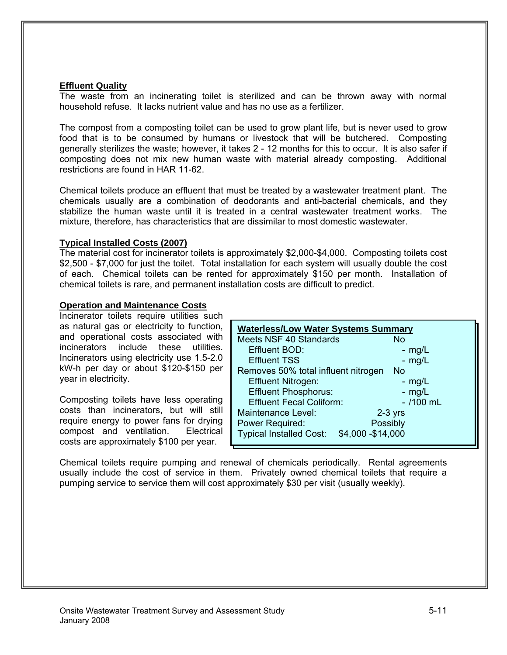#### **Effluent Quality**

The waste from an incinerating toilet is sterilized and can be thrown away with normal household refuse. It lacks nutrient value and has no use as a fertilizer.

The compost from a composting toilet can be used to grow plant life, but is never used to grow food that is to be consumed by humans or livestock that will be butchered. Composting generally sterilizes the waste; however, it takes 2 - 12 months for this to occur. It is also safer if composting does not mix new human waste with material already composting. Additional restrictions are found in HAR 11-62.

Chemical toilets produce an effluent that must be treated by a wastewater treatment plant. The chemicals usually are a combination of deodorants and anti-bacterial chemicals, and they stabilize the human waste until it is treated in a central wastewater treatment works. The mixture, therefore, has characteristics that are dissimilar to most domestic wastewater.

#### **Typical Installed Costs (2007)**

The material cost for incinerator toilets is approximately \$2,000-\$4,000. Composting toilets cost \$2,500 - \$7,000 for just the toilet. Total installation for each system will usually double the cost of each. Chemical toilets can be rented for approximately \$150 per month. Installation of chemical toilets is rare, and permanent installation costs are difficult to predict.

#### **Operation and Maintenance Costs**

Incinerator toilets require utilities such as natural gas or electricity to function, and operational costs associated with incinerators include these utilities. Incinerators using electricity use 1.5-2.0 kW-h per day or about \$120-\$150 per year in electricity.

Composting toilets have less operating costs than incinerators, but will still require energy to power fans for drying compost and ventilation. Electrical costs are approximately \$100 per year.

| <b>Waterless/Low Water Systems Summary</b> |                    |  |  |  |
|--------------------------------------------|--------------------|--|--|--|
| Meets NSF 40 Standards                     | No                 |  |  |  |
| <b>Effluent BOD:</b>                       | - $mg/L$           |  |  |  |
| <b>Effluent TSS</b>                        | - $mg/L$           |  |  |  |
| Removes 50% total influent nitrogen        | No                 |  |  |  |
| <b>Effluent Nitrogen:</b>                  | - $mg/L$           |  |  |  |
| <b>Effluent Phosphorus:</b>                | - $mg/L$           |  |  |  |
| <b>Effluent Fecal Coliform:</b>            | $-$ /100 mL        |  |  |  |
| Maintenance Level:                         | $2-3$ yrs          |  |  |  |
| <b>Power Required:</b>                     | Possibly           |  |  |  |
| <b>Typical Installed Cost:</b>             | \$4,000 - \$14,000 |  |  |  |

Chemical toilets require pumping and renewal of chemicals periodically. Rental agreements usually include the cost of service in them. Privately owned chemical toilets that require a pumping service to service them will cost approximately \$30 per visit (usually weekly).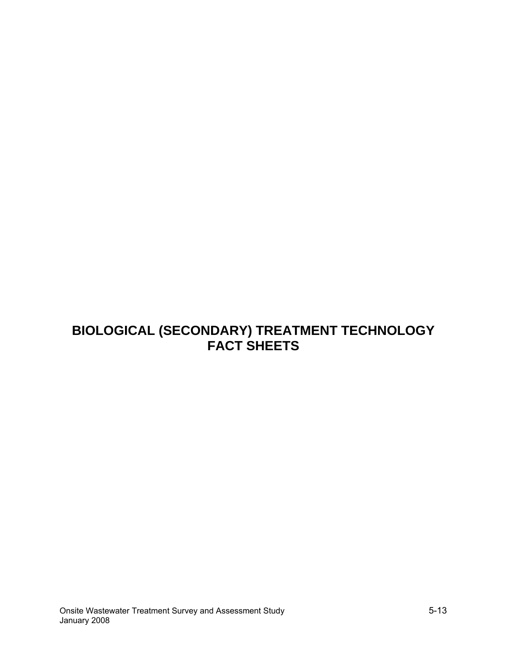## **BIOLOGICAL (SECONDARY) TREATMENT TECHNOLOGY FACT SHEETS**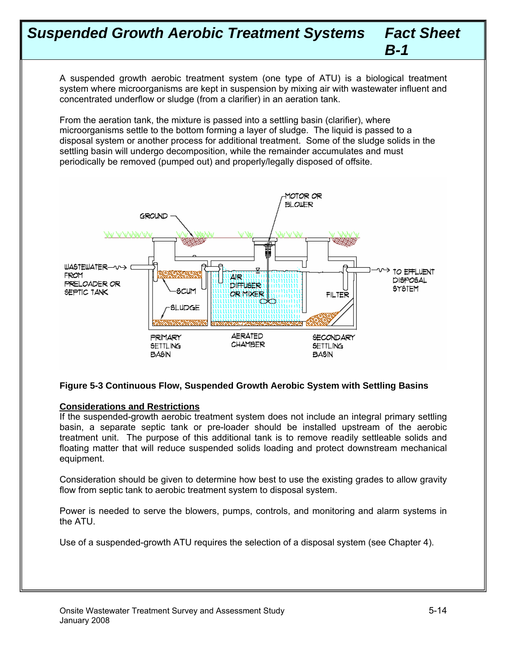# *Suspended Growth Aerobic Treatment Systems Fact Sheet B-1*

A suspended growth aerobic treatment system (one type of ATU) is a biological treatment system where microorganisms are kept in suspension by mixing air with wastewater influent and concentrated underflow or sludge (from a clarifier) in an aeration tank.

From the aeration tank, the mixture is passed into a settling basin (clarifier), where microorganisms settle to the bottom forming a layer of sludge. The liquid is passed to a disposal system or another process for additional treatment. Some of the sludge solids in the settling basin will undergo decomposition, while the remainder accumulates and must periodically be removed (pumped out) and properly/legally disposed of offsite.



### **Figure 5-3 Continuous Flow, Suspended Growth Aerobic System with Settling Basins**

### **Considerations and Restrictions**

If the suspended-growth aerobic treatment system does not include an integral primary settling basin, a separate septic tank or pre-loader should be installed upstream of the aerobic treatment unit. The purpose of this additional tank is to remove readily settleable solids and floating matter that will reduce suspended solids loading and protect downstream mechanical equipment.

Consideration should be given to determine how best to use the existing grades to allow gravity flow from septic tank to aerobic treatment system to disposal system.

Power is needed to serve the blowers, pumps, controls, and monitoring and alarm systems in the ATU.

Use of a suspended-growth ATU requires the selection of a disposal system (see Chapter 4).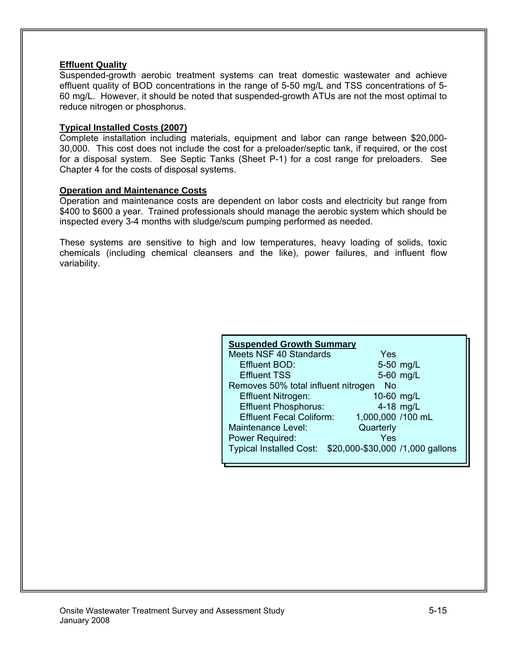### **Effluent Quality**

Suspended-growth aerobic treatment systems can treat domestic wastewater and achieve effluent quality of BOD concentrations in the range of 5-50 mg/L and TSS concentrations of 5- 60 mg/L. However, it should be noted that suspended-growth ATUs are not the most optimal to reduce nitrogen or phosphorus.

### **Typical Installed Costs (2007)**

Complete installation including materials, equipment and labor can range between \$20,000- 30,000. This cost does not include the cost for a preloader/septic tank, if required, or the cost for a disposal system. See Septic Tanks (Sheet P-1) for a cost range for preloaders. See Chapter 4 for the costs of disposal systems.

### **Operation and Maintenance Costs**

Operation and maintenance costs are dependent on labor costs and electricity but range from \$400 to \$600 a year. Trained professionals should manage the aerobic system which should be inspected every 3-4 months with sludge/scum pumping performed as needed.

These systems are sensitive to high and low temperatures, heavy loading of solids, toxic chemicals (including chemical cleansers and the like), power failures, and influent flow variability.

| <b>Suspended Growth Summary</b>     |                                  |           |  |  |
|-------------------------------------|----------------------------------|-----------|--|--|
| Meets NSF 40 Standards              | Yes                              |           |  |  |
| <b>Effluent BOD:</b>                |                                  | 5-50 mg/L |  |  |
| <b>Effluent TSS</b>                 |                                  | 5-60 mg/L |  |  |
| Removes 50% total influent nitrogen | <b>No</b>                        |           |  |  |
| <b>Effluent Nitrogen:</b>           | 10-60 mg/L                       |           |  |  |
| <b>Effluent Phosphorus:</b>         |                                  | 4-18 mg/L |  |  |
| <b>Effluent Fecal Coliform:</b>     | 1,000,000 /100 mL                |           |  |  |
| Maintenance Level:                  | Quarterly                        |           |  |  |
| Power Required:                     | Yes                              |           |  |  |
| <b>Typical Installed Cost:</b>      | \$20,000-\$30,000 /1,000 gallons |           |  |  |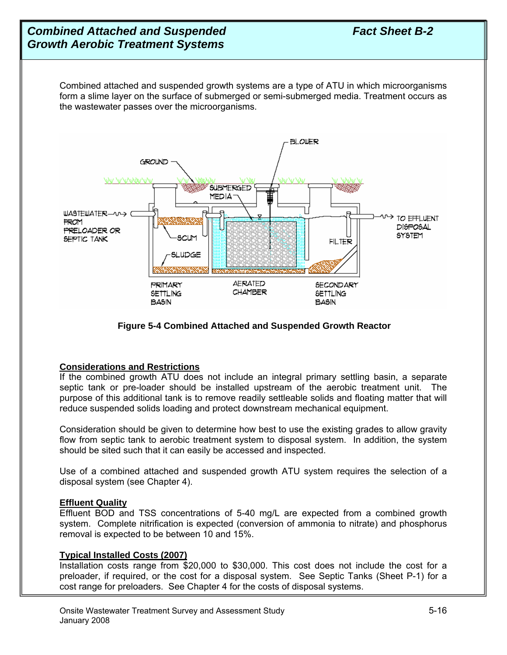### **Combined Attached and Suspended Fact Sheet B-2 Fact Sheet B-2** *Growth Aerobic Treatment Systems*

Combined attached and suspended growth systems are a type of ATU in which microorganisms form a slime layer on the surface of submerged or semi-submerged media. Treatment occurs as the wastewater passes over the microorganisms.



### **Figure 5-4 Combined Attached and Suspended Growth Reactor**

### **Considerations and Restrictions**

If the combined growth ATU does not include an integral primary settling basin, a separate septic tank or pre-loader should be installed upstream of the aerobic treatment unit. The purpose of this additional tank is to remove readily settleable solids and floating matter that will reduce suspended solids loading and protect downstream mechanical equipment.

Consideration should be given to determine how best to use the existing grades to allow gravity flow from septic tank to aerobic treatment system to disposal system. In addition, the system should be sited such that it can easily be accessed and inspected.

Use of a combined attached and suspended growth ATU system requires the selection of a disposal system (see Chapter 4).

### **Effluent Quality**

Effluent BOD and TSS concentrations of 5-40 mg/L are expected from a combined growth system. Complete nitrification is expected (conversion of ammonia to nitrate) and phosphorus removal is expected to be between 10 and 15%.

### **Typical Installed Costs (2007)**

Installation costs range from \$20,000 to \$30,000. This cost does not include the cost for a preloader, if required, or the cost for a disposal system. See Septic Tanks (Sheet P-1) for a cost range for preloaders. See Chapter 4 for the costs of disposal systems.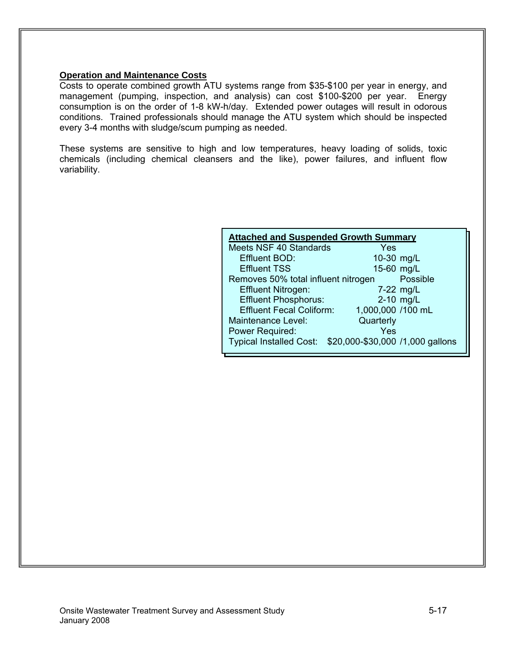### **Operation and Maintenance Costs**

Costs to operate combined growth ATU systems range from \$35-\$100 per year in energy, and management (pumping, inspection, and analysis) can cost \$100-\$200 per year. Energy consumption is on the order of 1-8 kW-h/day. Extended power outages will result in odorous conditions. Trained professionals should manage the ATU system which should be inspected every 3-4 months with sludge/scum pumping as needed.

These systems are sensitive to high and low temperatures, heavy loading of solids, toxic chemicals (including chemical cleansers and the like), power failures, and influent flow variability.

| <b>Attached and Suspended Growth Summary</b> |                                  |           |  |  |
|----------------------------------------------|----------------------------------|-----------|--|--|
| Meets NSF 40 Standards                       | Yes                              |           |  |  |
| <b>Effluent BOD:</b>                         | 10-30 mg/L                       |           |  |  |
| <b>Effluent TSS</b>                          | 15-60 mg/L                       |           |  |  |
| Removes 50% total influent nitrogen          |                                  | Possible  |  |  |
| <b>Effluent Nitrogen:</b>                    |                                  | 7-22 mg/L |  |  |
| <b>Effluent Phosphorus:</b>                  |                                  | 2-10 mg/L |  |  |
| <b>Effluent Fecal Coliform:</b>              | 1,000,000 /100 mL                |           |  |  |
| Maintenance Level:                           | Quarterly                        |           |  |  |
| Power Required:                              | Yes                              |           |  |  |
| <b>Typical Installed Cost:</b>               | \$20,000-\$30,000 /1,000 gallons |           |  |  |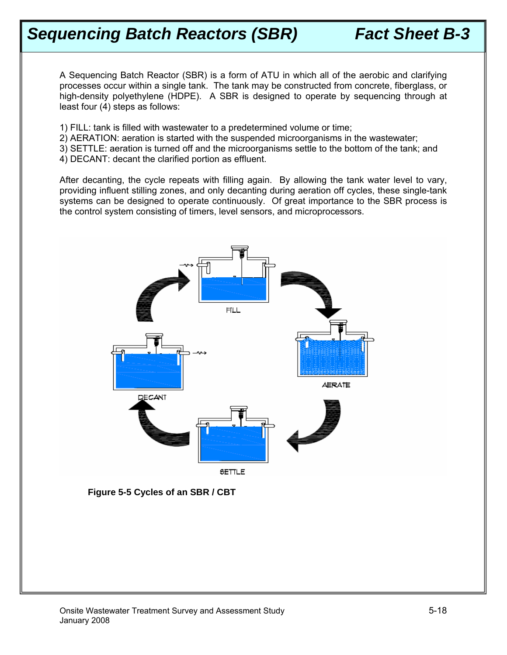# *Sequencing Batch Reactors (SBR) Fact Sheet B-3*

A Sequencing Batch Reactor (SBR) is a form of ATU in which all of the aerobic and clarifying processes occur within a single tank. The tank may be constructed from concrete, fiberglass, or high-density polyethylene (HDPE). A SBR is designed to operate by sequencing through at least four (4) steps as follows:

1) FILL: tank is filled with wastewater to a predetermined volume or time;

- 2) AERATION: aeration is started with the suspended microorganisms in the wastewater;
- 3) SETTLE: aeration is turned off and the microorganisms settle to the bottom of the tank; and 4) DECANT: decant the clarified portion as effluent.

After decanting, the cycle repeats with filling again. By allowing the tank water level to vary, providing influent stilling zones, and only decanting during aeration off cycles, these single-tank systems can be designed to operate continuously. Of great importance to the SBR process is the control system consisting of timers, level sensors, and microprocessors.

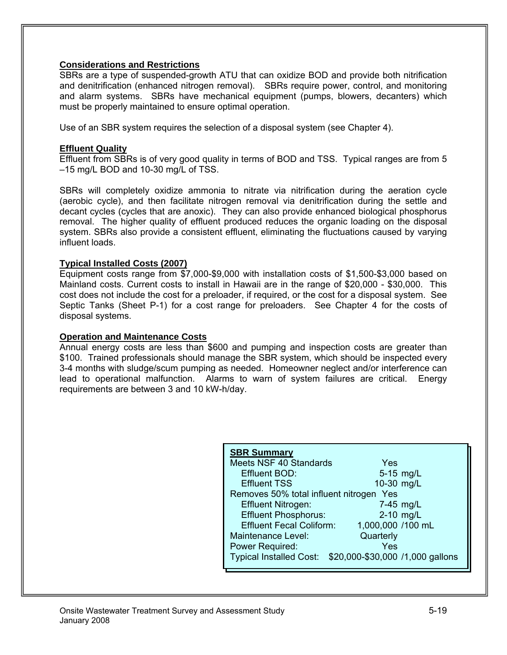### **Considerations and Restrictions**

SBRs are a type of suspended-growth ATU that can oxidize BOD and provide both nitrification and denitrification (enhanced nitrogen removal). SBRs require power, control, and monitoring and alarm systems. SBRs have mechanical equipment (pumps, blowers, decanters) which must be properly maintained to ensure optimal operation.

Use of an SBR system requires the selection of a disposal system (see Chapter 4).

### **Effluent Quality**

Effluent from SBRs is of very good quality in terms of BOD and TSS. Typical ranges are from 5 –15 mg/L BOD and 10-30 mg/L of TSS.

SBRs will completely oxidize ammonia to nitrate via nitrification during the aeration cycle (aerobic cycle), and then facilitate nitrogen removal via denitrification during the settle and decant cycles (cycles that are anoxic). They can also provide enhanced biological phosphorus removal. The higher quality of effluent produced reduces the organic loading on the disposal system. SBRs also provide a consistent effluent, eliminating the fluctuations caused by varying influent loads.

### **Typical Installed Costs (2007)**

Equipment costs range from \$7,000-\$9,000 with installation costs of \$1,500-\$3,000 based on Mainland costs. Current costs to install in Hawaii are in the range of \$20,000 - \$30,000. This cost does not include the cost for a preloader, if required, or the cost for a disposal system. See Septic Tanks (Sheet P-1) for a cost range for preloaders. See Chapter 4 for the costs of disposal systems.

### **Operation and Maintenance Costs**

Annual energy costs are less than \$600 and pumping and inspection costs are greater than \$100. Trained professionals should manage the SBR system, which should be inspected every 3-4 months with sludge/scum pumping as needed. Homeowner neglect and/or interference can lead to operational malfunction. Alarms to warn of system failures are critical. Energy requirements are between 3 and 10 kW-h/day.

| <b>SBR Summary</b>                  |                                  |           |
|-------------------------------------|----------------------------------|-----------|
| Meets NSF 40 Standards              | Yes                              |           |
| <b>Effluent BOD:</b>                |                                  | 5-15 mg/L |
| <b>Effluent TSS</b>                 | 10-30 mg/L                       |           |
| Removes 50% total influent nitrogen | Yes                              |           |
| <b>Effluent Nitrogen:</b>           |                                  | 7-45 mg/L |
| <b>Effluent Phosphorus:</b>         |                                  | 2-10 mg/L |
| <b>Effluent Fecal Coliform:</b>     | 1,000,000 /100 mL                |           |
| Maintenance Level:                  | Quarterly                        |           |
| Power Required:                     | Yes                              |           |
| <b>Typical Installed Cost:</b>      | \$20,000-\$30,000 /1,000 gallons |           |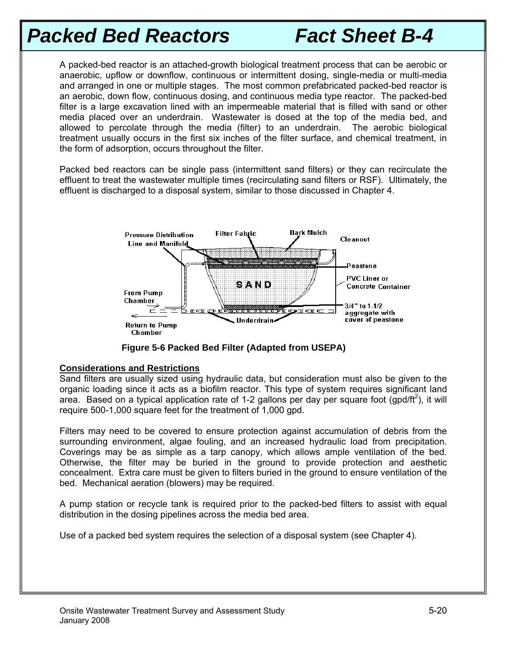# *Packed Bed Reactors Fact Sheet B-4*

A packed-bed reactor is an attached-growth biological treatment process that can be aerobic or anaerobic, upflow or downflow, continuous or intermittent dosing, single-media or multi-media and arranged in one or multiple stages. The most common prefabricated packed-bed reactor is an aerobic, down flow, continuous dosing, and continuous media type reactor. The packed-bed filter is a large excavation lined with an impermeable material that is filled with sand or other media placed over an underdrain. Wastewater is dosed at the top of the media bed, and allowed to percolate through the media (filter) to an underdrain. The aerobic biological treatment usually occurs in the first six inches of the filter surface, and chemical treatment, in the form of adsorption, occurs throughout the filter.

Packed bed reactors can be single pass (intermittent sand filters) or they can recirculate the effluent to treat the wastewater multiple times (recirculating sand filters or RSF). Ultimately, the effluent is discharged to a disposal system, similar to those discussed in Chapter 4.



**Figure 5-6 Packed Bed Filter (Adapted from USEPA)** 

### **Considerations and Restrictions**

Sand filters are usually sized using hydraulic data, but consideration must also be given to the organic loading since it acts as a biofilm reactor. This type of system requires significant land area. Based on a typical application rate of 1-2 gallons per day per square foot (gpd/ft<sup>2</sup>), it will require 500-1,000 square feet for the treatment of 1,000 gpd.

Filters may need to be covered to ensure protection against accumulation of debris from the surrounding environment, algae fouling, and an increased hydraulic load from precipitation. Coverings may be as simple as a tarp canopy, which allows ample ventilation of the bed. Otherwise, the filter may be buried in the ground to provide protection and aesthetic concealment. Extra care must be given to filters buried in the ground to ensure ventilation of the bed. Mechanical aeration (blowers) may be required.

A pump station or recycle tank is required prior to the packed-bed filters to assist with equal distribution in the dosing pipelines across the media bed area.

Use of a packed bed system requires the selection of a disposal system (see Chapter 4).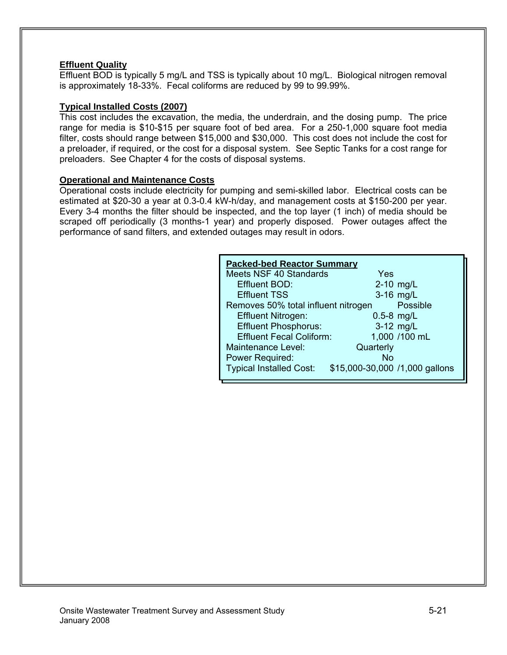### **Effluent Quality**

Effluent BOD is typically 5 mg/L and TSS is typically about 10 mg/L. Biological nitrogen removal is approximately 18-33%. Fecal coliforms are reduced by 99 to 99.99%.

### **Typical Installed Costs (2007)**

This cost includes the excavation, the media, the underdrain, and the dosing pump. The price range for media is \$10-\$15 per square foot of bed area. For a 250-1,000 square foot media filter, costs should range between \$15,000 and \$30,000. This cost does not include the cost for a preloader, if required, or the cost for a disposal system. See Septic Tanks for a cost range for preloaders. See Chapter 4 for the costs of disposal systems.

### **Operational and Maintenance Costs**

Operational costs include electricity for pumping and semi-skilled labor. Electrical costs can be estimated at \$20-30 a year at 0.3-0.4 kW-h/day, and management costs at \$150-200 per year. Every 3-4 months the filter should be inspected, and the top layer (1 inch) of media should be scraped off periodically (3 months-1 year) and properly disposed. Power outages affect the performance of sand filters, and extended outages may result in odors.

| <b>Packed-bed Reactor Summary</b>   |                                |               |
|-------------------------------------|--------------------------------|---------------|
| Meets NSF 40 Standards              | Yes                            |               |
| <b>Effluent BOD:</b>                |                                | $2-10$ mg/L   |
| <b>Effluent TSS</b>                 |                                | 3-16 mg/L     |
| Removes 50% total influent nitrogen |                                | Possible      |
| <b>Effluent Nitrogen:</b>           | $0.5 - 8$ mg/L                 |               |
| <b>Effluent Phosphorus:</b>         |                                | 3-12 mg/L     |
| <b>Effluent Fecal Coliform:</b>     |                                | 1,000 /100 mL |
| Maintenance Level:                  | Quarterly                      |               |
| Power Required:                     | N٥                             |               |
| <b>Typical Installed Cost:</b>      | \$15,000-30,000 /1,000 gallons |               |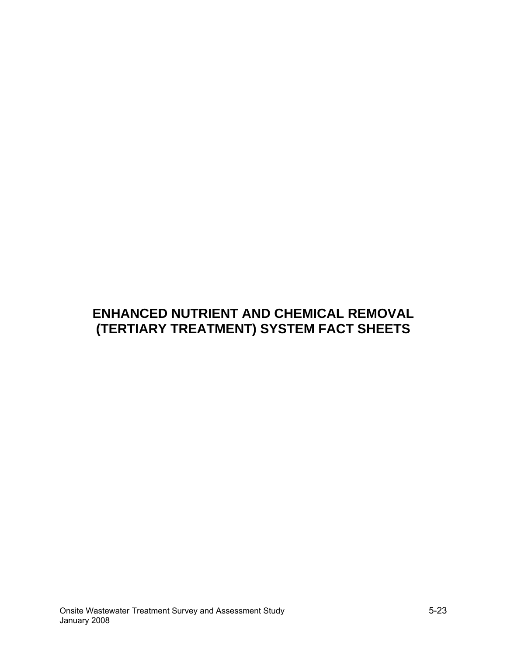## **ENHANCED NUTRIENT AND CHEMICAL REMOVAL (TERTIARY TREATMENT) SYSTEM FACT SHEETS**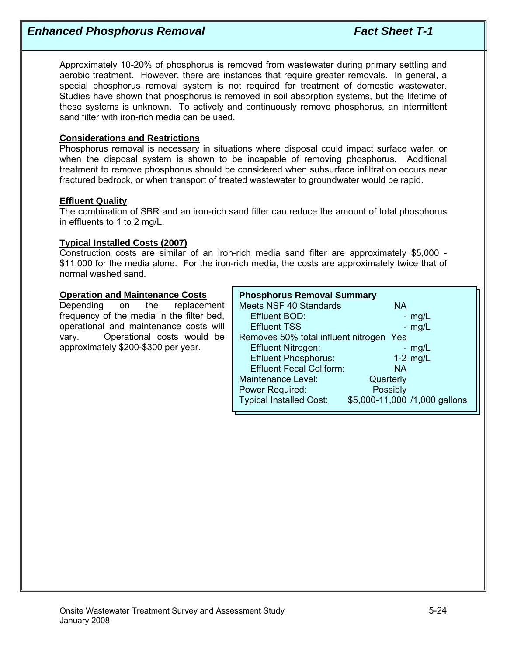Approximately 10-20% of phosphorus is removed from wastewater during primary settling and aerobic treatment. However, there are instances that require greater removals. In general, a special phosphorus removal system is not required for treatment of domestic wastewater. Studies have shown that phosphorus is removed in soil absorption systems, but the lifetime of these systems is unknown. To actively and continuously remove phosphorus, an intermittent sand filter with iron-rich media can be used.

### **Considerations and Restrictions**

Phosphorus removal is necessary in situations where disposal could impact surface water, or when the disposal system is shown to be incapable of removing phosphorus. Additional treatment to remove phosphorus should be considered when subsurface infiltration occurs near fractured bedrock, or when transport of treated wastewater to groundwater would be rapid.

### **Effluent Quality**

The combination of SBR and an iron-rich sand filter can reduce the amount of total phosphorus in effluents to 1 to 2 mg/L.

### **Typical Installed Costs (2007)**

Construction costs are similar of an iron-rich media sand filter are approximately \$5,000 - \$11,000 for the media alone. For the iron-rich media, the costs are approximately twice that of normal washed sand.

### **Operation and Maintenance Costs**

Depending on the replacement frequency of the media in the filter bed, operational and maintenance costs will vary. Operational costs would be approximately \$200-\$300 per year.

| <b>Phosphorus Removal Summary</b>       |           |                               |
|-----------------------------------------|-----------|-------------------------------|
| Meets NSF 40 Standards                  | <b>NA</b> |                               |
| <b>Effluent BOD:</b>                    |           | - $mg/L$                      |
| <b>Effluent TSS</b>                     |           | - $mg/L$                      |
| Removes 50% total influent nitrogen Yes |           |                               |
| <b>Effluent Nitrogen:</b>               |           | - $mg/L$                      |
| <b>Effluent Phosphorus:</b>             |           | $1-2$ mg/L                    |
| <b>Effluent Fecal Coliform:</b>         | <b>NA</b> |                               |
| Maintenance Level:                      | Quarterly |                               |
| <b>Power Required:</b>                  | Possibly  |                               |
| <b>Typical Installed Cost:</b>          |           | \$5,000-11,000 /1,000 gallons |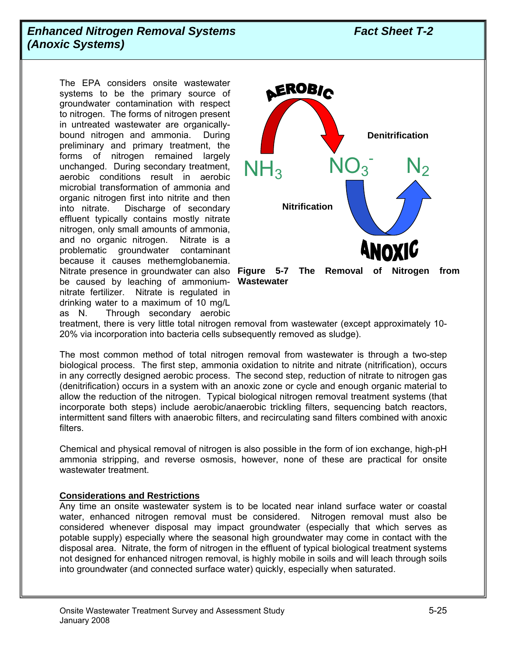### **Enhanced Nitrogen Removal Systems Fact Sheet T-2 Fact Sheet T-2** *(Anoxic Systems)*

The EPA considers onsite wastewater systems to be the primary source of groundwater contamination with respect to nitrogen. The forms of nitrogen present in untreated wastewater are organicallybound nitrogen and ammonia. During preliminary and primary treatment, the forms of nitrogen remained largely unchanged. During secondary treatment, aerobic conditions result in aerobic microbial transformation of ammonia and organic nitrogen first into nitrite and then into nitrate. Discharge of secondary effluent typically contains mostly nitrate nitrogen, only small amounts of ammonia, and no organic nitrogen. Nitrate is a problematic groundwater contaminant because it causes methemglobanemia. be caused by leaching of ammonium-**Wastewater** nitrate fertilizer. Nitrate is regulated in drinking water to a maximum of 10 mg/L as N. Through secondary aerobic



treatment, there is very little total nitrogen removal from wastewater (except approximately 10- 20% via incorporation into bacteria cells subsequently removed as sludge).

The most common method of total nitrogen removal from wastewater is through a two-step biological process. The first step, ammonia oxidation to nitrite and nitrate (nitrification), occurs in any correctly designed aerobic process. The second step, reduction of nitrate to nitrogen gas (denitrification) occurs in a system with an anoxic zone or cycle and enough organic material to allow the reduction of the nitrogen. Typical biological nitrogen removal treatment systems (that incorporate both steps) include aerobic/anaerobic trickling filters, sequencing batch reactors, intermittent sand filters with anaerobic filters, and recirculating sand filters combined with anoxic filters.

Chemical and physical removal of nitrogen is also possible in the form of ion exchange, high-pH ammonia stripping, and reverse osmosis, however, none of these are practical for onsite wastewater treatment.

### **Considerations and Restrictions**

Any time an onsite wastewater system is to be located near inland surface water or coastal water, enhanced nitrogen removal must be considered. Nitrogen removal must also be considered whenever disposal may impact groundwater (especially that which serves as potable supply) especially where the seasonal high groundwater may come in contact with the disposal area. Nitrate, the form of nitrogen in the effluent of typical biological treatment systems not designed for enhanced nitrogen removal, is highly mobile in soils and will leach through soils into groundwater (and connected surface water) quickly, especially when saturated.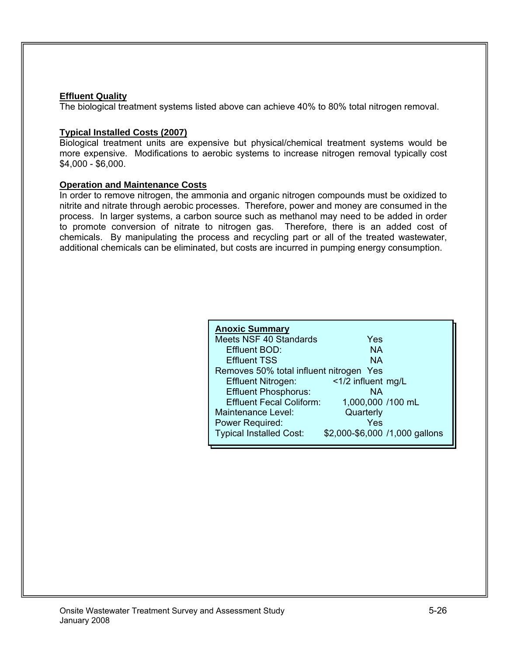### **Effluent Quality**

The biological treatment systems listed above can achieve 40% to 80% total nitrogen removal.

### **Typical Installed Costs (2007)**

Biological treatment units are expensive but physical/chemical treatment systems would be more expensive. Modifications to aerobic systems to increase nitrogen removal typically cost \$4,000 - \$6,000.

### **Operation and Maintenance Costs**

In order to remove nitrogen, the ammonia and organic nitrogen compounds must be oxidized to nitrite and nitrate through aerobic processes. Therefore, power and money are consumed in the process. In larger systems, a carbon source such as methanol may need to be added in order to promote conversion of nitrate to nitrogen gas. Therefore, there is an added cost of chemicals. By manipulating the process and recycling part or all of the treated wastewater, additional chemicals can be eliminated, but costs are incurred in pumping energy consumption.

| <b>Anoxic Summary</b>                   |                                |
|-----------------------------------------|--------------------------------|
| Meets NSF 40 Standards                  | Yes                            |
| <b>Effluent BOD:</b>                    | <b>NA</b>                      |
| <b>Effluent TSS</b>                     | <b>NA</b>                      |
| Removes 50% total influent nitrogen Yes |                                |
| <b>Effluent Nitrogen:</b>               | <1/2 influent mg/L             |
| <b>Effluent Phosphorus:</b>             | <b>NA</b>                      |
| <b>Effluent Fecal Coliform:</b>         | 1,000,000 /100 mL              |
| Maintenance Level:                      | Quarterly                      |
| <b>Power Required:</b>                  | Yes                            |
| <b>Typical Installed Cost:</b>          | \$2,000-\$6,000 /1,000 gallons |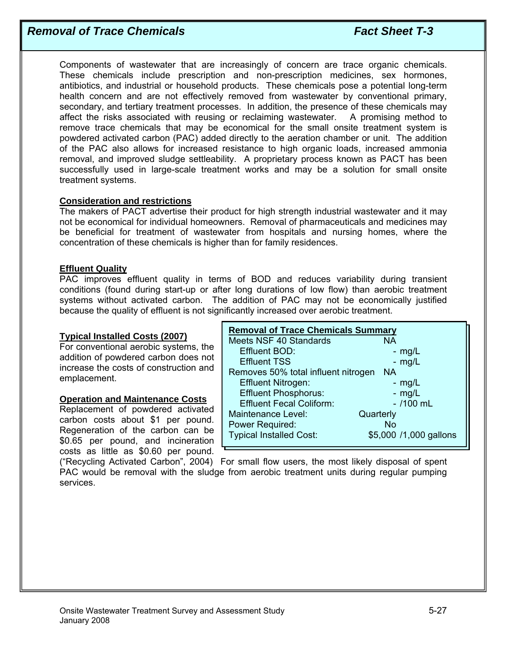### *Removal of Trace Chemicals Fact Sheet T-3*

Components of wastewater that are increasingly of concern are trace organic chemicals. These chemicals include prescription and non-prescription medicines, sex hormones, antibiotics, and industrial or household products. These chemicals pose a potential long-term health concern and are not effectively removed from wastewater by conventional primary, secondary, and tertiary treatment processes. In addition, the presence of these chemicals may affect the risks associated with reusing or reclaiming wastewater. A promising method to remove trace chemicals that may be economical for the small onsite treatment system is powdered activated carbon (PAC) added directly to the aeration chamber or unit. The addition of the PAC also allows for increased resistance to high organic loads, increased ammonia removal, and improved sludge settleability. A proprietary process known as PACT has been successfully used in large-scale treatment works and may be a solution for small onsite treatment systems.

### **Consideration and restrictions**

The makers of PACT advertise their product for high strength industrial wastewater and it may not be economical for individual homeowners. Removal of pharmaceuticals and medicines may be beneficial for treatment of wastewater from hospitals and nursing homes, where the concentration of these chemicals is higher than for family residences.

### **Effluent Quality**

PAC improves effluent quality in terms of BOD and reduces variability during transient conditions (found during start-up or after long durations of low flow) than aerobic treatment systems without activated carbon. The addition of PAC may not be economically justified because the quality of effluent is not significantly increased over aerobic treatment.

### **Typical Installed Costs (2007)**

For conventional aerobic systems, the addition of powdered carbon does not increase the costs of construction and emplacement.

### **Operation and Maintenance Costs**

Replacement of powdered activated carbon costs about \$1 per pound. Regeneration of the carbon can be \$0.65 per pound, and incineration costs as little as \$0.60 per pound.

| <b>Removal of Trace Chemicals Summary</b> |                        |  |  |
|-------------------------------------------|------------------------|--|--|
| Meets NSF 40 Standards                    | <b>NA</b>              |  |  |
| <b>Effluent BOD:</b>                      | - $mg/L$               |  |  |
| <b>Effluent TSS</b>                       | - $mg/L$               |  |  |
| Removes 50% total influent nitrogen       | <b>NA</b>              |  |  |
| <b>Effluent Nitrogen:</b>                 | - $mg/L$               |  |  |
| <b>Effluent Phosphorus:</b>               | - $mg/L$               |  |  |
| <b>Effluent Fecal Coliform:</b>           | $-$ /100 mL            |  |  |
| Maintenance Level:                        | Quarterly              |  |  |
| Power Required:                           | No                     |  |  |
| <b>Typical Installed Cost:</b>            | \$5,000 /1,000 gallons |  |  |

("Recycling Activated Carbon", 2004) For small flow users, the most likely disposal of spent PAC would be removal with the sludge from aerobic treatment units during regular pumping services.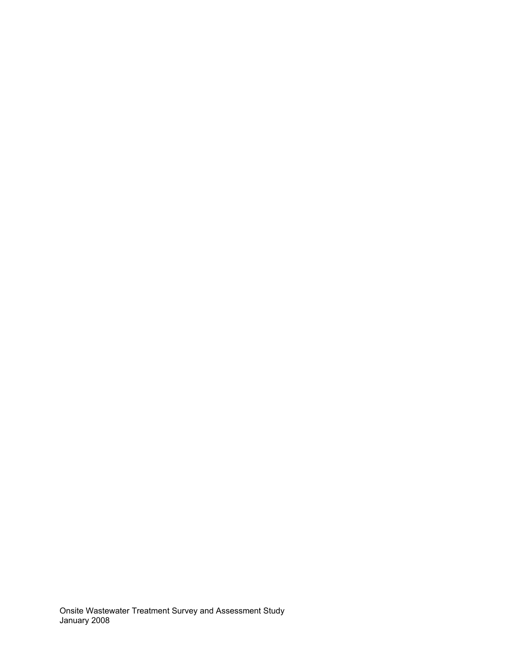Onsite Wastewater Treatment Survey and Assessment Study January 2008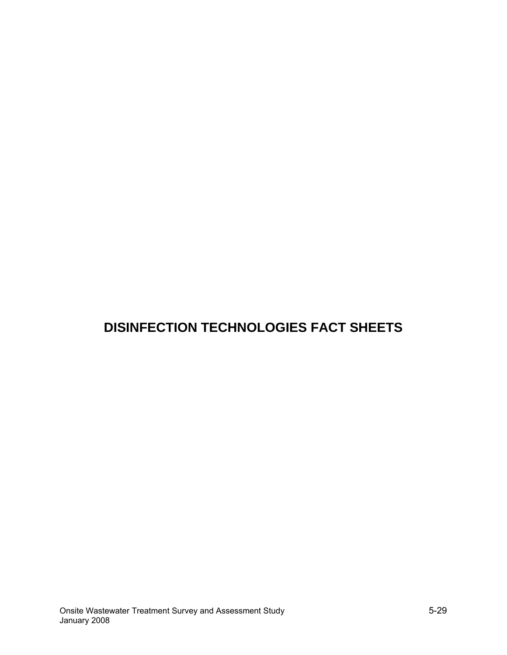## **DISINFECTION TECHNOLOGIES FACT SHEETS**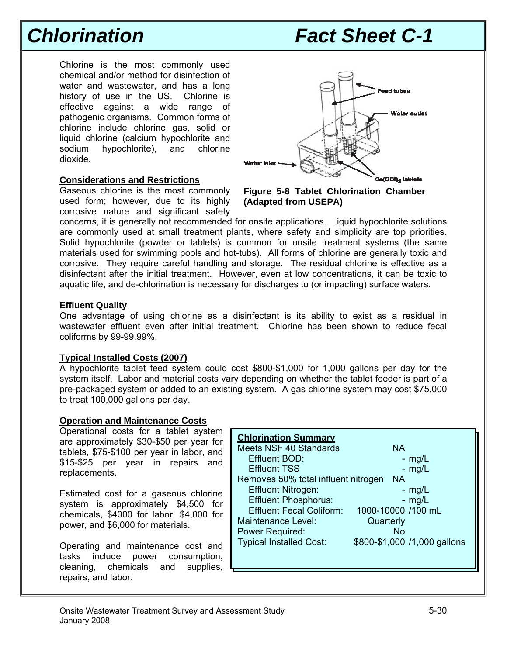*Chlorination Fact Sheet C-1* 

eed tubes

Water outlet

Chlorine is the most commonly used chemical and/or method for disinfection of water and wastewater, and has a long history of use in the US. Chlorine is effective against a wide range of pathogenic organisms. Common forms of chlorine include chlorine gas, solid or liquid chlorine (calcium hypochlorite and sodium hypochlorite), and chlorine dioxide.

### **Considerations and Restrictions**

Gaseous chlorine is the most commonly used form; however, due to its highly corrosive nature and significant safety



concerns, it is generally not recommended for onsite applications. Liquid hypochlorite solutions are commonly used at small treatment plants, where safety and simplicity are top priorities. Solid hypochlorite (powder or tablets) is common for onsite treatment systems (the same materials used for swimming pools and hot-tubs). All forms of chlorine are generally toxic and corrosive. They require careful handling and storage. The residual chlorine is effective as a disinfectant after the initial treatment. However, even at low concentrations, it can be toxic to aquatic life, and de-chlorination is necessary for discharges to (or impacting) surface waters.

### **Effluent Quality**

One advantage of using chlorine as a disinfectant is its ability to exist as a residual in wastewater effluent even after initial treatment. Chlorine has been shown to reduce fecal coliforms by 99-99.99%.

### **Typical Installed Costs (2007)**

A hypochlorite tablet feed system could cost \$800-\$1,000 for 1,000 gallons per day for the system itself. Labor and material costs vary depending on whether the tablet feeder is part of a pre-packaged system or added to an existing system. A gas chlorine system may cost \$75,000 to treat 100,000 gallons per day.

### **Operation and Maintenance Costs**

Operational costs for a tablet system are approximately \$30-\$50 per year for tablets, \$75-\$100 per year in labor, and \$15-\$25 per year in repairs and replacements.

Estimated cost for a gaseous chlorine system is approximately \$4,500 for chemicals, \$4000 for labor, \$4,000 for power, and \$6,000 for materials.

Operating and maintenance cost and tasks include power consumption, cleaning, chemicals and supplies, repairs, and labor.

| <b>Chlorination Summary</b>         |                              |
|-------------------------------------|------------------------------|
| Meets NSF 40 Standards              | <b>NA</b>                    |
| Effluent BOD:                       | - $mg/L$                     |
| Effluent TSS                        | - $mg/L$                     |
| Removes 50% total influent nitrogen | <b>NA</b>                    |
| <b>Effluent Nitrogen:</b>           | - $mg/L$                     |
| <b>Effluent Phosphorus:</b>         | - $mg/L$                     |
| <b>Effluent Fecal Coliform:</b>     | 1000-10000 /100 mL           |
| Maintenance Level:                  | Quarterly                    |
| Power Required:                     | N٥                           |
| <b>Typical Installed Cost:</b>      | \$800-\$1,000 /1,000 gallons |
|                                     |                              |
|                                     |                              |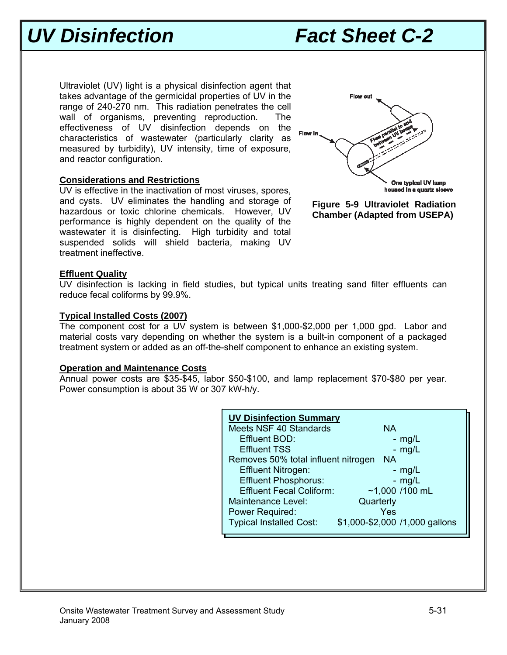# *UV Disinfection Fact Sheet C-2*

Ultraviolet (UV) light is a physical disinfection agent that takes advantage of the germicidal properties of UV in the range of 240-270 nm. This radiation penetrates the cell wall of organisms, preventing reproduction. The effectiveness of UV disinfection depends on the characteristics of wastewater (particularly clarity as measured by turbidity), UV intensity, time of exposure, and reactor configuration.

### **Considerations and Restrictions**

UV is effective in the inactivation of most viruses, spores, and cysts. UV eliminates the handling and storage of hazardous or toxic chlorine chemicals. However, UV performance is highly dependent on the quality of the wastewater it is disinfecting. High turbidity and total suspended solids will shield bacteria, making UV treatment ineffective.



One typical UV lamp housed in a quartz sleeve

**Figure 5-9 Ultraviolet Radiation Chamber (Adapted from USEPA)** 

### **Effluent Quality**

UV disinfection is lacking in field studies, but typical units treating sand filter effluents can reduce fecal coliforms by 99.9%.

### **Typical Installed Costs (2007)**

The component cost for a UV system is between \$1,000-\$2,000 per 1,000 gpd. Labor and material costs vary depending on whether the system is a built-in component of a packaged treatment system or added as an off-the-shelf component to enhance an existing system.

### **Operation and Maintenance Costs**

Annual power costs are \$35-\$45, labor \$50-\$100, and lamp replacement \$70-\$80 per year. Power consumption is about 35 W or 307 kW-h/y.

| <b>UV Disinfection Summary</b>      |                                |
|-------------------------------------|--------------------------------|
| Meets NSF 40 Standards              | NA.                            |
| <b>Effluent BOD:</b>                | - $mg/L$                       |
| <b>Effluent TSS</b>                 | - $mq/L$                       |
| Removes 50% total influent nitrogen | <b>NA</b>                      |
| <b>Effluent Nitrogen:</b>           | - $mg/L$                       |
| <b>Effluent Phosphorus:</b>         | - $mg/L$                       |
| <b>Effluent Fecal Coliform:</b>     | $~1,000$ /100 mL               |
| Maintenance Level:                  | Quarterly                      |
| Power Required:                     | Yes                            |
| <b>Typical Installed Cost:</b>      | \$1,000-\$2,000 /1,000 gallons |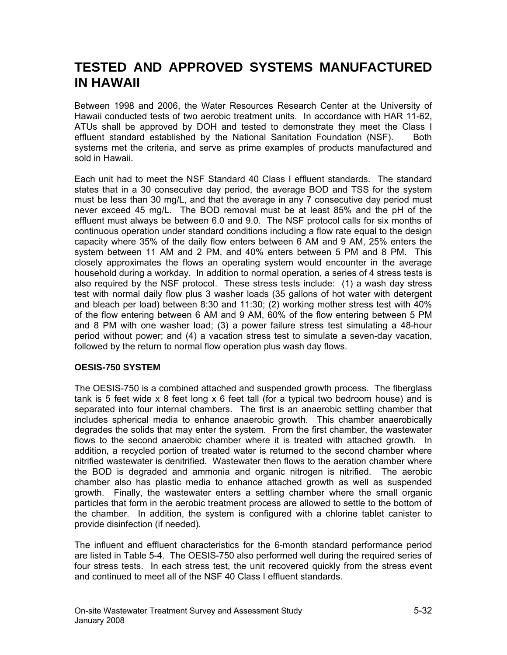## **TESTED AND APPROVED SYSTEMS MANUFACTURED IN HAWAII**

Between 1998 and 2006, the Water Resources Research Center at the University of Hawaii conducted tests of two aerobic treatment units. In accordance with HAR 11-62, ATUs shall be approved by DOH and tested to demonstrate they meet the Class I effluent standard established by the National Sanitation Foundation (NSF). Both systems met the criteria, and serve as prime examples of products manufactured and sold in Hawaii.

Each unit had to meet the NSF Standard 40 Class I effluent standards. The standard states that in a 30 consecutive day period, the average BOD and TSS for the system must be less than 30 mg/L, and that the average in any 7 consecutive day period must never exceed 45 mg/L. The BOD removal must be at least 85% and the pH of the effluent must always be between 6.0 and 9.0. The NSF protocol calls for six months of continuous operation under standard conditions including a flow rate equal to the design capacity where 35% of the daily flow enters between 6 AM and 9 AM, 25% enters the system between 11 AM and 2 PM, and 40% enters between 5 PM and 8 PM. This closely approximates the flows an operating system would encounter in the average household during a workday. In addition to normal operation, a series of 4 stress tests is also required by the NSF protocol. These stress tests include: (1) a wash day stress test with normal daily flow plus 3 washer loads (35 gallons of hot water with detergent and bleach per load) between 8:30 and 11:30; (2) working mother stress test with 40% of the flow entering between 6 AM and 9 AM, 60% of the flow entering between 5 PM and 8 PM with one washer load; (3) a power failure stress test simulating a 48-hour period without power; and (4) a vacation stress test to simulate a seven-day vacation, followed by the return to normal flow operation plus wash day flows.

### **OESIS-750 SYSTEM**

The OESIS-750 is a combined attached and suspended growth process. The fiberglass tank is 5 feet wide x 8 feet long x 6 feet tall (for a typical two bedroom house) and is separated into four internal chambers. The first is an anaerobic settling chamber that includes spherical media to enhance anaerobic growth. This chamber anaerobically degrades the solids that may enter the system. From the first chamber, the wastewater flows to the second anaerobic chamber where it is treated with attached growth. In addition, a recycled portion of treated water is returned to the second chamber where nitrified wastewater is denitrified. Wastewater then flows to the aeration chamber where the BOD is degraded and ammonia and organic nitrogen is nitrified. The aerobic chamber also has plastic media to enhance attached growth as well as suspended growth. Finally, the wastewater enters a settling chamber where the small organic particles that form in the aerobic treatment process are allowed to settle to the bottom of the chamber. In addition, the system is configured with a chlorine tablet canister to provide disinfection (if needed).

The influent and effluent characteristics for the 6-month standard performance period are listed in Table 5-4. The OESIS-750 also performed well during the required series of four stress tests. In each stress test, the unit recovered quickly from the stress event and continued to meet all of the NSF 40 Class I effluent standards.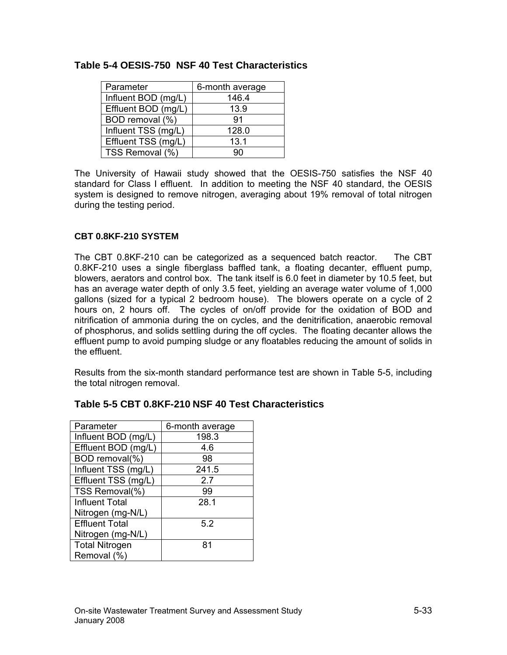| Parameter           | 6-month average |
|---------------------|-----------------|
| Influent BOD (mg/L) | 146.4           |
| Effluent BOD (mg/L) | 13.9            |
| BOD removal (%)     | 91              |
| Influent TSS (mg/L) | 128.0           |
| Effluent TSS (mg/L) | 13.1            |
| TSS Removal (%)     | qn              |

### **Table 5-4 OESIS-750 NSF 40 Test Characteristics**

The University of Hawaii study showed that the OESIS-750 satisfies the NSF 40 standard for Class I effluent. In addition to meeting the NSF 40 standard, the OESIS system is designed to remove nitrogen, averaging about 19% removal of total nitrogen during the testing period.

### **CBT 0.8KF-210 SYSTEM**

The CBT 0.8KF-210 can be categorized as a sequenced batch reactor. The CBT 0.8KF-210 uses a single fiberglass baffled tank, a floating decanter, effluent pump, blowers, aerators and control box. The tank itself is 6.0 feet in diameter by 10.5 feet, but has an average water depth of only 3.5 feet, yielding an average water volume of 1,000 gallons (sized for a typical 2 bedroom house). The blowers operate on a cycle of 2 hours on, 2 hours off. The cycles of on/off provide for the oxidation of BOD and nitrification of ammonia during the on cycles, and the denitrification, anaerobic removal of phosphorus, and solids settling during the off cycles. The floating decanter allows the effluent pump to avoid pumping sludge or any floatables reducing the amount of solids in the effluent.

Results from the six-month standard performance test are shown in Table 5-5, including the total nitrogen removal.

| Parameter             | 6-month average |
|-----------------------|-----------------|
| Influent BOD (mg/L)   | 198.3           |
| Effluent BOD (mg/L)   | 4.6             |
| BOD removal(%)        | 98              |
| Influent TSS (mg/L)   | 241.5           |
| Effluent TSS (mg/L)   | 2.7             |
| TSS Removal(%)        | 99              |
| <b>Influent Total</b> | 28.1            |
| Nitrogen (mg-N/L)     |                 |
| <b>Effluent Total</b> | 5.2             |
| Nitrogen (mg-N/L)     |                 |
| <b>Total Nitrogen</b> | 81              |
| Removal (%)           |                 |

### **Table 5-5 CBT 0.8KF-210 NSF 40 Test Characteristics**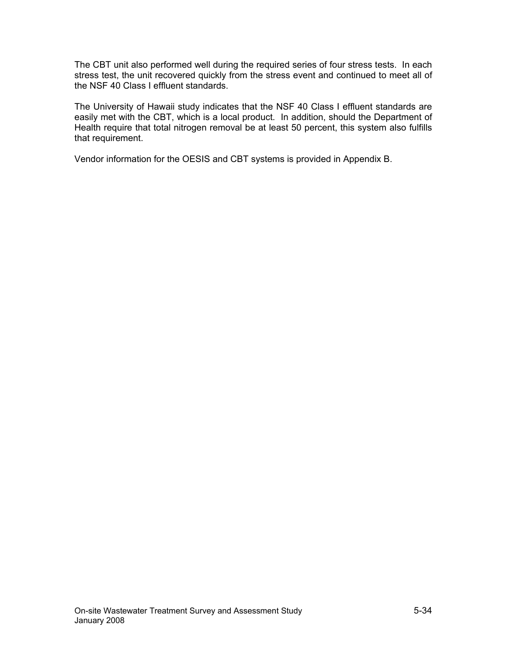The CBT unit also performed well during the required series of four stress tests. In each stress test, the unit recovered quickly from the stress event and continued to meet all of the NSF 40 Class I effluent standards.

The University of Hawaii study indicates that the NSF 40 Class I effluent standards are easily met with the CBT, which is a local product. In addition, should the Department of Health require that total nitrogen removal be at least 50 percent, this system also fulfills that requirement.

Vendor information for the OESIS and CBT systems is provided in Appendix B.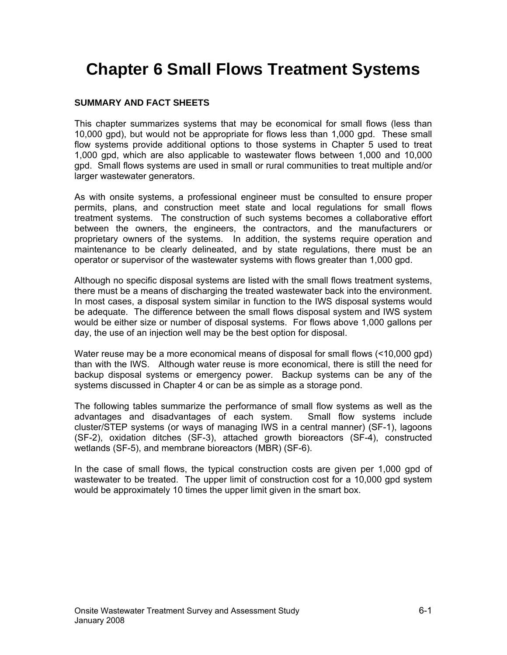# **Chapter 6 Small Flows Treatment Systems**

### **SUMMARY AND FACT SHEETS**

This chapter summarizes systems that may be economical for small flows (less than 10,000 gpd), but would not be appropriate for flows less than 1,000 gpd. These small flow systems provide additional options to those systems in Chapter 5 used to treat 1,000 gpd, which are also applicable to wastewater flows between 1,000 and 10,000 gpd. Small flows systems are used in small or rural communities to treat multiple and/or larger wastewater generators.

As with onsite systems, a professional engineer must be consulted to ensure proper permits, plans, and construction meet state and local regulations for small flows treatment systems. The construction of such systems becomes a collaborative effort between the owners, the engineers, the contractors, and the manufacturers or proprietary owners of the systems. In addition, the systems require operation and maintenance to be clearly delineated, and by state regulations, there must be an operator or supervisor of the wastewater systems with flows greater than 1,000 gpd.

Although no specific disposal systems are listed with the small flows treatment systems, there must be a means of discharging the treated wastewater back into the environment. In most cases, a disposal system similar in function to the IWS disposal systems would be adequate. The difference between the small flows disposal system and IWS system would be either size or number of disposal systems. For flows above 1,000 gallons per day, the use of an injection well may be the best option for disposal.

Water reuse may be a more economical means of disposal for small flows (<10,000 gpd) than with the IWS. Although water reuse is more economical, there is still the need for backup disposal systems or emergency power. Backup systems can be any of the systems discussed in Chapter 4 or can be as simple as a storage pond.

The following tables summarize the performance of small flow systems as well as the advantages and disadvantages of each system. Small flow systems include cluster/STEP systems (or ways of managing IWS in a central manner) (SF-1), lagoons (SF-2), oxidation ditches (SF-3), attached growth bioreactors (SF-4), constructed wetlands (SF-5), and membrane bioreactors (MBR) (SF-6).

In the case of small flows, the typical construction costs are given per 1,000 gpd of wastewater to be treated. The upper limit of construction cost for a 10,000 gpd system would be approximately 10 times the upper limit given in the smart box.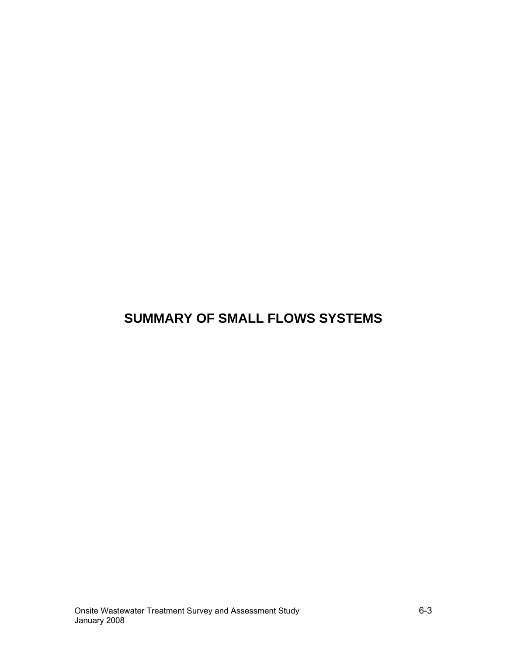## **SUMMARY OF SMALL FLOWS SYSTEMS**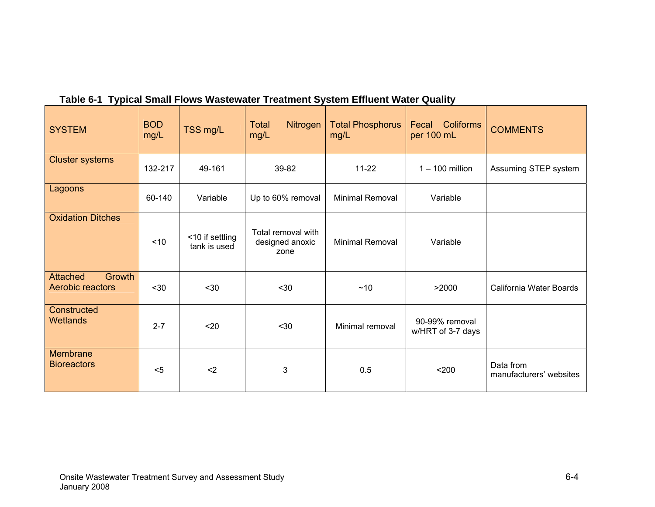| <b>SYSTEM</b>                          | <b>BOD</b><br>mg/L | TSS mg/L                        | Nitrogen<br><b>Total</b><br>mg/L              | <b>Total Phosphorus</b><br>mg/L | Fecal Coliforms<br>per 100 mL       | <b>COMMENTS</b>                      |
|----------------------------------------|--------------------|---------------------------------|-----------------------------------------------|---------------------------------|-------------------------------------|--------------------------------------|
| <b>Cluster systems</b>                 | 132-217            | 49-161                          | 39-82                                         | $11 - 22$                       | $1 - 100$ million                   | Assuming STEP system                 |
| Lagoons                                | 60-140             | Variable                        | Up to 60% removal                             | <b>Minimal Removal</b>          | Variable                            |                                      |
| <b>Oxidation Ditches</b>               | ~10                | <10 if settling<br>tank is used | Total removal with<br>designed anoxic<br>zone | <b>Minimal Removal</b>          | Variable                            |                                      |
| Attached<br>Growth<br>Aerobic reactors | $30$               | $30$                            | $30$                                          | ~10                             | >2000                               | California Water Boards              |
| Constructed<br><b>Wetlands</b>         | $2 - 7$            | $20$                            | $30$                                          | Minimal removal                 | 90-99% removal<br>w/HRT of 3-7 days |                                      |
| Membrane<br><b>Bioreactors</b>         | $5$                | $2$                             | 3                                             | 0.5                             | $200$                               | Data from<br>manufacturers' websites |

### **Table 6-1 Typical Small Flows Wastewater Treatment System Effluent Water Quality**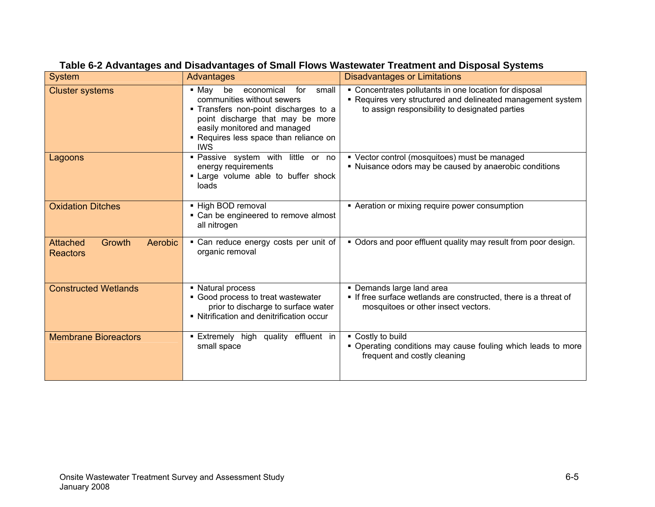| <b>System</b>                                           | Advantages                                                                                                                                                                                                                                | Disadvantages or Limitations                                                                                                                                            |  |
|---------------------------------------------------------|-------------------------------------------------------------------------------------------------------------------------------------------------------------------------------------------------------------------------------------------|-------------------------------------------------------------------------------------------------------------------------------------------------------------------------|--|
| <b>Cluster systems</b>                                  | $-May$<br>small<br>be<br>economical<br>for<br>communities without sewers<br>Transfers non-point discharges to a<br>point discharge that may be more<br>easily monitored and managed<br>Requires less space than reliance on<br><b>IWS</b> | • Concentrates pollutants in one location for disposal<br>- Requires very structured and delineated management system<br>to assign responsibility to designated parties |  |
| Lagoons                                                 | . Passive system with little or no<br>energy requirements<br>. Large volume able to buffer shock<br>loads                                                                                                                                 | • Vector control (mosquitoes) must be managed<br>• Nuisance odors may be caused by anaerobic conditions                                                                 |  |
| <b>Oxidation Ditches</b>                                | - High BOD removal<br>• Can be engineered to remove almost<br>all nitrogen                                                                                                                                                                | • Aeration or mixing require power consumption                                                                                                                          |  |
| Aerobic<br><b>Attached</b><br>Growth<br><b>Reactors</b> | • Can reduce energy costs per unit of<br>organic removal                                                                                                                                                                                  | • Odors and poor effluent quality may result from poor design.                                                                                                          |  |
| <b>Constructed Wetlands</b>                             | • Natural process<br>Good process to treat wastewater<br>prior to discharge to surface water<br>• Nitrification and denitrification occur                                                                                                 | • Demands large land area<br>• If free surface wetlands are constructed, there is a threat of<br>mosquitoes or other insect vectors.                                    |  |
| <b>Membrane Bioreactors</b>                             | <b>Extremely high quality effluent in</b><br>small space                                                                                                                                                                                  | • Costly to build<br>• Operating conditions may cause fouling which leads to more<br>frequent and costly cleaning                                                       |  |

### **Table 6-2 Advantages and Disadvantages of Small Flows Wastewater Treatment and Disposal Systems**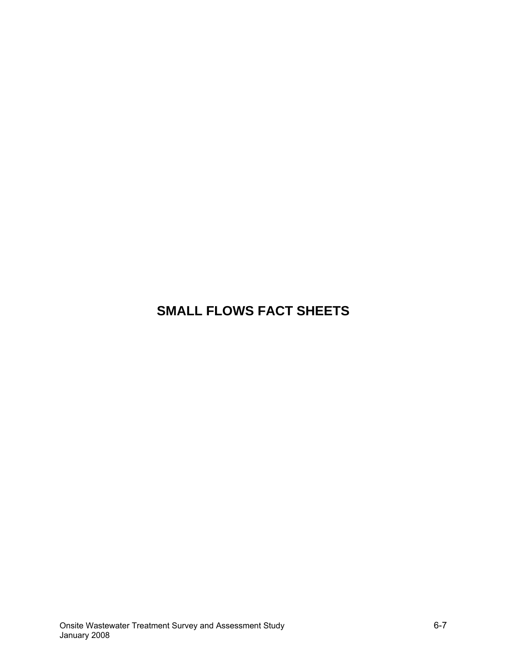## **SMALL FLOWS FACT SHEETS**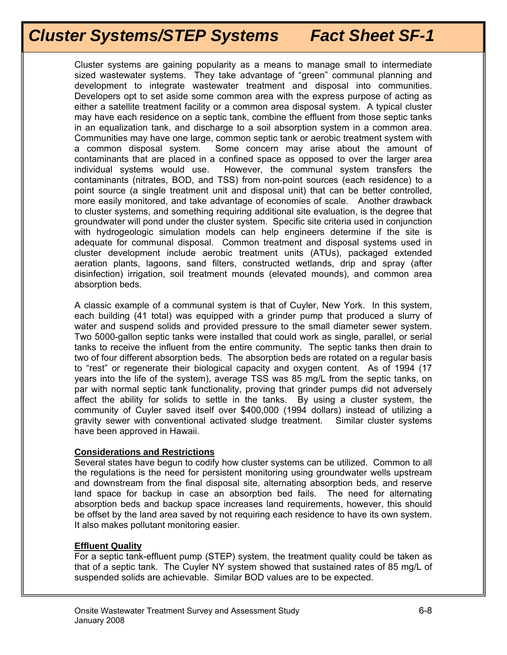# *Cluster Systems/STEP Systems Fact Sheet SF-1*

Cluster systems are gaining popularity as a means to manage small to intermediate sized wastewater systems. They take advantage of "green" communal planning and development to integrate wastewater treatment and disposal into communities. Developers opt to set aside some common area with the express purpose of acting as either a satellite treatment facility or a common area disposal system. A typical cluster may have each residence on a septic tank, combine the effluent from those septic tanks in an equalization tank, and discharge to a soil absorption system in a common area. Communities may have one large, common septic tank or aerobic treatment system with a common disposal system. Some concern may arise about the amount of contaminants that are placed in a confined space as opposed to over the larger area individual systems would use. However, the communal system transfers the contaminants (nitrates, BOD, and TSS) from non-point sources (each residence) to a point source (a single treatment unit and disposal unit) that can be better controlled, more easily monitored, and take advantage of economies of scale. Another drawback to cluster systems, and something requiring additional site evaluation, is the degree that groundwater will pond under the cluster system. Specific site criteria used in conjunction with hydrogeologic simulation models can help engineers determine if the site is adequate for communal disposal. Common treatment and disposal systems used in cluster development include aerobic treatment units (ATUs), packaged extended aeration plants, lagoons, sand filters, constructed wetlands, drip and spray (after disinfection) irrigation, soil treatment mounds (elevated mounds), and common area absorption beds.

A classic example of a communal system is that of Cuyler, New York. In this system, each building (41 total) was equipped with a grinder pump that produced a slurry of water and suspend solids and provided pressure to the small diameter sewer system. Two 5000-gallon septic tanks were installed that could work as single, parallel, or serial tanks to receive the influent from the entire community. The septic tanks then drain to two of four different absorption beds. The absorption beds are rotated on a regular basis to "rest" or regenerate their biological capacity and oxygen content. As of 1994 (17 years into the life of the system), average TSS was 85 mg/L from the septic tanks, on par with normal septic tank functionality, proving that grinder pumps did not adversely affect the ability for solids to settle in the tanks. By using a cluster system, the community of Cuyler saved itself over \$400,000 (1994 dollars) instead of utilizing a gravity sewer with conventional activated sludge treatment. Similar cluster systems have been approved in Hawaii.

### **Considerations and Restrictions**

Several states have begun to codify how cluster systems can be utilized. Common to all the regulations is the need for persistent monitoring using groundwater wells upstream and downstream from the final disposal site, alternating absorption beds, and reserve land space for backup in case an absorption bed fails. The need for alternating absorption beds and backup space increases land requirements, however, this should be offset by the land area saved by not requiring each residence to have its own system. It also makes pollutant monitoring easier.

### **Effluent Quality**

For a septic tank-effluent pump (STEP) system, the treatment quality could be taken as that of a septic tank. The Cuyler NY system showed that sustained rates of 85 mg/L of suspended solids are achievable. Similar BOD values are to be expected.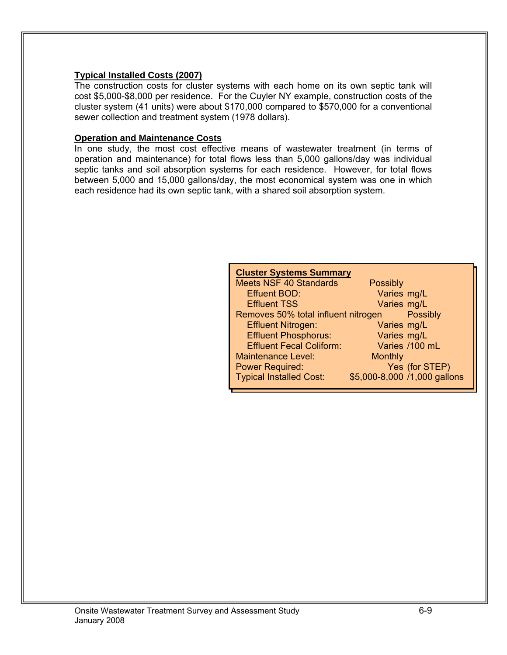### **Typical Installed Costs (2007)**

The construction costs for cluster systems with each home on its own septic tank will cost \$5,000-\$8,000 per residence. For the Cuyler NY example, construction costs of the cluster system (41 units) were about \$170,000 compared to \$570,000 for a conventional sewer collection and treatment system (1978 dollars).

### **Operation and Maintenance Costs**

In one study, the most cost effective means of wastewater treatment (in terms of operation and maintenance) for total flows less than 5,000 gallons/day was individual septic tanks and soil absorption systems for each residence. However, for total flows between 5,000 and 15,000 gallons/day, the most economical system was one in which each residence had its own septic tank, with a shared soil absorption system.

| <b>Cluster Systems Summary</b>      |                 |                              |  |
|-------------------------------------|-----------------|------------------------------|--|
| <b>Meets NSF 40 Standards</b>       | <b>Possibly</b> |                              |  |
| <b>Effuent BOD:</b>                 | Varies mg/L     |                              |  |
| <b>Effluent TSS</b>                 | Varies mg/L     |                              |  |
| Removes 50% total influent nitrogen |                 | Possibly                     |  |
| <b>Effluent Nitrogen:</b>           | Varies mg/L     |                              |  |
| <b>Effluent Phosphorus:</b>         | Varies mg/L     |                              |  |
| <b>Effluent Fecal Coliform:</b>     |                 | Varies /100 mL               |  |
| <b>Maintenance Level:</b>           | <b>Monthly</b>  |                              |  |
| <b>Power Required:</b>              |                 | Yes (for STEP)               |  |
| <b>Typical Installed Cost:</b>      |                 | \$5,000-8,000 /1,000 gallons |  |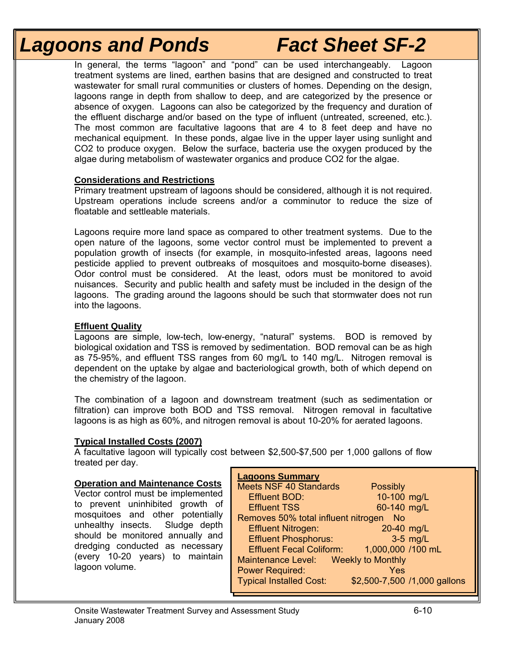# *Lagoons and Ponds Fact Sheet SF-2*

In general, the terms "lagoon" and "pond" can be used interchangeably. Lagoon treatment systems are lined, earthen basins that are designed and constructed to treat wastewater for small rural communities or clusters of homes. Depending on the design, lagoons range in depth from shallow to deep, and are categorized by the presence or absence of oxygen. Lagoons can also be categorized by the frequency and duration of the effluent discharge and/or based on the type of influent (untreated, screened, etc.). The most common are facultative lagoons that are 4 to 8 feet deep and have no mechanical equipment. In these ponds, algae live in the upper layer using sunlight and CO2 to produce oxygen. Below the surface, bacteria use the oxygen produced by the algae during metabolism of wastewater organics and produce CO2 for the algae.

### **Considerations and Restrictions**

Primary treatment upstream of lagoons should be considered, although it is not required. Upstream operations include screens and/or a comminutor to reduce the size of floatable and settleable materials.

Lagoons require more land space as compared to other treatment systems. Due to the open nature of the lagoons, some vector control must be implemented to prevent a population growth of insects (for example, in mosquito-infested areas, lagoons need pesticide applied to prevent outbreaks of mosquitoes and mosquito-borne diseases). Odor control must be considered. At the least, odors must be monitored to avoid nuisances. Security and public health and safety must be included in the design of the lagoons. The grading around the lagoons should be such that stormwater does not run into the lagoons.

### **Effluent Quality**

Lagoons are simple, low-tech, low-energy, "natural" systems. BOD is removed by biological oxidation and TSS is removed by sedimentation. BOD removal can be as high as 75-95%, and effluent TSS ranges from 60 mg/L to 140 mg/L. Nitrogen removal is dependent on the uptake by algae and bacteriological growth, both of which depend on the chemistry of the lagoon.

The combination of a lagoon and downstream treatment (such as sedimentation or filtration) can improve both BOD and TSS removal. Nitrogen removal in facultative lagoons is as high as 60%, and nitrogen removal is about 10-20% for aerated lagoons.

### **Typical Installed Costs (2007)**

A facultative lagoon will typically cost between \$2,500-\$7,500 per 1,000 gallons of flow treated per day.

### **Operation and Maintenance Costs**

Vector control must be implemented to prevent uninhibited growth of mosquitoes and other potentially unhealthy insects. Sludge depth should be monitored annually and dredging conducted as necessary (every 10-20 years) to maintain lagoon volume.

| <b>Lagoons Summary</b>               |                   |                              |
|--------------------------------------|-------------------|------------------------------|
| <b>Meets NSF 40 Standards</b>        | <b>Possibly</b>   |                              |
| <b>Effluent BOD:</b>                 | 10-100 mg/L       |                              |
| <b>Effluent TSS</b>                  | 60-140 mg/L       |                              |
| Removes 50% total influent nitrogen  | <b>No</b>         |                              |
| <b>Effluent Nitrogen:</b>            | 20-40 mg/L        |                              |
| <b>Effluent Phosphorus:</b>          |                   | $3-5$ mg/L                   |
| <b>Effluent Fecal Coliform:</b>      | 1,000,000 /100 mL |                              |
| Maintenance Level: Weekly to Monthly |                   |                              |
| <b>Power Required:</b>               | Yes               |                              |
| <b>Typical Installed Cost:</b>       |                   | \$2,500-7,500 /1,000 gallons |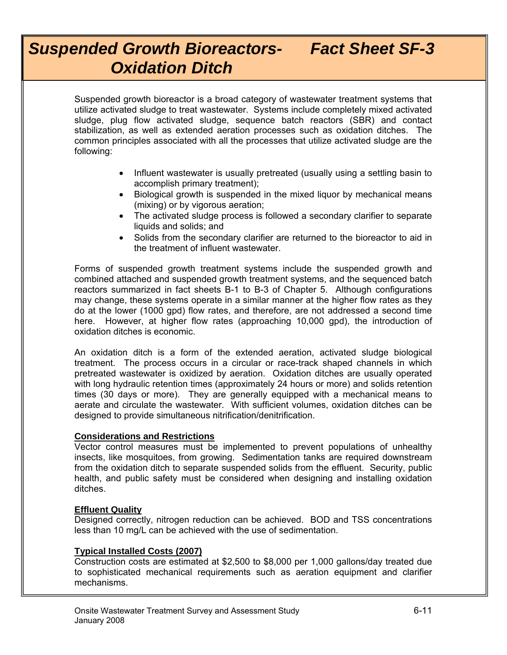# *Suspended Growth Bioreactors- Fact Sheet SF-3 Oxidation Ditch*

Suspended growth bioreactor is a broad category of wastewater treatment systems that utilize activated sludge to treat wastewater. Systems include completely mixed activated sludge, plug flow activated sludge, sequence batch reactors (SBR) and contact stabilization, as well as extended aeration processes such as oxidation ditches. The common principles associated with all the processes that utilize activated sludge are the following:

- Influent wastewater is usually pretreated (usually using a settling basin to accomplish primary treatment);
- Biological growth is suspended in the mixed liquor by mechanical means (mixing) or by vigorous aeration;
- The activated sludge process is followed a secondary clarifier to separate liquids and solids; and
- Solids from the secondary clarifier are returned to the bioreactor to aid in the treatment of influent wastewater.

Forms of suspended growth treatment systems include the suspended growth and combined attached and suspended growth treatment systems, and the sequenced batch reactors summarized in fact sheets B-1 to B-3 of Chapter 5. Although configurations may change, these systems operate in a similar manner at the higher flow rates as they do at the lower (1000 gpd) flow rates, and therefore, are not addressed a second time here. However, at higher flow rates (approaching 10,000 gpd), the introduction of oxidation ditches is economic.

An oxidation ditch is a form of the extended aeration, activated sludge biological treatment. The process occurs in a circular or race-track shaped channels in which pretreated wastewater is oxidized by aeration. Oxidation ditches are usually operated with long hydraulic retention times (approximately 24 hours or more) and solids retention times (30 days or more). They are generally equipped with a mechanical means to aerate and circulate the wastewater. With sufficient volumes, oxidation ditches can be designed to provide simultaneous nitrification/denitrification.

### **Considerations and Restrictions**

Vector control measures must be implemented to prevent populations of unhealthy insects, like mosquitoes, from growing. Sedimentation tanks are required downstream from the oxidation ditch to separate suspended solids from the effluent. Security, public health, and public safety must be considered when designing and installing oxidation ditches.

### **Effluent Quality**

Designed correctly, nitrogen reduction can be achieved. BOD and TSS concentrations less than 10 mg/L can be achieved with the use of sedimentation.

### **Typical Installed Costs (2007)**

Construction costs are estimated at \$2,500 to \$8,000 per 1,000 gallons/day treated due to sophisticated mechanical requirements such as aeration equipment and clarifier mechanisms.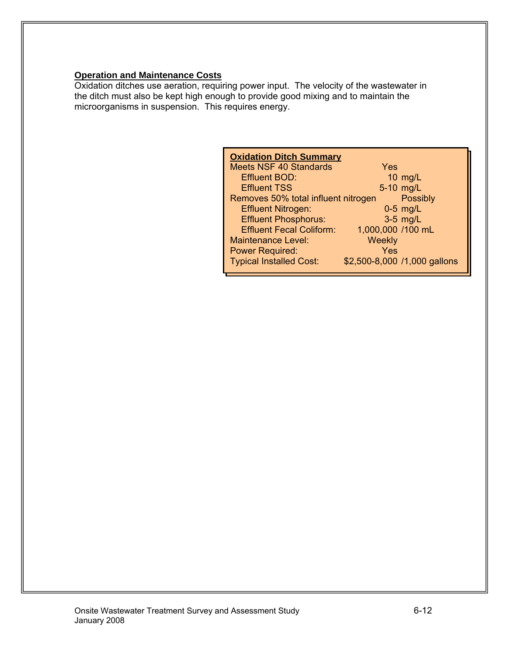### **Operation and Maintenance Costs**

Oxidation ditches use aeration, requiring power input. The velocity of the wastewater in the ditch must also be kept high enough to provide good mixing and to maintain the microorganisms in suspension. This requires energy.

| <b>Oxidation Ditch Summary</b>      |                   |                              |
|-------------------------------------|-------------------|------------------------------|
| <b>Meets NSF 40 Standards</b>       | Yes               |                              |
| <b>Effluent BOD:</b>                |                   | 10 $mg/L$                    |
| <b>Effluent TSS</b>                 |                   | 5-10 mg/L                    |
| Removes 50% total influent nitrogen |                   | <b>Possibly</b>              |
| <b>Effluent Nitrogen:</b>           |                   | $0-5$ mg/L                   |
| <b>Effluent Phosphorus:</b>         |                   | $3-5$ mg/L                   |
| <b>Effluent Fecal Coliform:</b>     | 1,000,000 /100 mL |                              |
| <b>Maintenance Level:</b>           | <b>Weekly</b>     |                              |
| <b>Power Required:</b>              | Yes               |                              |
| <b>Typical Installed Cost:</b>      |                   | \$2,500-8,000 /1,000 gallons |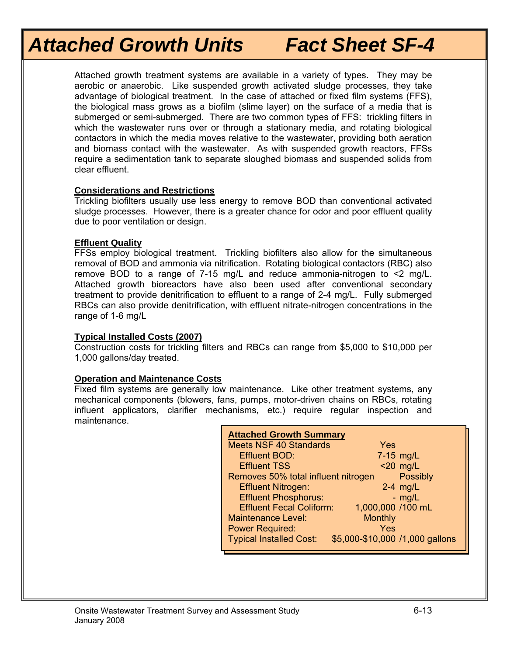# *Attached Growth Units Fact Sheet SF-4*

Attached growth treatment systems are available in a variety of types. They may be aerobic or anaerobic. Like suspended growth activated sludge processes, they take advantage of biological treatment. In the case of attached or fixed film systems (FFS), the biological mass grows as a biofilm (slime layer) on the surface of a media that is submerged or semi-submerged. There are two common types of FFS: trickling filters in which the wastewater runs over or through a stationary media, and rotating biological contactors in which the media moves relative to the wastewater, providing both aeration and biomass contact with the wastewater. As with suspended growth reactors, FFSs require a sedimentation tank to separate sloughed biomass and suspended solids from clear effluent.

### **Considerations and Restrictions**

Trickling biofilters usually use less energy to remove BOD than conventional activated sludge processes. However, there is a greater chance for odor and poor effluent quality due to poor ventilation or design.

### **Effluent Quality**

FFSs employ biological treatment. Trickling biofilters also allow for the simultaneous removal of BOD and ammonia via nitrification. Rotating biological contactors (RBC) also remove BOD to a range of 7-15 mg/L and reduce ammonia-nitrogen to <2 mg/L. Attached growth bioreactors have also been used after conventional secondary treatment to provide denitrification to effluent to a range of 2-4 mg/L. Fully submerged RBCs can also provide denitrification, with effluent nitrate-nitrogen concentrations in the range of 1-6 mg/L

### **Typical Installed Costs (2007)**

Construction costs for trickling filters and RBCs can range from \$5,000 to \$10,000 per 1,000 gallons/day treated.

### **Operation and Maintenance Costs**

Fixed film systems are generally low maintenance. Like other treatment systems, any mechanical components (blowers, fans, pumps, motor-driven chains on RBCs, rotating influent applicators, clarifier mechanisms, etc.) require regular inspection and maintenance.

| <b>Attached Growth Summary</b>      |                                 |                 |
|-------------------------------------|---------------------------------|-----------------|
| <b>Meets NSF 40 Standards</b>       | Yes                             |                 |
| <b>Effluent BOD:</b>                |                                 | 7-15 mg/L       |
| <b>Effluent TSS</b>                 |                                 | $<$ 20 mg/L     |
| Removes 50% total influent nitrogen |                                 | <b>Possibly</b> |
| <b>Effluent Nitrogen:</b>           |                                 | $2-4$ mg/L      |
| <b>Effluent Phosphorus:</b>         |                                 | - $mg/L$        |
| <b>Effluent Fecal Coliform:</b>     | 1,000,000 /100 mL               |                 |
| <b>Maintenance Level:</b>           | <b>Monthly</b>                  |                 |
| <b>Power Required:</b>              | <b>Yes</b>                      |                 |
| <b>Typical Installed Cost:</b>      | \$5,000-\$10,000 /1,000 gallons |                 |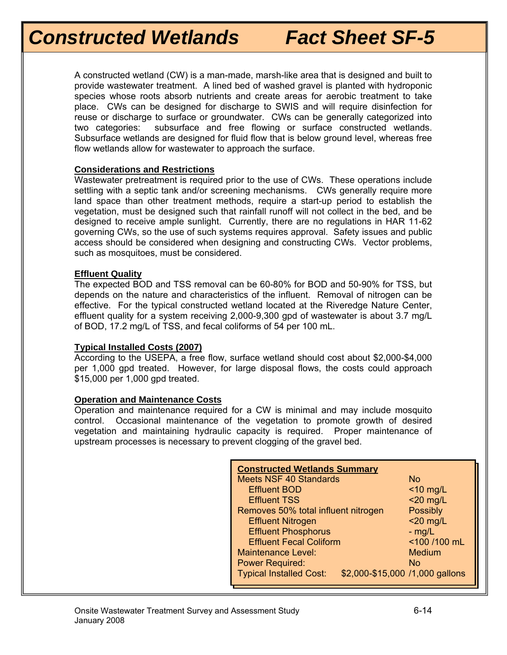A constructed wetland (CW) is a man-made, marsh-like area that is designed and built to provide wastewater treatment. A lined bed of washed gravel is planted with hydroponic species whose roots absorb nutrients and create areas for aerobic treatment to take place. CWs can be designed for discharge to SWIS and will require disinfection for reuse or discharge to surface or groundwater. CWs can be generally categorized into two categories: subsurface and free flowing or surface constructed wetlands. Subsurface wetlands are designed for fluid flow that is below ground level, whereas free flow wetlands allow for wastewater to approach the surface.

### **Considerations and Restrictions**

Wastewater pretreatment is required prior to the use of CWs. These operations include settling with a septic tank and/or screening mechanisms. CWs generally require more land space than other treatment methods, require a start-up period to establish the vegetation, must be designed such that rainfall runoff will not collect in the bed, and be designed to receive ample sunlight. Currently, there are no regulations in HAR 11-62 governing CWs, so the use of such systems requires approval. Safety issues and public access should be considered when designing and constructing CWs. Vector problems, such as mosquitoes, must be considered.

### **Effluent Quality**

The expected BOD and TSS removal can be 60-80% for BOD and 50-90% for TSS, but depends on the nature and characteristics of the influent. Removal of nitrogen can be effective. For the typical constructed wetland located at the Riveredge Nature Center, effluent quality for a system receiving 2,000-9,300 gpd of wastewater is about 3.7 mg/L of BOD, 17.2 mg/L of TSS, and fecal coliforms of 54 per 100 mL.

### **Typical Installed Costs (2007)**

According to the USEPA, a free flow, surface wetland should cost about \$2,000-\$4,000 per 1,000 gpd treated. However, for large disposal flows, the costs could approach \$15,000 per 1,000 gpd treated.

### **Operation and Maintenance Costs**

Operation and maintenance required for a CW is minimal and may include mosquito control. Occasional maintenance of the vegetation to promote growth of desired vegetation and maintaining hydraulic capacity is required. Proper maintenance of upstream processes is necessary to prevent clogging of the gravel bed.

| <b>Constructed Wetlands Summary</b>                               |                 |
|-------------------------------------------------------------------|-----------------|
| <b>Meets NSF 40 Standards</b>                                     | No.             |
| <b>Effluent BOD</b>                                               | $<$ 10 mg/L     |
| <b>Effluent TSS</b>                                               | $<$ 20 mg/L     |
| Removes 50% total influent nitrogen                               | <b>Possibly</b> |
| <b>Effluent Nitrogen</b>                                          | $<$ 20 mg/L     |
| <b>Effluent Phosphorus</b>                                        | $-$ mg/L        |
| <b>Effluent Fecal Coliform</b>                                    | <100 /100 mL    |
| <b>Maintenance Level:</b>                                         | <b>Medium</b>   |
| <b>Power Required:</b>                                            | No              |
| <b>Typical Installed Cost:</b><br>\$2,000-\$15,000 /1,000 gallons |                 |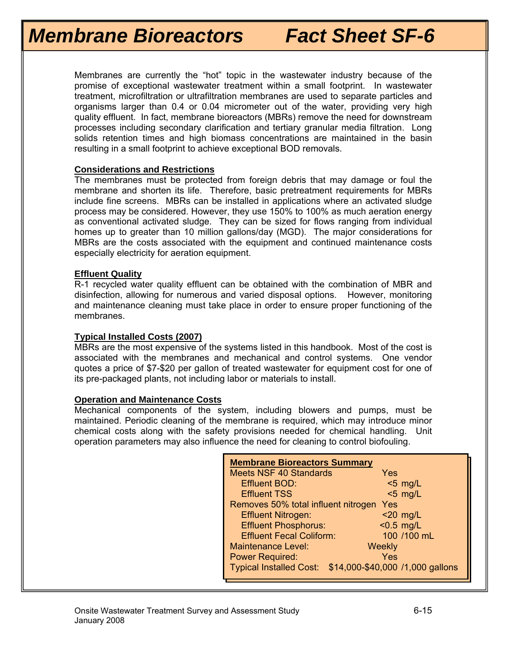# *Membrane Bioreactors Fact Sheet SF-6*

Membranes are currently the "hot" topic in the wastewater industry because of the promise of exceptional wastewater treatment within a small footprint. In wastewater treatment, microfiltration or ultrafiltration membranes are used to separate particles and organisms larger than 0.4 or 0.04 micrometer out of the water, providing very high quality effluent. In fact, membrane bioreactors (MBRs) remove the need for downstream processes including secondary clarification and tertiary granular media filtration. Long solids retention times and high biomass concentrations are maintained in the basin resulting in a small footprint to achieve exceptional BOD removals.

## **Considerations and Restrictions**

The membranes must be protected from foreign debris that may damage or foul the membrane and shorten its life. Therefore, basic pretreatment requirements for MBRs include fine screens. MBRs can be installed in applications where an activated sludge process may be considered. However, they use 150% to 100% as much aeration energy as conventional activated sludge. They can be sized for flows ranging from individual homes up to greater than 10 million gallons/day (MGD). The major considerations for MBRs are the costs associated with the equipment and continued maintenance costs especially electricity for aeration equipment.

## **Effluent Quality**

R-1 recycled water quality effluent can be obtained with the combination of MBR and disinfection, allowing for numerous and varied disposal options. However, monitoring and maintenance cleaning must take place in order to ensure proper functioning of the membranes.

## **Typical Installed Costs (2007)**

MBRs are the most expensive of the systems listed in this handbook. Most of the cost is associated with the membranes and mechanical and control systems. One vendor quotes a price of \$7-\$20 per gallon of treated wastewater for equipment cost for one of its pre-packaged plants, not including labor or materials to install.

### **Operation and Maintenance Costs**

Mechanical components of the system, including blowers and pumps, must be maintained. Periodic cleaning of the membrane is required, which may introduce minor chemical costs along with the safety provisions needed for chemical handling. Unit operation parameters may also influence the need for cleaning to control biofouling.

| <b>Membrane Bioreactors Summary</b>        |                                  |             |
|--------------------------------------------|----------------------------------|-------------|
| <b>Meets NSF 40 Standards</b>              | Yes                              |             |
| <b>Effluent BOD:</b>                       |                                  | $<$ 5 mg/L  |
| <b>Effluent TSS</b>                        |                                  | $<$ 5 mg/L  |
| Removes 50% total influent nitrogen<br>Yes |                                  |             |
| <b>Effluent Nitrogen:</b>                  |                                  | $<$ 20 mg/L |
| <b>Effluent Phosphorus:</b>                | $< 0.5$ mg/L                     |             |
| <b>Effluent Fecal Coliform:</b>            |                                  | 100 /100 mL |
| <b>Maintenance Level:</b>                  | <b>Weekly</b>                    |             |
| <b>Power Required:</b>                     | Yes                              |             |
| <b>Typical Installed Cost:</b>             | \$14,000-\$40,000 /1,000 gallons |             |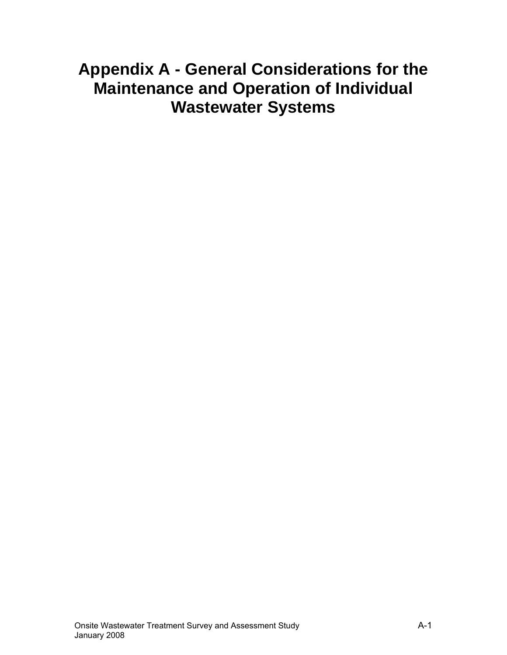## **Appendix A - General Considerations for the Maintenance and Operation of Individual Wastewater Systems**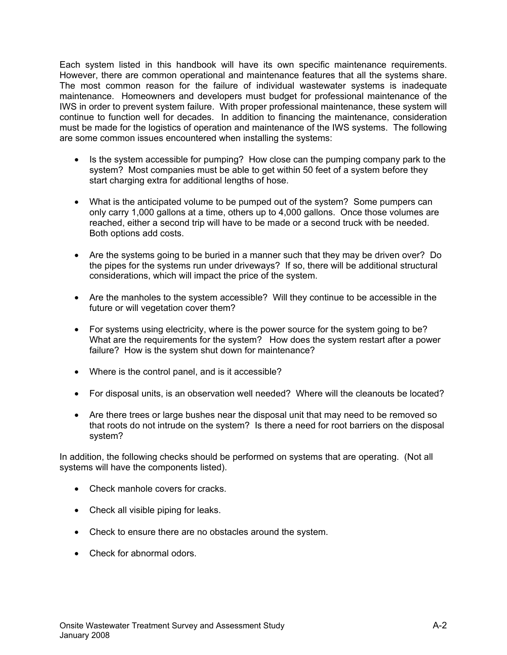Each system listed in this handbook will have its own specific maintenance requirements. However, there are common operational and maintenance features that all the systems share. The most common reason for the failure of individual wastewater systems is inadequate maintenance. Homeowners and developers must budget for professional maintenance of the IWS in order to prevent system failure. With proper professional maintenance, these system will continue to function well for decades. In addition to financing the maintenance, consideration must be made for the logistics of operation and maintenance of the IWS systems. The following are some common issues encountered when installing the systems:

- Is the system accessible for pumping? How close can the pumping company park to the system? Most companies must be able to get within 50 feet of a system before they start charging extra for additional lengths of hose.
- What is the anticipated volume to be pumped out of the system? Some pumpers can only carry 1,000 gallons at a time, others up to 4,000 gallons. Once those volumes are reached, either a second trip will have to be made or a second truck with be needed. Both options add costs.
- Are the systems going to be buried in a manner such that they may be driven over? Do the pipes for the systems run under driveways? If so, there will be additional structural considerations, which will impact the price of the system.
- Are the manholes to the system accessible? Will they continue to be accessible in the future or will vegetation cover them?
- For systems using electricity, where is the power source for the system going to be? What are the requirements for the system? How does the system restart after a power failure? How is the system shut down for maintenance?
- Where is the control panel, and is it accessible?
- For disposal units, is an observation well needed? Where will the cleanouts be located?
- Are there trees or large bushes near the disposal unit that may need to be removed so that roots do not intrude on the system? Is there a need for root barriers on the disposal system?

In addition, the following checks should be performed on systems that are operating. (Not all systems will have the components listed).

- Check manhole covers for cracks.
- Check all visible piping for leaks.
- Check to ensure there are no obstacles around the system.
- Check for abnormal odors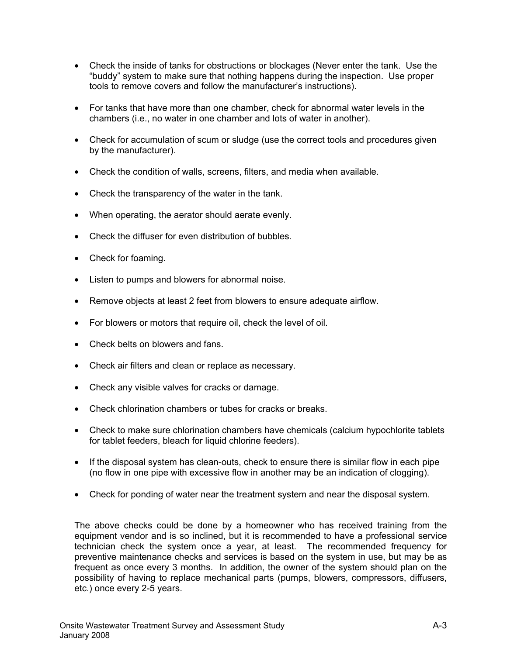- Check the inside of tanks for obstructions or blockages (Never enter the tank. Use the "buddy" system to make sure that nothing happens during the inspection. Use proper tools to remove covers and follow the manufacturer's instructions).
- For tanks that have more than one chamber, check for abnormal water levels in the chambers (i.e., no water in one chamber and lots of water in another).
- Check for accumulation of scum or sludge (use the correct tools and procedures given by the manufacturer).
- Check the condition of walls, screens, filters, and media when available.
- Check the transparency of the water in the tank.
- When operating, the aerator should aerate evenly.
- Check the diffuser for even distribution of bubbles.
- Check for foaming.
- Listen to pumps and blowers for abnormal noise.
- Remove objects at least 2 feet from blowers to ensure adequate airflow.
- For blowers or motors that require oil, check the level of oil.
- Check belts on blowers and fans.
- Check air filters and clean or replace as necessary.
- Check any visible valves for cracks or damage.
- Check chlorination chambers or tubes for cracks or breaks.
- Check to make sure chlorination chambers have chemicals (calcium hypochlorite tablets for tablet feeders, bleach for liquid chlorine feeders).
- If the disposal system has clean-outs, check to ensure there is similar flow in each pipe (no flow in one pipe with excessive flow in another may be an indication of clogging).
- Check for ponding of water near the treatment system and near the disposal system.

The above checks could be done by a homeowner who has received training from the equipment vendor and is so inclined, but it is recommended to have a professional service technician check the system once a year, at least. The recommended frequency for preventive maintenance checks and services is based on the system in use, but may be as frequent as once every 3 months. In addition, the owner of the system should plan on the possibility of having to replace mechanical parts (pumps, blowers, compressors, diffusers, etc.) once every 2-5 years.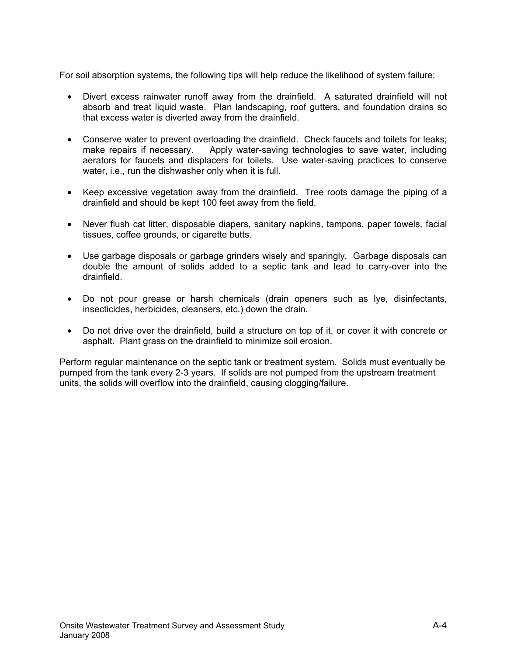For soil absorption systems, the following tips will help reduce the likelihood of system failure:

- Divert excess rainwater runoff away from the drainfield. A saturated drainfield will not absorb and treat liquid waste. Plan landscaping, roof gutters, and foundation drains so that excess water is diverted away from the drainfield.
- Conserve water to prevent overloading the drainfield. Check faucets and toilets for leaks; make repairs if necessary. Apply water-saving technologies to save water, including aerators for faucets and displacers for toilets. Use water-saving practices to conserve water, i.e., run the dishwasher only when it is full.
- Keep excessive vegetation away from the drainfield. Tree roots damage the piping of a drainfield and should be kept 100 feet away from the field.
- Never flush cat litter, disposable diapers, sanitary napkins, tampons, paper towels, facial tissues, coffee grounds, or cigarette butts.
- Use garbage disposals or garbage grinders wisely and sparingly. Garbage disposals can double the amount of solids added to a septic tank and lead to carry-over into the drainfield.
- Do not pour grease or harsh chemicals (drain openers such as lye, disinfectants, insecticides, herbicides, cleansers, etc.) down the drain.
- Do not drive over the drainfield, build a structure on top of it, or cover it with concrete or asphalt. Plant grass on the drainfield to minimize soil erosion.

Perform regular maintenance on the septic tank or treatment system. Solids must eventually be pumped from the tank every 2-3 years. If solids are not pumped from the upstream treatment units, the solids will overflow into the drainfield, causing clogging/failure.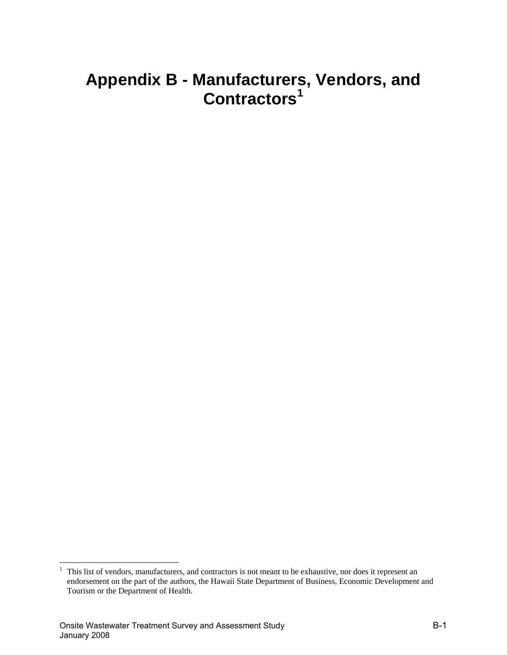## **Appendix B - Manufacturers, Vendors, and Contractors<sup>1</sup>**

 $\frac{1}{1}$  This list of vendors, manufacturers, and contractors is not meant to be exhaustive, nor does it represent an endorsement on the part of the authors, the Hawaii State Department of Business, Economic Development and Tourism or the Department of Health.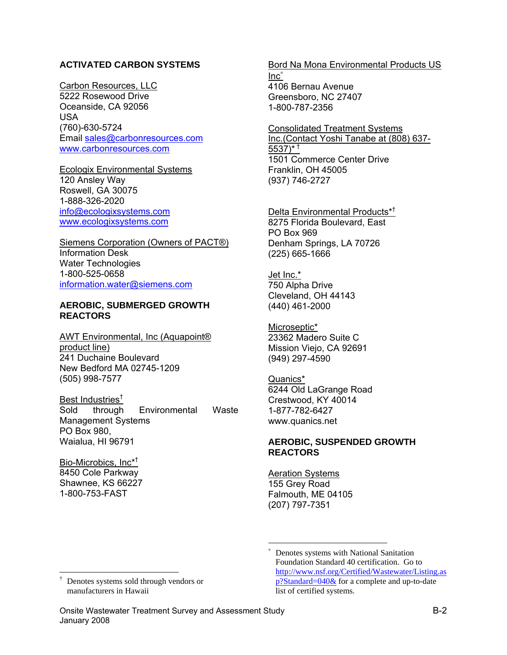## **ACTIVATED CARBON SYSTEMS**

Carbon Resources, LLC 5222 Rosewood Drive Oceanside, CA 92056 USA (760)-630-5724 Email sales@carbonresources.com www.carbonresources.com

Ecologix Environmental Systems 120 Ansley Way Roswell, GA 30075 1-888-326-2020 info@ecologixsystems.com www.ecologixsystems.com

Siemens Corporation (Owners of PACT®) Information Desk Water Technologies 1-800-525-0658 information.water@siemens.com

#### **AEROBIC, SUBMERGED GROWTH REACTORS**

AWT Environmental, Inc (Aquapoint® product line) 241 Duchaine Boulevard New Bedford MA 02745-1209 (505) 998-7577

Best Industries† Sold through Environmental Waste Management Systems PO Box 980, Waialua, HI 96791

Bio-Microbics, Inc\*† 8450 Cole Parkway Shawnee, KS 66227 1-800-753-FAST

Bord Na Mona Environmental Products US Inc<sup>∗</sup> 4106 Bernau Avenue Greensboro, NC 27407 1-800-787-2356

Consolidated Treatment Systems Inc.(Contact Yoshi Tanabe at (808) 637- 5537)\* † 1501 Commerce Center Drive Franklin, OH 45005 (937) 746-2727

Delta Environmental Products\*† 8275 Florida Boulevard, East PO Box 969 Denham Springs, LA 70726 (225) 665-1666

Jet Inc.\* 750 Alpha Drive Cleveland, OH 44143 (440) 461-2000

Microseptic\* 23362 Madero Suite C Mission Viejo, CA 92691 (949) 297-4590

Quanics\* 6244 Old LaGrange Road Crestwood, KY 40014 1-877-782-6427 www.quanics.net

#### **AEROBIC, SUSPENDED GROWTH REACTORS**

Aeration Systems 155 Grey Road Falmouth, ME 04105 (207) 797-7351

-

<sup>∗</sup> Denotes systems with National Sanitation Foundation Standard 40 certification. Go to http://www.nsf.org/Certified/Wastewater/Listing.as p?Standard=040& for a complete and up-to-date list of certified systems.

<sup>†</sup> Denotes systems sold through vendors or manufacturers in Hawaii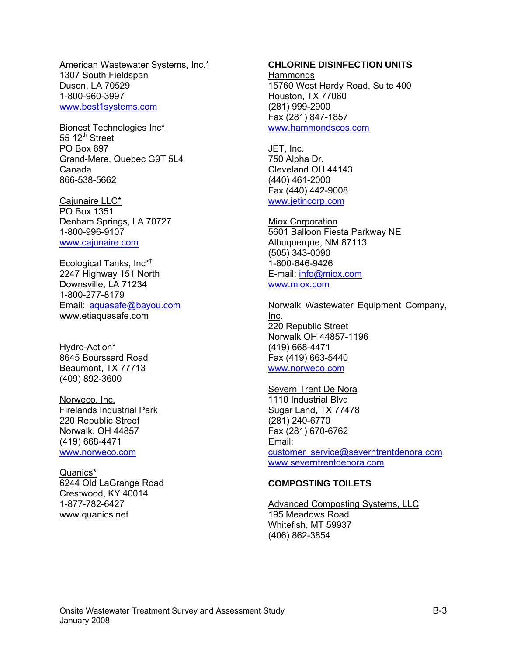American Wastewater Systems, Inc.\* 1307 South Fieldspan Duson, LA 70529 1-800-960-3997 www.best1systems.com

Bionest Technologies Inc\*  $55.12^{\text{th}}$  Street PO Box 697 Grand-Mere, Quebec G9T 5L4 Canada 866-538-5662

Cajunaire LLC\* PO Box 1351 Denham Springs, LA 70727 1-800-996-9107 www.cajunaire.com

Ecological Tanks, Inc\*† 2247 Highway 151 North Downsville, LA 71234 1-800-277-8179 Email: aquasafe@bayou.com www.etiaquasafe.com

Hydro-Action\* 8645 Bourssard Road Beaumont, TX 77713 (409) 892-3600

Norweco, Inc. Firelands Industrial Park 220 Republic Street Norwalk, OH 44857 (419) 668-4471 www.norweco.com

Quanics\* 6244 Old LaGrange Road Crestwood, KY 40014 1-877-782-6427 www.quanics.net

## **CHLORINE DISINFECTION UNITS**

**Hammonds** 15760 West Hardy Road, Suite 400 Houston, TX 77060 (281) 999-2900 Fax (281) 847-1857 www.hammondscos.com

<u>JET, Inc.</u> 750 Alpha Dr. Cleveland OH 44143 (440) 461-2000 Fax (440) 442-9008 www.jetincorp.com

Miox Corporation 5601 Balloon Fiesta Parkway NE Albuquerque, NM 87113 (505) 343-0090 1-800-646-9426 E-mail: info@miox.com www.miox.com

Norwalk Wastewater Equipment Company, Inc. 220 Republic Street Norwalk OH 44857-1196 (419) 668-4471 Fax (419) 663-5440 www.norweco.com

#### Severn Trent De Nora

1110 Industrial Blvd Sugar Land, TX 77478 (281) 240-6770 Fax (281) 670-6762 Email: customer\_service@severntrentdenora.com www.severntrentdenora.com

#### **COMPOSTING TOILETS**

Advanced Composting Systems, LLC 195 Meadows Road Whitefish, MT 59937 (406) 862-3854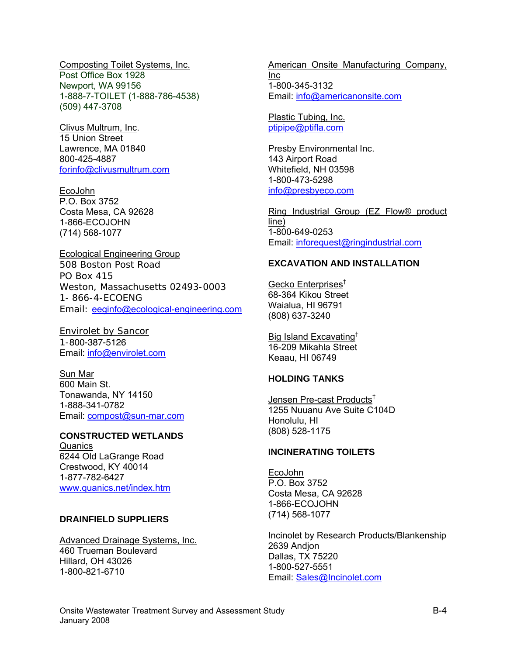Composting Toilet Systems, Inc. Post Office Box 1928 Newport, WA 99156 1-888-7-TOILET (1-888-786-4538) (509) 447-3708

Clivus Multrum, Inc. 15 Union Street Lawrence, MA 01840 800-425-4887 forinfo@clivusmultrum.com

EcoJohn P.O. Box 3752 Costa Mesa, CA 92628 1-866-ECOJOHN (714) 568-1077

Ecological Engineering Group 508 Boston Post Road PO Box 415 Weston, Massachusetts 02493-0003 1- 866-4-ECOENG Email: eeginfo@ecological-engineering.com

Envirolet by Sancor 1-800-387-5126 Email: info@envirolet.com

Sun Mar 600 Main St. Tonawanda, NY 14150 1-888-341-0782 Email: compost@sun-mar.com

#### **CONSTRUCTED WETLANDS**

**Quanics** 6244 Old LaGrange Road Crestwood, KY 40014 1-877-782-6427 www.quanics.net/index.htm

### **DRAINFIELD SUPPLIERS**

Advanced Drainage Systems, Inc. 460 Trueman Boulevard Hillard, OH 43026 1-800-821-6710

American Onsite Manufacturing Company, Inc 1-800-345-3132 Email: info@americanonsite.com

Plastic Tubing, Inc. ptipipe@ptifla.com

Presby Environmental Inc. 143 Airport Road Whitefield, NH 03598 1-800-473-5298 info@presbyeco.com

Ring Industrial Group (EZ Flow® product line) 1-800-649-0253 Email: inforequest@ringindustrial.com

#### **EXCAVATION AND INSTALLATION**

Gecko Enterprises† 68-364 Kikou Street Waialua, HI 96791 (808) 637-3240

Big Island Excavating† 16-209 Mikahla Street Keaau, HI 06749

### **HOLDING TANKS**

Jensen Pre-cast Products<sup>†</sup> 1255 Nuuanu Ave Suite C104D Honolulu, HI (808) 528-1175

### **INCINERATING TOILETS**

EcoJohn P.O. Box 3752 Costa Mesa, CA 92628 1-866-ECOJOHN (714) 568-1077

Incinolet by Research Products/Blankenship 2639 Andjon Dallas, TX 75220 1-800-527-5551 Email: Sales@Incinolet.com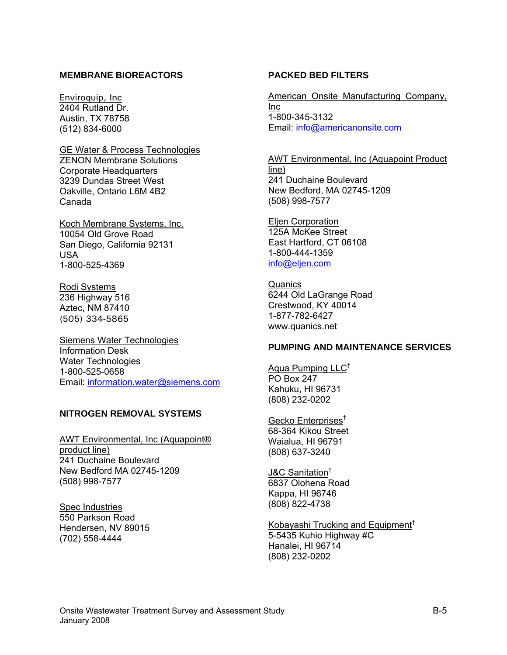#### **MEMBRANE BIOREACTORS**

Enviroquip, Inc 2404 Rutland Dr. Austin, TX 78758 (512) 834-6000

GE Water & Process Technologies ZENON Membrane Solutions Corporate Headquarters 3239 Dundas Street West Oakville, Ontario L6M 4B2 Canada

Koch Membrane Systems, Inc. 10054 Old Grove Road San Diego, California 92131 USA 1-800-525-4369

Rodi Systems 236 Highway 516 Aztec, NM 87410 (505) 334-5865

Siemens Water Technologies Information Desk Water Technologies 1-800-525-0658 Email: information.water@siemens.com

### **NITROGEN REMOVAL SYSTEMS**

AWT Environmental, Inc (Aquapoint® product line) 241 Duchaine Boulevard New Bedford MA 02745-1209 (508) 998-7577

Spec Industries 550 Parkson Road Hendersen, NV 89015 (702) 558-4444

#### **PACKED BED FILTERS**

American Onsite Manufacturing Company, Inc 1-800-345-3132 Email: info@americanonsite.com

#### AWT Environmental, Inc (Aquapoint Product line) 241 Duchaine Boulevard New Bedford, MA 02745-1209

Eljen Corporation 125A McKee Street East Hartford, CT 06108 1-800-444-1359 info@eljen.com

(508) 998-7577

Quanics 6244 Old LaGrange Road Crestwood, KY 40014 1-877-782-6427 www.quanics.net

#### **PUMPING AND MAINTENANCE SERVICES**

Aqua Pumping LLC† PO Box 247 Kahuku, HI 96731 (808) 232-0202

Gecko Enterprises† 68-364 Kikou Street Waialua, HI 96791 (808) 637-3240

J&C Sanitation† 6837 Olohena Road Kappa, HI 96746 (808) 822-4738

#### Kobayashi Trucking and Equipment† 5-5435 Kuhio Highway #C Hanalei, HI 96714 (808) 232-0202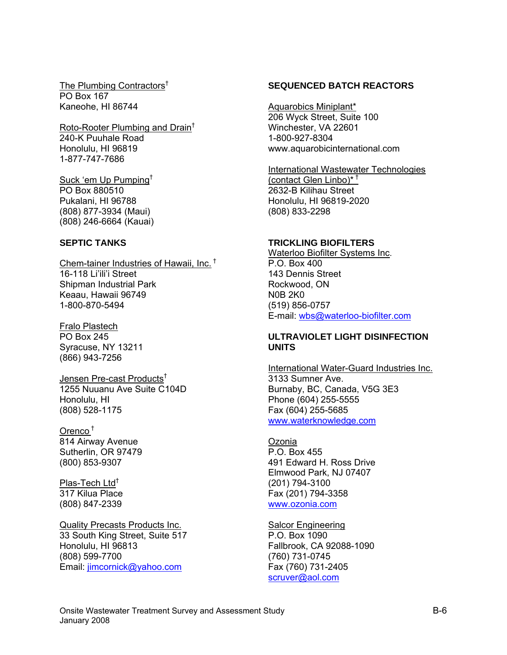The Plumbing Contractors† PO Box 167 Kaneohe, HI 86744

Roto-Rooter Plumbing and Drain<sup>†</sup> 240-K Puuhale Road Honolulu, HI 96819 1-877-747-7686

Suck 'em Up Pumping†

PO Box 880510 Pukalani, HI 96788 (808) 877-3934 (Maui) (808) 246-6664 (Kauai)

## **SEPTIC TANKS**

Chem-tainer Industries of Hawaii, Inc. † 16-118 Li'ili'i Street Shipman Industrial Park Keaau, Hawaii 96749 1-800-870-5494

Fralo Plastech PO Box 245 Syracuse, NY 13211 (866) 943-7256

Jensen Pre-cast Products† 1255 Nuuanu Ave Suite C104D Honolulu, HI (808) 528-1175

Orenco † 814 Airway Avenue Sutherlin, OR 97479 (800) 853-9307

Plas-Tech Ltd† 317 Kilua Place (808) 847-2339

Quality Precasts Products Inc. 33 South King Street, Suite 517 Honolulu, HI 96813 (808) 599-7700 Email: jimcornick@yahoo.com

### **SEQUENCED BATCH REACTORS**

Aquarobics Miniplant\* 206 Wyck Street, Suite 100 Winchester, VA 22601 1-800-927-8304 www.aquarobicinternational.com

International Wastewater Technologies (contact Glen Linbo)\* † 2632-B Kilihau Street Honolulu, HI 96819-2020 (808) 833-2298

## **TRICKLING BIOFILTERS**

Waterloo Biofilter Systems Inc. P.O. Box 400 143 Dennis Street Rockwood, ON N0B 2K0 (519) 856-0757 E-mail: wbs@waterloo-biofilter.com

## **ULTRAVIOLET LIGHT DISINFECTION UNITS**

International Water-Guard Industries Inc. 3133 Sumner Ave. Burnaby, BC, Canada, V5G 3E3 Phone (604) 255-5555 Fax (604) 255-5685 www.waterknowledge.com

Ozonia P.O. Box 455

491 Edward H. Ross Drive Elmwood Park, NJ 07407 (201) 794-3100 Fax (201) 794-3358 www.ozonia.com

**Salcor Engineering** P.O. Box 1090 Fallbrook, CA 92088-1090 (760) 731-0745 Fax (760) 731-2405 scruver@aol.com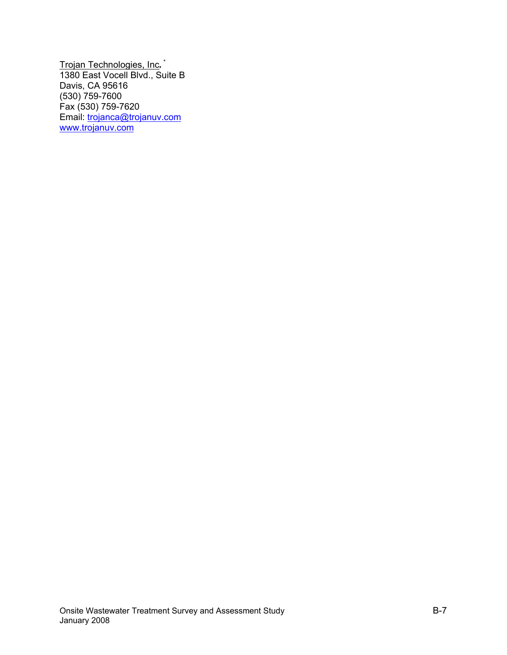Trojan Technologies, Inc*.* \* 1380 East Vocell Blvd., Suite B Davis, CA 95616 (530) 759-7600 Fax (530) 759-7620 Email: trojanca@trojanuv.com www.trojanuv.com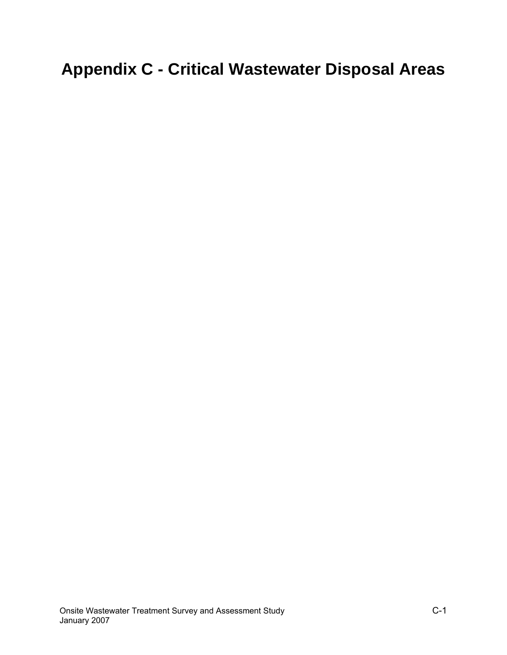# **Appendix C - Critical Wastewater Disposal Areas**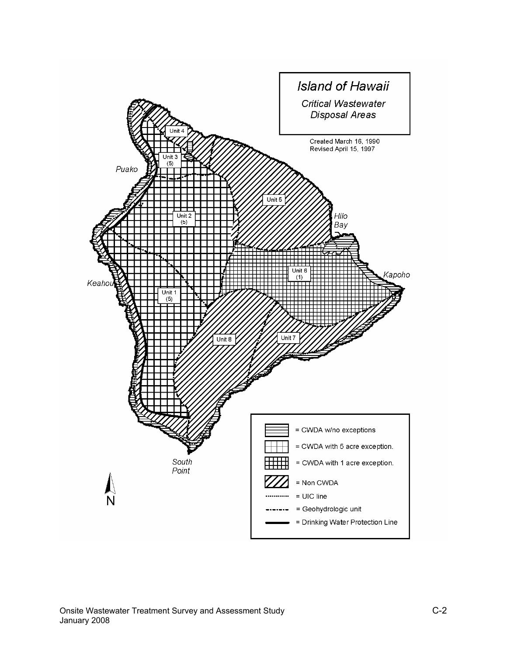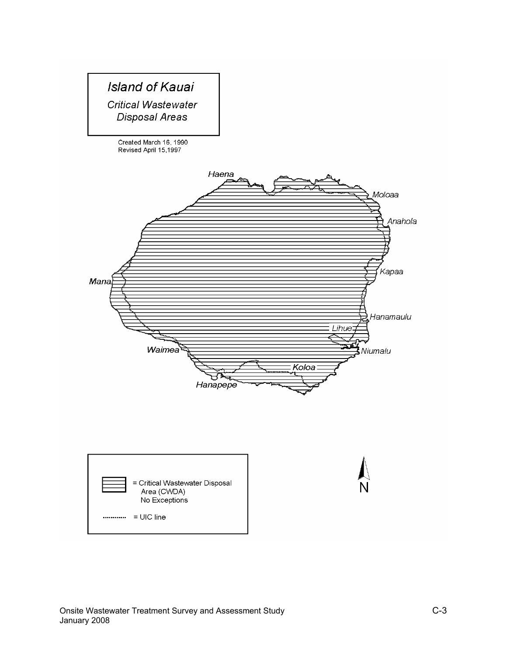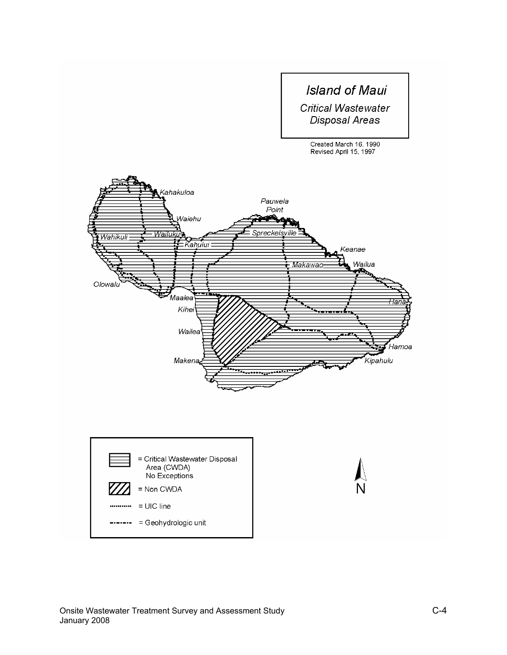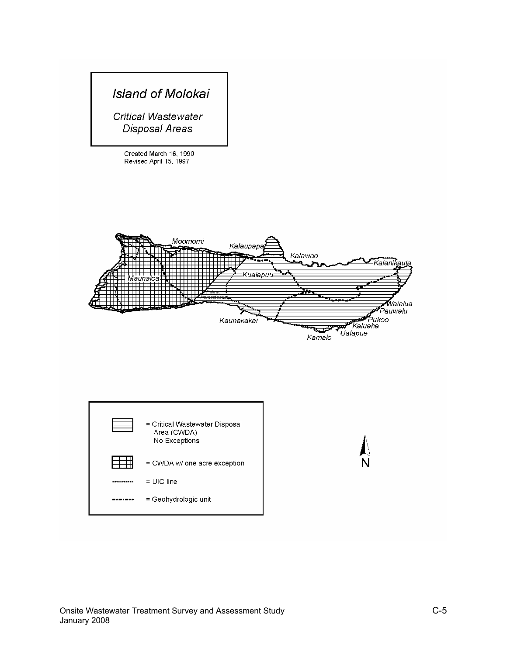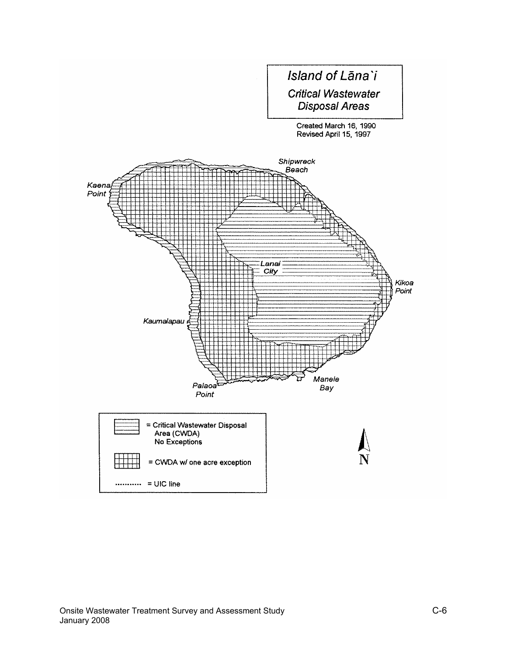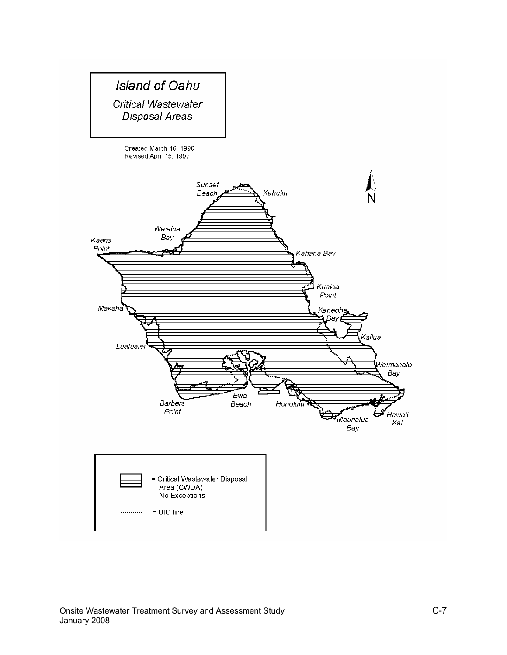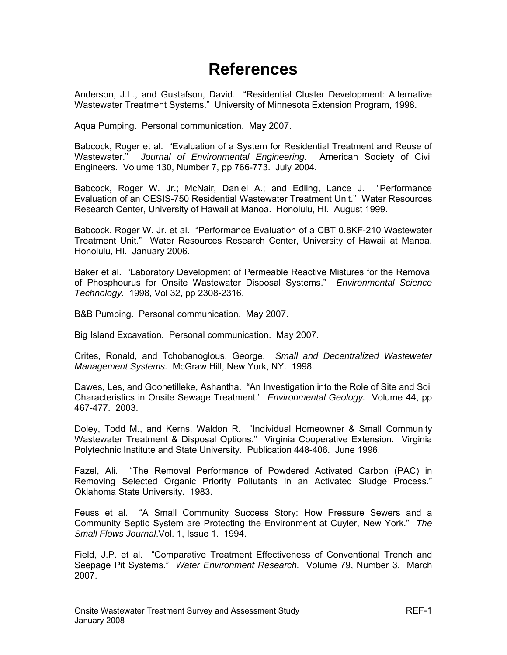## **References**

Anderson, J.L., and Gustafson, David. "Residential Cluster Development: Alternative Wastewater Treatment Systems." University of Minnesota Extension Program, 1998.

Aqua Pumping. Personal communication. May 2007.

Babcock, Roger et al. "Evaluation of a System for Residential Treatment and Reuse of Wastewater." *Journal of Environmental Engineering.* American Society of Civil Engineers. Volume 130, Number 7, pp 766-773. July 2004.

Babcock, Roger W. Jr.; McNair, Daniel A.; and Edling, Lance J. "Performance Evaluation of an OESIS-750 Residential Wastewater Treatment Unit." Water Resources Research Center, University of Hawaii at Manoa. Honolulu, HI. August 1999.

Babcock, Roger W. Jr. et al. "Performance Evaluation of a CBT 0.8KF-210 Wastewater Treatment Unit." Water Resources Research Center, University of Hawaii at Manoa. Honolulu, HI. January 2006.

Baker et al. "Laboratory Development of Permeable Reactive Mistures for the Removal of Phosphourus for Onsite Wastewater Disposal Systems." *Environmental Science Technology.* 1998, Vol 32, pp 2308-2316.

B&B Pumping. Personal communication. May 2007.

Big Island Excavation. Personal communication. May 2007.

Crites, Ronald, and Tchobanoglous, George. *Small and Decentralized Wastewater Management Systems.* McGraw Hill, New York, NY. 1998.

Dawes, Les, and Goonetilleke, Ashantha. "An Investigation into the Role of Site and Soil Characteristics in Onsite Sewage Treatment." *Environmental Geology.* Volume 44, pp 467-477. 2003.

Doley, Todd M., and Kerns, Waldon R. "Individual Homeowner & Small Community Wastewater Treatment & Disposal Options." Virginia Cooperative Extension. Virginia Polytechnic Institute and State University. Publication 448-406. June 1996.

Fazel, Ali. "The Removal Performance of Powdered Activated Carbon (PAC) in Removing Selected Organic Priority Pollutants in an Activated Sludge Process." Oklahoma State University. 1983.

Feuss et al. "A Small Community Success Story: How Pressure Sewers and a Community Septic System are Protecting the Environment at Cuyler, New York." *The Small Flows Journal*.Vol. 1, Issue 1. 1994.

Field, J.P. et al. "Comparative Treatment Effectiveness of Conventional Trench and Seepage Pit Systems." *Water Environment Research.* Volume 79, Number 3. March 2007.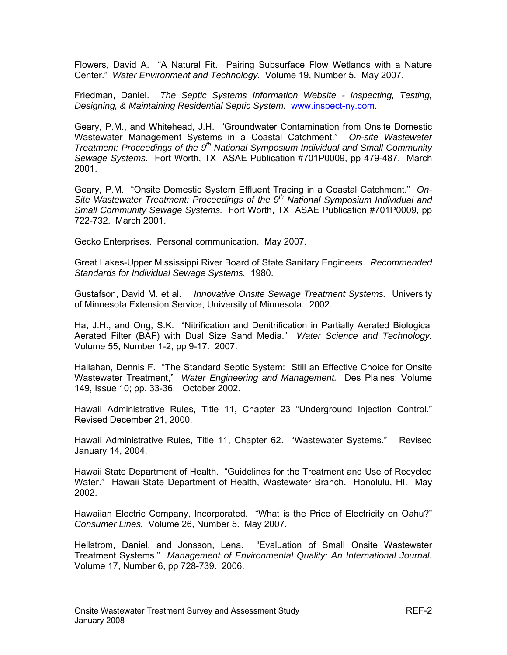Flowers, David A. "A Natural Fit. Pairing Subsurface Flow Wetlands with a Nature Center." *Water Environment and Technology.* Volume 19, Number 5. May 2007.

Friedman, Daniel. *The Septic Systems Information Website - Inspecting, Testing, Designing, & Maintaining Residential Septic System.* www.inspect-ny.com.

Geary, P.M., and Whitehead, J.H. "Groundwater Contamination from Onsite Domestic Wastewater Management Systems in a Coastal Catchment." *On-site Wastewater Treatment: Proceedings of the 9th National Symposium Individual and Small Community Sewage Systems.* Fort Worth, TX ASAE Publication #701P0009, pp 479-487. March 2001.

Geary, P.M. "Onsite Domestic System Effluent Tracing in a Coastal Catchment." *On-Site Wastewater Treatment: Proceedings of the 9th National Symposium Individual and Small Community Sewage Systems.* Fort Worth, TX ASAE Publication #701P0009, pp 722-732. March 2001.

Gecko Enterprises. Personal communication. May 2007.

Great Lakes-Upper Mississippi River Board of State Sanitary Engineers. *Recommended Standards for Individual Sewage Systems.* 1980.

Gustafson, David M. et al. *Innovative Onsite Sewage Treatment Systems.* University of Minnesota Extension Service, University of Minnesota. 2002.

Ha, J.H., and Ong, S.K. "Nitrification and Denitrification in Partially Aerated Biological Aerated Filter (BAF) with Dual Size Sand Media." *Water Science and Technology.* Volume 55, Number 1-2, pp 9-17. 2007.

Hallahan, Dennis F. "The Standard Septic System: Still an Effective Choice for Onsite Wastewater Treatment," *Water Engineering and Management.* Des Plaines: Volume 149, Issue 10; pp. 33-36. October 2002.

Hawaii Administrative Rules, Title 11, Chapter 23 "Underground Injection Control." Revised December 21, 2000.

Hawaii Administrative Rules, Title 11, Chapter 62. "Wastewater Systems." Revised January 14, 2004.

Hawaii State Department of Health. "Guidelines for the Treatment and Use of Recycled Water." Hawaii State Department of Health, Wastewater Branch. Honolulu, HI. May 2002.

Hawaiian Electric Company, Incorporated. "What is the Price of Electricity on Oahu?" *Consumer Lines.* Volume 26, Number 5. May 2007.

Hellstrom, Daniel, and Jonsson, Lena. "Evaluation of Small Onsite Wastewater Treatment Systems." *Management of Environmental Quality: An International Journal.* Volume 17, Number 6, pp 728-739. 2006.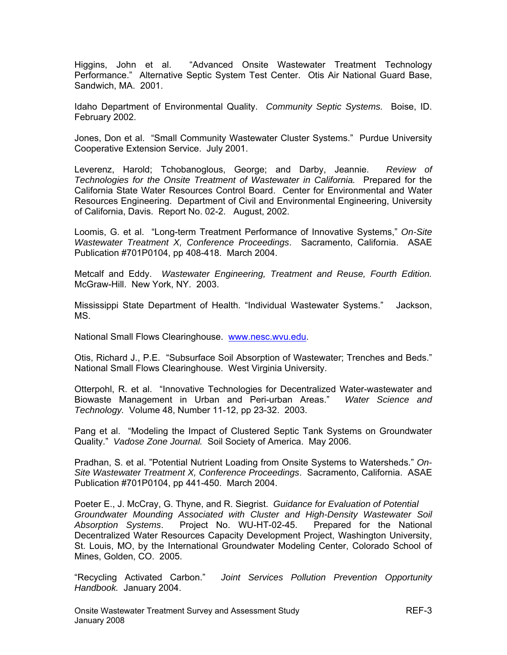Higgins, John et al. "Advanced Onsite Wastewater Treatment Technology Performance." Alternative Septic System Test Center. Otis Air National Guard Base, Sandwich, MA. 2001.

Idaho Department of Environmental Quality. *Community Septic Systems.* Boise, ID. February 2002.

Jones, Don et al. "Small Community Wastewater Cluster Systems." Purdue University Cooperative Extension Service. July 2001.

Leverenz, Harold; Tchobanoglous, George; and Darby, Jeannie. *Review of Technologies for the Onsite Treatment of Wastewater in California.* Prepared for the California State Water Resources Control Board. Center for Environmental and Water Resources Engineering. Department of Civil and Environmental Engineering, University of California, Davis. Report No. 02-2. August, 2002.

Loomis, G. et al. "Long-term Treatment Performance of Innovative Systems," *On-Site Wastewater Treatment X, Conference Proceedings*. Sacramento, California. ASAE Publication #701P0104, pp 408-418. March 2004.

Metcalf and Eddy. *Wastewater Engineering, Treatment and Reuse, Fourth Edition.* McGraw-Hill. New York, NY. 2003.

Mississippi State Department of Health. "Individual Wastewater Systems." Jackson, MS.

National Small Flows Clearinghouse. www.nesc.wvu.edu.

Otis, Richard J., P.E. "Subsurface Soil Absorption of Wastewater; Trenches and Beds." National Small Flows Clearinghouse. West Virginia University.

Otterpohl, R. et al. "Innovative Technologies for Decentralized Water-wastewater and Biowaste Management in Urban and Peri-urban Areas." *Water Science and Technology.* Volume 48, Number 11-12, pp 23-32. 2003.

Pang et al. "Modeling the Impact of Clustered Septic Tank Systems on Groundwater Quality." *Vadose Zone Journal.* Soil Society of America. May 2006.

Pradhan, S. et al. "Potential Nutrient Loading from Onsite Systems to Watersheds." *On-Site Wastewater Treatment X, Conference Proceedings*. Sacramento, California. ASAE Publication #701P0104, pp 441-450. March 2004.

Poeter E., J. McCray, G. Thyne, and R. Siegrist. *Guidance for Evaluation of Potential Groundwater Mounding Associated with Cluster and High-Density Wastewater Soil Absorption Systems*. Project No. WU-HT-02-45. Prepared for the National Decentralized Water Resources Capacity Development Project, Washington University, St. Louis, MO, by the International Groundwater Modeling Center, Colorado School of Mines, Golden, CO. 2005.

"Recycling Activated Carbon." *Joint Services Pollution Prevention Opportunity Handbook.* January 2004.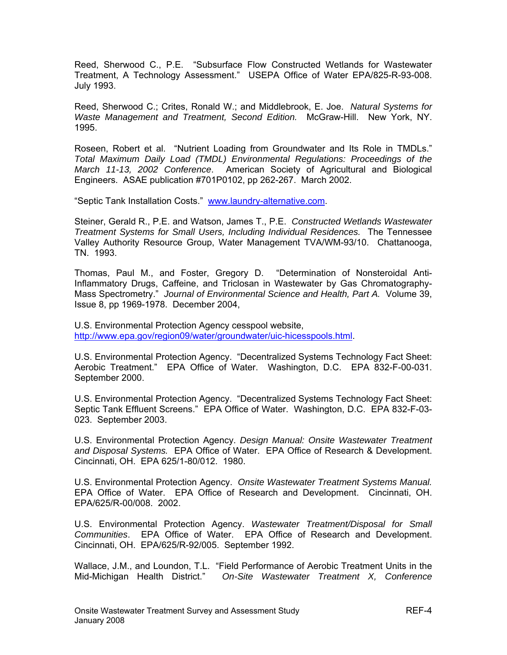Reed, Sherwood C., P.E. "Subsurface Flow Constructed Wetlands for Wastewater Treatment, A Technology Assessment." USEPA Office of Water EPA/825-R-93-008. July 1993.

Reed, Sherwood C.; Crites, Ronald W.; and Middlebrook, E. Joe. *Natural Systems for Waste Management and Treatment, Second Edition. McGraw-Hill. New York, NY.* 1995.

Roseen, Robert et al. "Nutrient Loading from Groundwater and Its Role in TMDLs." *Total Maximum Daily Load (TMDL) Environmental Regulations: Proceedings of the March 11-13, 2002 Conference*. American Society of Agricultural and Biological Engineers. ASAE publication #701P0102, pp 262-267. March 2002.

"Septic Tank Installation Costs." www.laundry-alternative.com.

Steiner, Gerald R., P.E. and Watson, James T., P.E. *Constructed Wetlands Wastewater Treatment Systems for Small Users, Including Individual Residences.* The Tennessee Valley Authority Resource Group, Water Management TVA/WM-93/10. Chattanooga, TN. 1993.

Thomas, Paul M., and Foster, Gregory D. "Determination of Nonsteroidal Anti-Inflammatory Drugs, Caffeine, and Triclosan in Wastewater by Gas Chromatography-Mass Spectrometry." *Journal of Environmental Science and Health, Part A.* Volume 39, Issue 8, pp 1969-1978. December 2004,

U.S. Environmental Protection Agency cesspool website, http://www.epa.gov/region09/water/groundwater/uic-hicesspools.html.

U.S. Environmental Protection Agency. "Decentralized Systems Technology Fact Sheet: Aerobic Treatment." EPA Office of Water. Washington, D.C. EPA 832-F-00-031. September 2000.

U.S. Environmental Protection Agency. "Decentralized Systems Technology Fact Sheet: Septic Tank Effluent Screens." EPA Office of Water. Washington, D.C. EPA 832-F-03- 023. September 2003.

U.S. Environmental Protection Agency. *Design Manual: Onsite Wastewater Treatment and Disposal Systems.* EPA Office of Water. EPA Office of Research & Development. Cincinnati, OH. EPA 625/1-80/012. 1980.

U.S. Environmental Protection Agency. *Onsite Wastewater Treatment Systems Manual.* EPA Office of Water. EPA Office of Research and Development. Cincinnati, OH. EPA/625/R-00/008. 2002.

U.S. Environmental Protection Agency. *Wastewater Treatment/Disposal for Small Communities*. EPA Office of Water. EPA Office of Research and Development. Cincinnati, OH. EPA/625/R-92/005. September 1992.

Wallace, J.M., and Loundon, T.L. "Field Performance of Aerobic Treatment Units in the Mid-Michigan Health District." *On-Site Wastewater Treatment X, Conference*